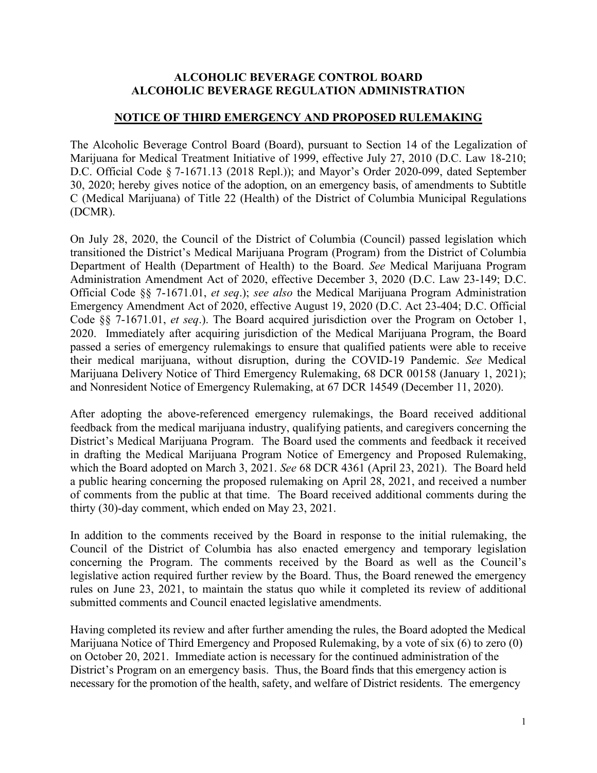## **ALCOHOLIC BEVERAGE CONTROL BOARD ALCOHOLIC BEVERAGE REGULATION ADMINISTRATION**

## **NOTICE OF THIRD EMERGENCY AND PROPOSED RULEMAKING**

The Alcoholic Beverage Control Board (Board), pursuant to Section 14 of the Legalization of Marijuana for Medical Treatment Initiative of 1999, effective July 27, 2010 (D.C. Law 18-210; D.C. Official Code § 7-1671.13 (2018 Repl.)); and Mayor's Order 2020-099, dated September 30, 2020; hereby gives notice of the adoption, on an emergency basis, of amendments to Subtitle C (Medical Marijuana) of Title 22 (Health) of the District of Columbia Municipal Regulations (DCMR).

On July 28, 2020, the Council of the District of Columbia (Council) passed legislation which transitioned the District's Medical Marijuana Program (Program) from the District of Columbia Department of Health (Department of Health) to the Board. *See* Medical Marijuana Program Administration Amendment Act of 2020, effective December 3, 2020 (D.C. Law 23-149; D.C. Official Code §§ 7-1671.01, *et seq*.); *see also* the Medical Marijuana Program Administration Emergency Amendment Act of 2020, effective August 19, 2020 (D.C. Act 23-404; D.C. Official Code §§ 7-1671.01, *et seq*.). The Board acquired jurisdiction over the Program on October 1, 2020. Immediately after acquiring jurisdiction of the Medical Marijuana Program, the Board passed a series of emergency rulemakings to ensure that qualified patients were able to receive their medical marijuana, without disruption, during the COVID-19 Pandemic. *See* Medical Marijuana Delivery Notice of Third Emergency Rulemaking, 68 DCR 00158 (January 1, 2021); and Nonresident Notice of Emergency Rulemaking, at 67 DCR 14549 (December 11, 2020).

After adopting the above-referenced emergency rulemakings, the Board received additional feedback from the medical marijuana industry, qualifying patients, and caregivers concerning the District's Medical Marijuana Program. The Board used the comments and feedback it received in drafting the Medical Marijuana Program Notice of Emergency and Proposed Rulemaking, which the Board adopted on March 3, 2021. *See* 68 DCR 4361 (April 23, 2021). The Board held a public hearing concerning the proposed rulemaking on April 28, 2021, and received a number of comments from the public at that time. The Board received additional comments during the thirty (30)-day comment, which ended on May 23, 2021.

In addition to the comments received by the Board in response to the initial rulemaking, the Council of the District of Columbia has also enacted emergency and temporary legislation concerning the Program. The comments received by the Board as well as the Council's legislative action required further review by the Board. Thus, the Board renewed the emergency rules on June 23, 2021, to maintain the status quo while it completed its review of additional submitted comments and Council enacted legislative amendments.

Having completed its review and after further amending the rules, the Board adopted the Medical Marijuana Notice of Third Emergency and Proposed Rulemaking, by a vote of six (6) to zero (0) on October 20, 2021. Immediate action is necessary for the continued administration of the District's Program on an emergency basis. Thus, the Board finds that this emergency action is necessary for the promotion of the health, safety, and welfare of District residents. The emergency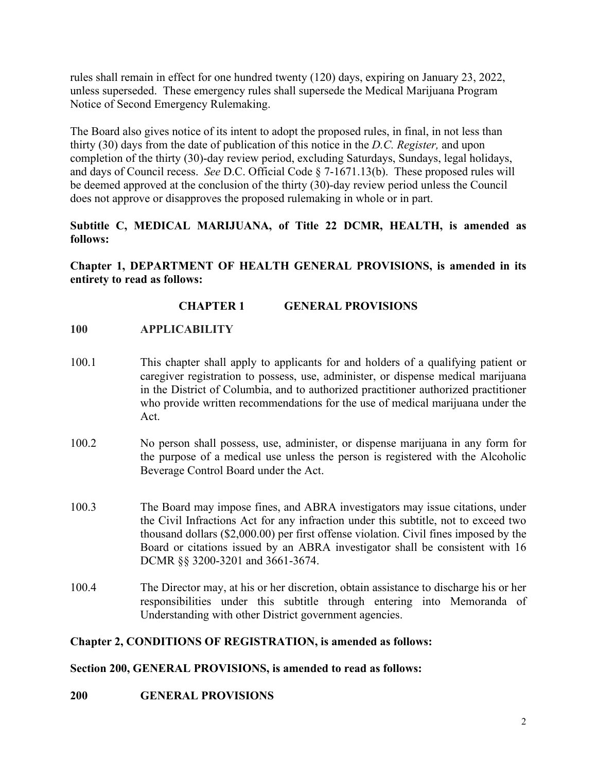rules shall remain in effect for one hundred twenty (120) days, expiring on January 23, 2022, unless superseded. These emergency rules shall supersede the Medical Marijuana Program Notice of Second Emergency Rulemaking.

The Board also gives notice of its intent to adopt the proposed rules, in final, in not less than thirty (30) days from the date of publication of this notice in the *D.C. Register,* and upon completion of the thirty (30)-day review period, excluding Saturdays, Sundays, legal holidays, and days of Council recess. *See* D.C. Official Code § 7-1671.13(b). These proposed rules will be deemed approved at the conclusion of the thirty (30)-day review period unless the Council does not approve or disapproves the proposed rulemaking in whole or in part.

# **Subtitle C, MEDICAL MARIJUANA, of Title 22 DCMR, HEALTH, is amended as follows:**

**Chapter 1, DEPARTMENT OF HEALTH GENERAL PROVISIONS, is amended in its entirety to read as follows:**

# **CHAPTER 1 GENERAL PROVISIONS**

## **100 APPLICABILITY**

- 100.1 This chapter shall apply to applicants for and holders of a qualifying patient or caregiver registration to possess, use, administer, or dispense medical marijuana in the District of Columbia, and to authorized practitioner authorized practitioner who provide written recommendations for the use of medical marijuana under the Act.
- 100.2 No person shall possess, use, administer, or dispense marijuana in any form for the purpose of a medical use unless the person is registered with the Alcoholic Beverage Control Board under the Act.
- 100.3 The Board may impose fines, and ABRA investigators may issue citations, under the Civil Infractions Act for any infraction under this subtitle, not to exceed two thousand dollars (\$2,000.00) per first offense violation. Civil fines imposed by the Board or citations issued by an ABRA investigator shall be consistent with 16 DCMR §§ 3200-3201 and 3661-3674.
- 100.4 The Director may, at his or her discretion, obtain assistance to discharge his or her responsibilities under this subtitle through entering into Memoranda of Understanding with other District government agencies.

# **Chapter 2, CONDITIONS OF REGISTRATION, is amended as follows:**

## **Section 200, GENERAL PROVISIONS, is amended to read as follows:**

**200 GENERAL PROVISIONS**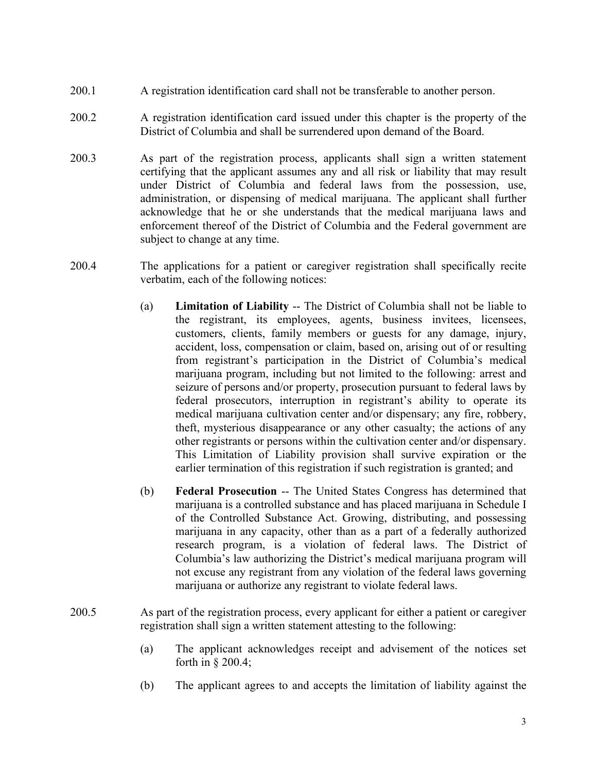- 200.1 A registration identification card shall not be transferable to another person.
- 200.2 A registration identification card issued under this chapter is the property of the District of Columbia and shall be surrendered upon demand of the Board.
- 200.3 As part of the registration process, applicants shall sign a written statement certifying that the applicant assumes any and all risk or liability that may result under District of Columbia and federal laws from the possession, use, administration, or dispensing of medical marijuana. The applicant shall further acknowledge that he or she understands that the medical marijuana laws and enforcement thereof of the District of Columbia and the Federal government are subject to change at any time.
- 200.4 The applications for a patient or caregiver registration shall specifically recite verbatim, each of the following notices:
	- (a) **Limitation of Liability** -- The District of Columbia shall not be liable to the registrant, its employees, agents, business invitees, licensees, customers, clients, family members or guests for any damage, injury, accident, loss, compensation or claim, based on, arising out of or resulting from registrant's participation in the District of Columbia's medical marijuana program, including but not limited to the following: arrest and seizure of persons and/or property, prosecution pursuant to federal laws by federal prosecutors, interruption in registrant's ability to operate its medical marijuana cultivation center and/or dispensary; any fire, robbery, theft, mysterious disappearance or any other casualty; the actions of any other registrants or persons within the cultivation center and/or dispensary. This Limitation of Liability provision shall survive expiration or the earlier termination of this registration if such registration is granted; and
	- (b) **Federal Prosecution** -- The United States Congress has determined that marijuana is a controlled substance and has placed marijuana in Schedule I of the Controlled Substance Act. Growing, distributing, and possessing marijuana in any capacity, other than as a part of a federally authorized research program, is a violation of federal laws. The District of Columbia's law authorizing the District's medical marijuana program will not excuse any registrant from any violation of the federal laws governing marijuana or authorize any registrant to violate federal laws.
- 200.5 As part of the registration process, every applicant for either a patient or caregiver registration shall sign a written statement attesting to the following:
	- (a) The applicant acknowledges receipt and advisement of the notices set forth in § 200.4;
	- (b) The applicant agrees to and accepts the limitation of liability against the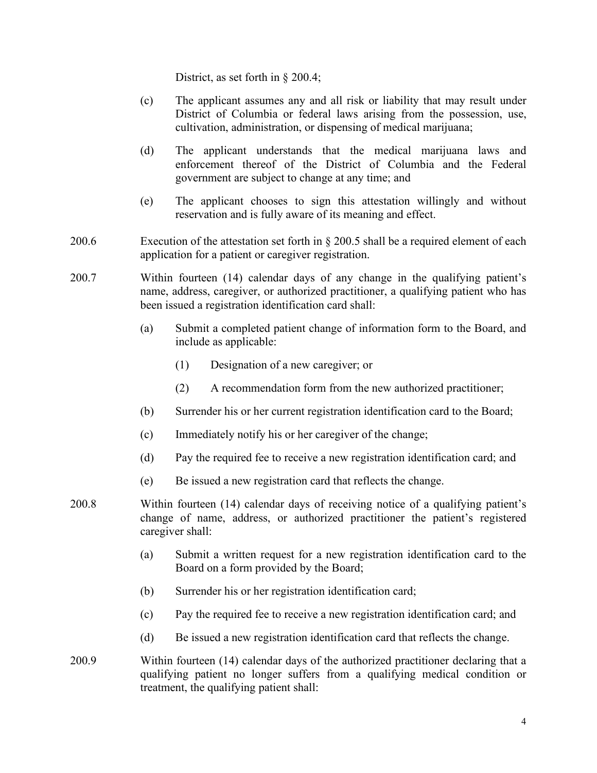District, as set forth in § 200.4;

- (c) The applicant assumes any and all risk or liability that may result under District of Columbia or federal laws arising from the possession, use, cultivation, administration, or dispensing of medical marijuana;
- (d) The applicant understands that the medical marijuana laws and enforcement thereof of the District of Columbia and the Federal government are subject to change at any time; and
- (e) The applicant chooses to sign this attestation willingly and without reservation and is fully aware of its meaning and effect.
- 200.6 Execution of the attestation set forth in § 200.5 shall be a required element of each application for a patient or caregiver registration.
- 200.7 Within fourteen (14) calendar days of any change in the qualifying patient's name, address, caregiver, or authorized practitioner, a qualifying patient who has been issued a registration identification card shall:
	- (a) Submit a completed patient change of information form to the Board, and include as applicable:
		- (1) Designation of a new caregiver; or
		- (2) A recommendation form from the new authorized practitioner;
	- (b) Surrender his or her current registration identification card to the Board;
	- (c) Immediately notify his or her caregiver of the change;
	- (d) Pay the required fee to receive a new registration identification card; and
	- (e) Be issued a new registration card that reflects the change.
- 200.8 Within fourteen (14) calendar days of receiving notice of a qualifying patient's change of name, address, or authorized practitioner the patient's registered caregiver shall:
	- (a) Submit a written request for a new registration identification card to the Board on a form provided by the Board;
	- (b) Surrender his or her registration identification card;
	- (c) Pay the required fee to receive a new registration identification card; and
	- (d) Be issued a new registration identification card that reflects the change.
- 200.9 Within fourteen (14) calendar days of the authorized practitioner declaring that a qualifying patient no longer suffers from a qualifying medical condition or treatment, the qualifying patient shall: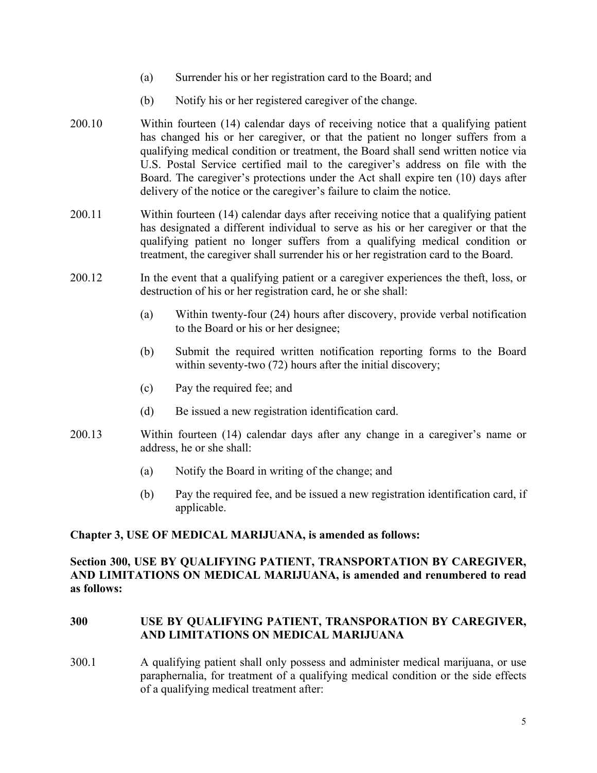- (a) Surrender his or her registration card to the Board; and
- (b) Notify his or her registered caregiver of the change.
- 200.10 Within fourteen (14) calendar days of receiving notice that a qualifying patient has changed his or her caregiver, or that the patient no longer suffers from a qualifying medical condition or treatment, the Board shall send written notice via U.S. Postal Service certified mail to the caregiver's address on file with the Board. The caregiver's protections under the Act shall expire ten (10) days after delivery of the notice or the caregiver's failure to claim the notice.
- 200.11 Within fourteen (14) calendar days after receiving notice that a qualifying patient has designated a different individual to serve as his or her caregiver or that the qualifying patient no longer suffers from a qualifying medical condition or treatment, the caregiver shall surrender his or her registration card to the Board.
- 200.12 In the event that a qualifying patient or a caregiver experiences the theft, loss, or destruction of his or her registration card, he or she shall:
	- (a) Within twenty-four (24) hours after discovery, provide verbal notification to the Board or his or her designee;
	- (b) Submit the required written notification reporting forms to the Board within seventy-two (72) hours after the initial discovery;
	- (c) Pay the required fee; and
	- (d) Be issued a new registration identification card.
- 200.13 Within fourteen (14) calendar days after any change in a caregiver's name or address, he or she shall:
	- (a) Notify the Board in writing of the change; and
	- (b) Pay the required fee, and be issued a new registration identification card, if applicable.

## **Chapter 3, USE OF MEDICAL MARIJUANA, is amended as follows:**

## **Section 300, USE BY QUALIFYING PATIENT, TRANSPORTATION BY CAREGIVER, AND LIMITATIONS ON MEDICAL MARIJUANA, is amended and renumbered to read as follows:**

## **300 USE BY QUALIFYING PATIENT, TRANSPORATION BY CAREGIVER, AND LIMITATIONS ON MEDICAL MARIJUANA**

300.1 A qualifying patient shall only possess and administer medical marijuana, or use paraphernalia, for treatment of a qualifying medical condition or the side effects of a qualifying medical treatment after: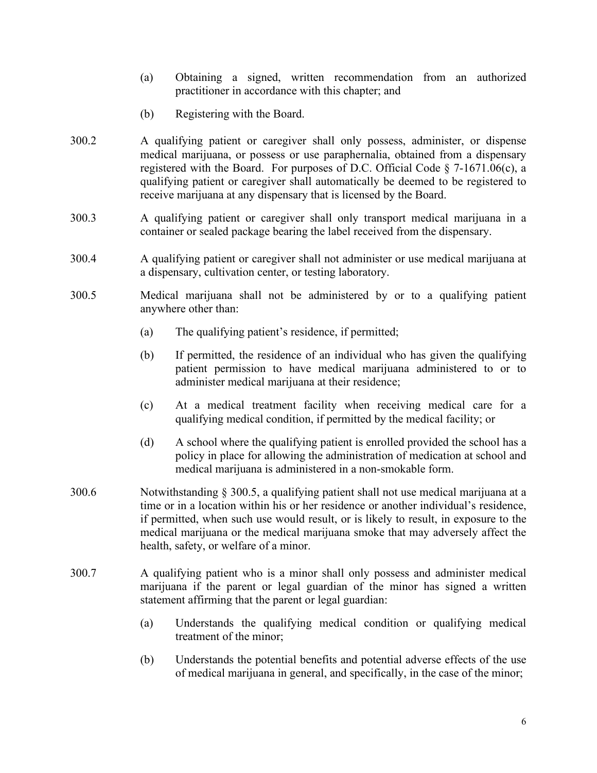- (a) Obtaining a signed, written recommendation from an authorized practitioner in accordance with this chapter; and
- (b) Registering with the Board.
- 300.2 A qualifying patient or caregiver shall only possess, administer, or dispense medical marijuana, or possess or use paraphernalia, obtained from a dispensary registered with the Board. For purposes of D.C. Official Code § 7-1671.06(c), a qualifying patient or caregiver shall automatically be deemed to be registered to receive marijuana at any dispensary that is licensed by the Board.
- 300.3 A qualifying patient or caregiver shall only transport medical marijuana in a container or sealed package bearing the label received from the dispensary.
- 300.4 A qualifying patient or caregiver shall not administer or use medical marijuana at a dispensary, cultivation center, or testing laboratory.
- 300.5 Medical marijuana shall not be administered by or to a qualifying patient anywhere other than:
	- (a) The qualifying patient's residence, if permitted;
	- (b) If permitted, the residence of an individual who has given the qualifying patient permission to have medical marijuana administered to or to administer medical marijuana at their residence;
	- (c) At a medical treatment facility when receiving medical care for a qualifying medical condition, if permitted by the medical facility; or
	- (d) A school where the qualifying patient is enrolled provided the school has a policy in place for allowing the administration of medication at school and medical marijuana is administered in a non-smokable form.
- 300.6 Notwithstanding § 300.5, a qualifying patient shall not use medical marijuana at a time or in a location within his or her residence or another individual's residence, if permitted, when such use would result, or is likely to result, in exposure to the medical marijuana or the medical marijuana smoke that may adversely affect the health, safety, or welfare of a minor.
- 300.7 A qualifying patient who is a minor shall only possess and administer medical marijuana if the parent or legal guardian of the minor has signed a written statement affirming that the parent or legal guardian:
	- (a) Understands the qualifying medical condition or qualifying medical treatment of the minor;
	- (b) Understands the potential benefits and potential adverse effects of the use of medical marijuana in general, and specifically, in the case of the minor;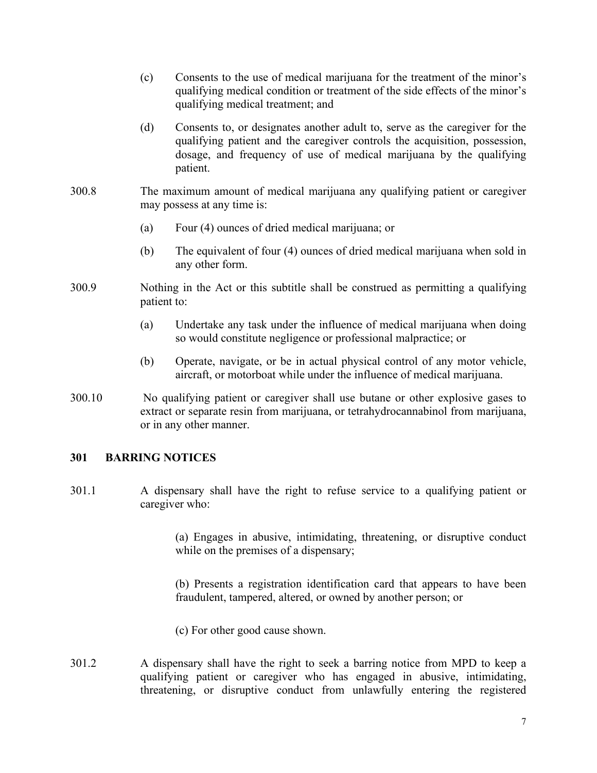- (c) Consents to the use of medical marijuana for the treatment of the minor's qualifying medical condition or treatment of the side effects of the minor's qualifying medical treatment; and (d) Consents to, or designates another adult to, serve as the caregiver for the qualifying patient and the caregiver controls the acquisition, possession, dosage, and frequency of use of medical marijuana by the qualifying patient. 300.8 The maximum amount of medical marijuana any qualifying patient or caregiver may possess at any time is: (a) Four (4) ounces of dried medical marijuana; or (b) The equivalent of four (4) ounces of dried medical marijuana when sold in any other form. 300.9 Nothing in the Act or this subtitle shall be construed as permitting a qualifying patient to: (a) Undertake any task under the influence of medical marijuana when doing so would constitute negligence or professional malpractice; or (b) Operate, navigate, or be in actual physical control of any motor vehicle, aircraft, or motorboat while under the influence of medical marijuana.
- 300.10 No qualifying patient or caregiver shall use butane or other explosive gases to extract or separate resin from marijuana, or tetrahydrocannabinol from marijuana, or in any other manner.

## **301 BARRING NOTICES**

301.1 A dispensary shall have the right to refuse service to a qualifying patient or caregiver who:

> (a) Engages in abusive, intimidating, threatening, or disruptive conduct while on the premises of a dispensary;

> (b) Presents a registration identification card that appears to have been fraudulent, tampered, altered, or owned by another person; or

- (c) For other good cause shown.
- 301.2 A dispensary shall have the right to seek a barring notice from MPD to keep a qualifying patient or caregiver who has engaged in abusive, intimidating, threatening, or disruptive conduct from unlawfully entering the registered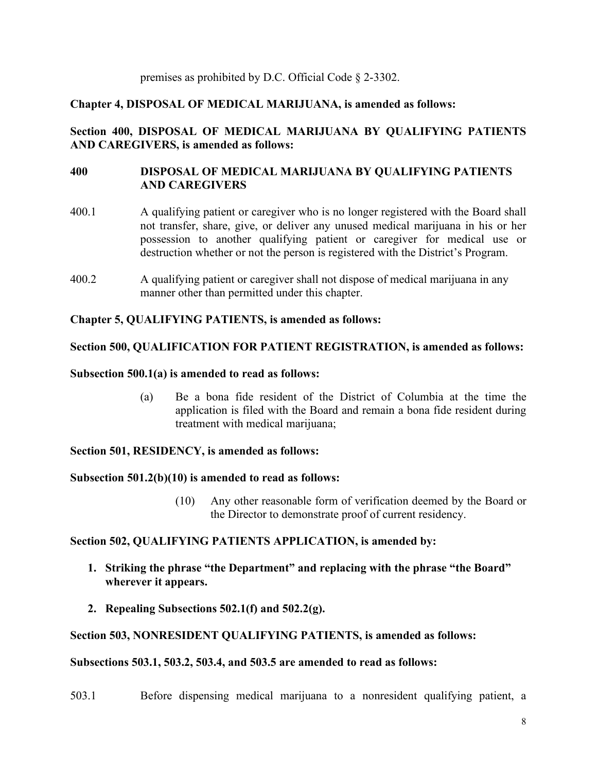premises as prohibited by D.C. Official Code § 2-3302.

# **Chapter 4, DISPOSAL OF MEDICAL MARIJUANA, is amended as follows:**

# **Section 400, DISPOSAL OF MEDICAL MARIJUANA BY QUALIFYING PATIENTS AND CAREGIVERS, is amended as follows:**

# **400 DISPOSAL OF MEDICAL MARIJUANA BY QUALIFYING PATIENTS AND CAREGIVERS**

- 400.1 A qualifying patient or caregiver who is no longer registered with the Board shall not transfer, share, give, or deliver any unused medical marijuana in his or her possession to another qualifying patient or caregiver for medical use or destruction whether or not the person is registered with the District's Program.
- 400.2 A qualifying patient or caregiver shall not dispose of medical marijuana in any manner other than permitted under this chapter.

## **Chapter 5, QUALIFYING PATIENTS, is amended as follows:**

## **Section 500, QUALIFICATION FOR PATIENT REGISTRATION, is amended as follows:**

## **Subsection 500.1(a) is amended to read as follows:**

(a) Be a bona fide resident of the District of Columbia at the time the application is filed with the Board and remain a bona fide resident during treatment with medical marijuana;

## **Section 501, RESIDENCY, is amended as follows:**

## **Subsection 501.2(b)(10) is amended to read as follows:**

(10) Any other reasonable form of verification deemed by the Board or the Director to demonstrate proof of current residency.

## **Section 502, QUALIFYING PATIENTS APPLICATION, is amended by:**

- **1. Striking the phrase "the Department" and replacing with the phrase "the Board" wherever it appears.**
- **2. Repealing Subsections 502.1(f) and 502.2(g).**

# **Section 503, NONRESIDENT QUALIFYING PATIENTS, is amended as follows:**

## **Subsections 503.1, 503.2, 503.4, and 503.5 are amended to read as follows:**

## 503.1 Before dispensing medical marijuana to a nonresident qualifying patient, a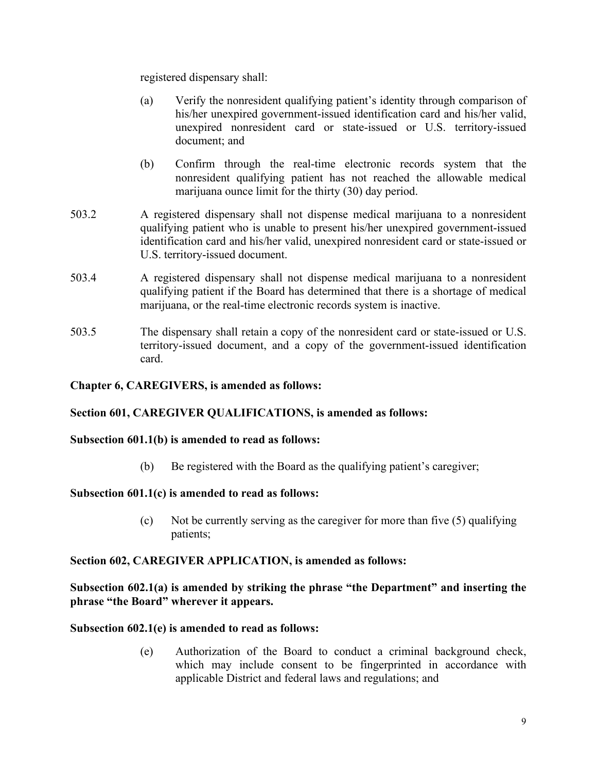registered dispensary shall:

- (a) Verify the nonresident qualifying patient's identity through comparison of his/her unexpired government-issued identification card and his/her valid, unexpired nonresident card or state-issued or U.S. territory-issued document; and
- (b) Confirm through the real-time electronic records system that the nonresident qualifying patient has not reached the allowable medical marijuana ounce limit for the thirty (30) day period.
- 503.2 A registered dispensary shall not dispense medical marijuana to a nonresident qualifying patient who is unable to present his/her unexpired government-issued identification card and his/her valid, unexpired nonresident card or state-issued or U.S. territory-issued document.
- 503.4 A registered dispensary shall not dispense medical marijuana to a nonresident qualifying patient if the Board has determined that there is a shortage of medical marijuana, or the real-time electronic records system is inactive.
- 503.5 The dispensary shall retain a copy of the nonresident card or state-issued or U.S. territory-issued document, and a copy of the government-issued identification card.

# **Chapter 6, CAREGIVERS, is amended as follows:**

# **Section 601, CAREGIVER QUALIFICATIONS, is amended as follows:**

# **Subsection 601.1(b) is amended to read as follows:**

(b) Be registered with the Board as the qualifying patient's caregiver;

# **Subsection 601.1(c) is amended to read as follows:**

(c) Not be currently serving as the caregiver for more than five (5) qualifying patients;

# **Section 602, CAREGIVER APPLICATION, is amended as follows:**

# **Subsection 602.1(a) is amended by striking the phrase "the Department" and inserting the phrase "the Board" wherever it appears.**

# **Subsection 602.1(e) is amended to read as follows:**

(e) Authorization of the Board to conduct a criminal background check, which may include consent to be fingerprinted in accordance with applicable District and federal laws and regulations; and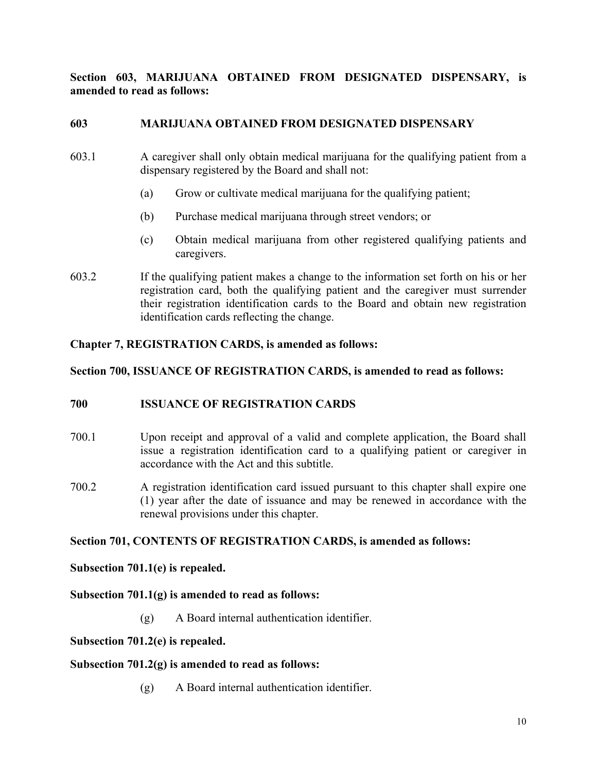**Section 603, MARIJUANA OBTAINED FROM DESIGNATED DISPENSARY, is amended to read as follows:**

## **603 MARIJUANA OBTAINED FROM DESIGNATED DISPENSARY**

- 603.1 A caregiver shall only obtain medical marijuana for the qualifying patient from a dispensary registered by the Board and shall not:
	- (a) Grow or cultivate medical marijuana for the qualifying patient;
	- (b) Purchase medical marijuana through street vendors; or
	- (c) Obtain medical marijuana from other registered qualifying patients and caregivers.
- 603.2 If the qualifying patient makes a change to the information set forth on his or her registration card, both the qualifying patient and the caregiver must surrender their registration identification cards to the Board and obtain new registration identification cards reflecting the change.

## **Chapter 7, REGISTRATION CARDS, is amended as follows:**

## **Section 700, ISSUANCE OF REGISTRATION CARDS, is amended to read as follows:**

# **700 ISSUANCE OF REGISTRATION CARDS**

- 700.1 Upon receipt and approval of a valid and complete application, the Board shall issue a registration identification card to a qualifying patient or caregiver in accordance with the Act and this subtitle.
- 700.2 A registration identification card issued pursuant to this chapter shall expire one (1) year after the date of issuance and may be renewed in accordance with the renewal provisions under this chapter.

## **Section 701, CONTENTS OF REGISTRATION CARDS, is amended as follows:**

## **Subsection 701.1(e) is repealed.**

## **Subsection 701.1(g) is amended to read as follows:**

(g) A Board internal authentication identifier.

## **Subsection 701.2(e) is repealed.**

## **Subsection 701.2(g) is amended to read as follows:**

(g) A Board internal authentication identifier.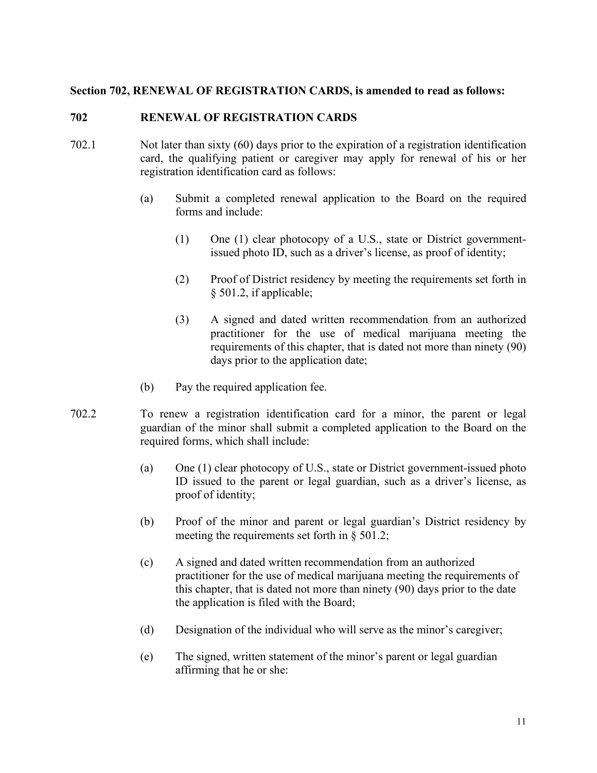## **Section 702, RENEWAL OF REGISTRATION CARDS, is amended to read as follows:**

## **702 RENEWAL OF REGISTRATION CARDS**

- 702.1 Not later than sixty (60) days prior to the expiration of a registration identification card, the qualifying patient or caregiver may apply for renewal of his or her registration identification card as follows:
	- (a) Submit a completed renewal application to the Board on the required forms and include:
		- (1) One (1) clear photocopy of a U.S., state or District governmentissued photo ID, such as a driver's license, as proof of identity;
		- (2) Proof of District residency by meeting the requirements set forth in § 501.2, if applicable;
		- (3) A signed and dated written recommendation from an authorized practitioner for the use of medical marijuana meeting the requirements of this chapter, that is dated not more than ninety (90) days prior to the application date;
	- (b) Pay the required application fee.
- 702.2 To renew a registration identification card for a minor, the parent or legal guardian of the minor shall submit a completed application to the Board on the required forms, which shall include:
	- (a) One (1) clear photocopy of U.S., state or District government-issued photo ID issued to the parent or legal guardian, such as a driver's license, as proof of identity;
	- (b) Proof of the minor and parent or legal guardian's District residency by meeting the requirements set forth in § 501.2;
	- (c) A signed and dated written recommendation from an authorized practitioner for the use of medical marijuana meeting the requirements of this chapter, that is dated not more than ninety (90) days prior to the date the application is filed with the Board;
	- (d) Designation of the individual who will serve as the minor's caregiver;
	- (e) The signed, written statement of the minor's parent or legal guardian affirming that he or she: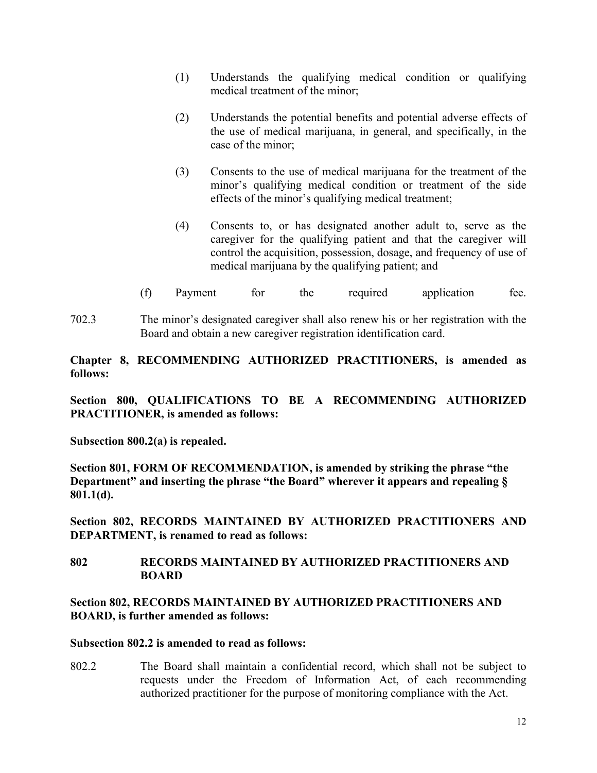- (1) Understands the qualifying medical condition or qualifying medical treatment of the minor;
- (2) Understands the potential benefits and potential adverse effects of the use of medical marijuana, in general, and specifically, in the case of the minor;
- (3) Consents to the use of medical marijuana for the treatment of the minor's qualifying medical condition or treatment of the side effects of the minor's qualifying medical treatment;
- (4) Consents to, or has designated another adult to, serve as the caregiver for the qualifying patient and that the caregiver will control the acquisition, possession, dosage, and frequency of use of medical marijuana by the qualifying patient; and
- (f) Payment for the required application fee.
- 702.3 The minor's designated caregiver shall also renew his or her registration with the Board and obtain a new caregiver registration identification card.

**Chapter 8, RECOMMENDING AUTHORIZED PRACTITIONERS, is amended as follows:**

**Section 800, QUALIFICATIONS TO BE A RECOMMENDING AUTHORIZED PRACTITIONER, is amended as follows:**

**Subsection 800.2(a) is repealed.**

**Section 801, FORM OF RECOMMENDATION, is amended by striking the phrase "the Department" and inserting the phrase "the Board" wherever it appears and repealing § 801.1(d).**

**Section 802, RECORDS MAINTAINED BY AUTHORIZED PRACTITIONERS AND DEPARTMENT, is renamed to read as follows:**

**802 RECORDS MAINTAINED BY AUTHORIZED PRACTITIONERS AND BOARD**

**Section 802, RECORDS MAINTAINED BY AUTHORIZED PRACTITIONERS AND BOARD, is further amended as follows:**

## **Subsection 802.2 is amended to read as follows:**

802.2 The Board shall maintain a confidential record, which shall not be subject to requests under the Freedom of Information Act, of each recommending authorized practitioner for the purpose of monitoring compliance with the Act.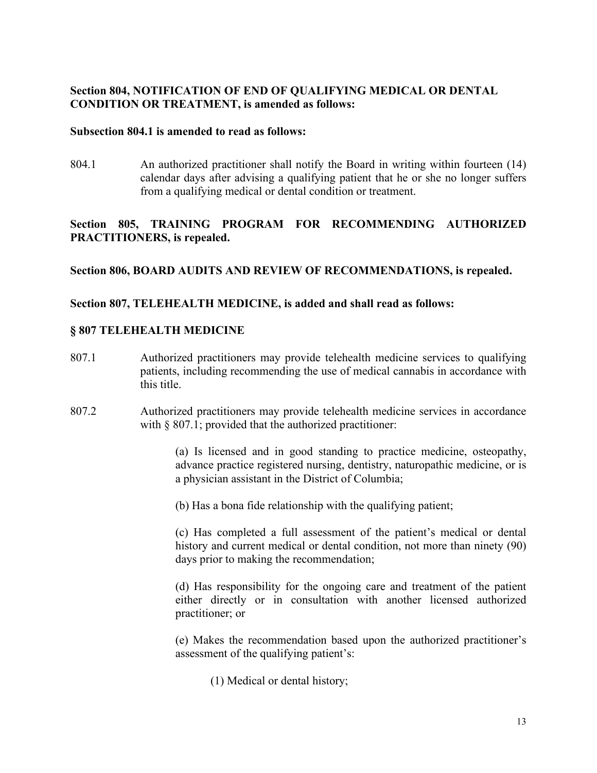# **Section 804, NOTIFICATION OF END OF QUALIFYING MEDICAL OR DENTAL CONDITION OR TREATMENT, is amended as follows:**

## **Subsection 804.1 is amended to read as follows:**

804.1 An authorized practitioner shall notify the Board in writing within fourteen (14) calendar days after advising a qualifying patient that he or she no longer suffers from a qualifying medical or dental condition or treatment.

# **Section 805, TRAINING PROGRAM FOR RECOMMENDING AUTHORIZED PRACTITIONERS, is repealed.**

# **Section 806, BOARD AUDITS AND REVIEW OF RECOMMENDATIONS, is repealed.**

# **Section 807, TELEHEALTH MEDICINE, is added and shall read as follows:**

# **§ 807 TELEHEALTH MEDICINE**

- 807.1 Authorized practitioners may provide telehealth medicine services to qualifying patients, including recommending the use of medical cannabis in accordance with this title.
- 807.2 Authorized practitioners may provide telehealth medicine services in accordance with  $\S 807.1$ ; provided that the authorized practitioner:

(a) Is licensed and in good standing to practice medicine, osteopathy, advance practice registered nursing, dentistry, naturopathic medicine, or is a physician assistant in the District of Columbia;

(b) Has a bona fide relationship with the qualifying patient;

(c) Has completed a full assessment of the patient's medical or dental history and current medical or dental condition, not more than ninety (90) days prior to making the recommendation;

(d) Has responsibility for the ongoing care and treatment of the patient either directly or in consultation with another licensed authorized practitioner; or

(e) Makes the recommendation based upon the authorized practitioner's assessment of the qualifying patient's:

(1) Medical or dental history;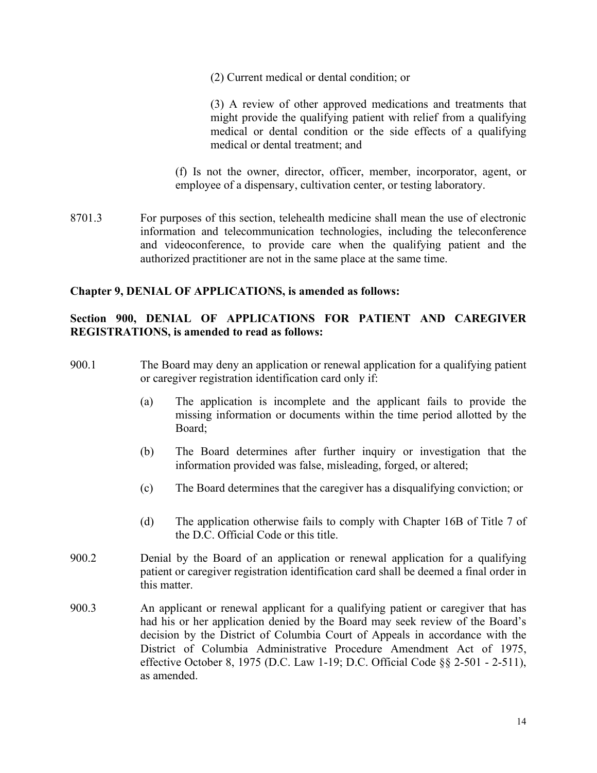(2) Current medical or dental condition; or

(3) A review of other approved medications and treatments that might provide the qualifying patient with relief from a qualifying medical or dental condition or the side effects of a qualifying medical or dental treatment; and

(f) Is not the owner, director, officer, member, incorporator, agent, or employee of a dispensary, cultivation center, or testing laboratory.

8701.3 For purposes of this section, telehealth medicine shall mean the use of electronic information and telecommunication technologies, including the teleconference and videoconference, to provide care when the qualifying patient and the authorized practitioner are not in the same place at the same time.

## **Chapter 9, DENIAL OF APPLICATIONS, is amended as follows:**

# **Section 900, DENIAL OF APPLICATIONS FOR PATIENT AND CAREGIVER REGISTRATIONS, is amended to read as follows:**

- 900.1 The Board may deny an application or renewal application for a qualifying patient or caregiver registration identification card only if:
	- (a) The application is incomplete and the applicant fails to provide the missing information or documents within the time period allotted by the Board;
	- (b) The Board determines after further inquiry or investigation that the information provided was false, misleading, forged, or altered;
	- (c) The Board determines that the caregiver has a disqualifying conviction; or
	- (d) The application otherwise fails to comply with Chapter 16B of Title 7 of the D.C. Official Code or this title.
- 900.2 Denial by the Board of an application or renewal application for a qualifying patient or caregiver registration identification card shall be deemed a final order in this matter.
- 900.3 An applicant or renewal applicant for a qualifying patient or caregiver that has had his or her application denied by the Board may seek review of the Board's decision by the District of Columbia Court of Appeals in accordance with the District of Columbia Administrative Procedure Amendment Act of 1975, effective October 8, 1975 (D.C. Law 1-19; [D.C. Official Code §§ 2-501](http://www.westlaw.com/Link/Document/FullText?findType=L&pubNum=1000869&cite=DCCODES2-501&originatingDoc=N92DDB430209311E1AECFDFFFC28015BC&refType=LQ&originationContext=document&vr=3.0&rs=cblt1.0&transitionType=DocumentItem&contextData=(sc.Default)) - [2-511\)](http://www.westlaw.com/Link/Document/FullText?findType=L&pubNum=1000869&cite=DCCODES2-511&originatingDoc=N92DDB430209311E1AECFDFFFC28015BC&refType=LQ&originationContext=document&vr=3.0&rs=cblt1.0&transitionType=DocumentItem&contextData=(sc.Default)), as amended.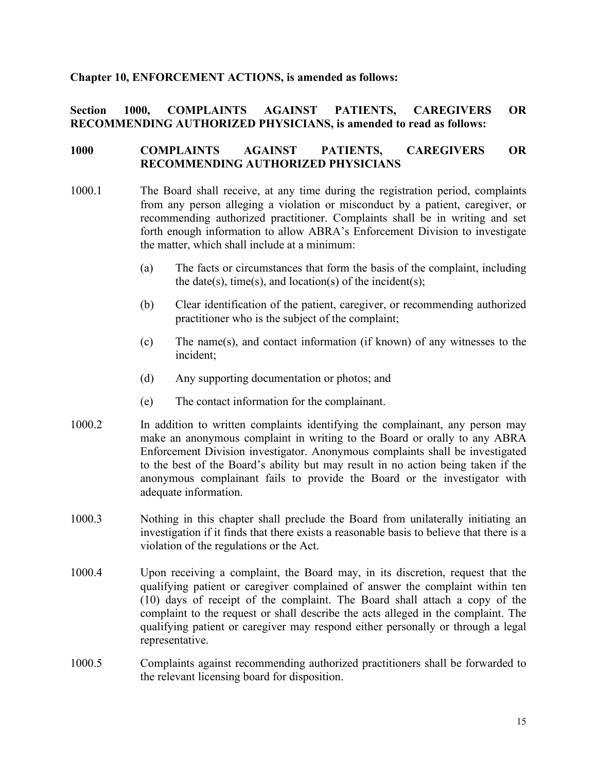## **Chapter 10, ENFORCEMENT ACTIONS, is amended as follows:**

## **Section 1000, COMPLAINTS AGAINST PATIENTS, CAREGIVERS OR RECOMMENDING AUTHORIZED PHYSICIANS, is amended to read as follows:**

## **1000 COMPLAINTS AGAINST PATIENTS, CAREGIVERS OR RECOMMENDING AUTHORIZED PHYSICIANS**

- 1000.1 The Board shall receive, at any time during the registration period, complaints from any person alleging a violation or misconduct by a patient, caregiver, or recommending authorized practitioner. Complaints shall be in writing and set forth enough information to allow ABRA's Enforcement Division to investigate the matter, which shall include at a minimum:
	- (a) The facts or circumstances that form the basis of the complaint, including the date(s), time(s), and location(s) of the incident(s);
	- (b) Clear identification of the patient, caregiver, or recommending authorized practitioner who is the subject of the complaint;
	- (c) The name(s), and contact information (if known) of any witnesses to the incident;
	- (d) Any supporting documentation or photos; and
	- (e) The contact information for the complainant.
- 1000.2 In addition to written complaints identifying the complainant, any person may make an anonymous complaint in writing to the Board or orally to any ABRA Enforcement Division investigator. Anonymous complaints shall be investigated to the best of the Board's ability but may result in no action being taken if the anonymous complainant fails to provide the Board or the investigator with adequate information.
- 1000.3 Nothing in this chapter shall preclude the Board from unilaterally initiating an investigation if it finds that there exists a reasonable basis to believe that there is a violation of the regulations or the Act.
- 1000.4 Upon receiving a complaint, the Board may, in its discretion, request that the qualifying patient or caregiver complained of answer the complaint within ten (10) days of receipt of the complaint. The Board shall attach a copy of the complaint to the request or shall describe the acts alleged in the complaint. The qualifying patient or caregiver may respond either personally or through a legal representative.
- 1000.5 Complaints against recommending authorized practitioners shall be forwarded to the relevant licensing board for disposition.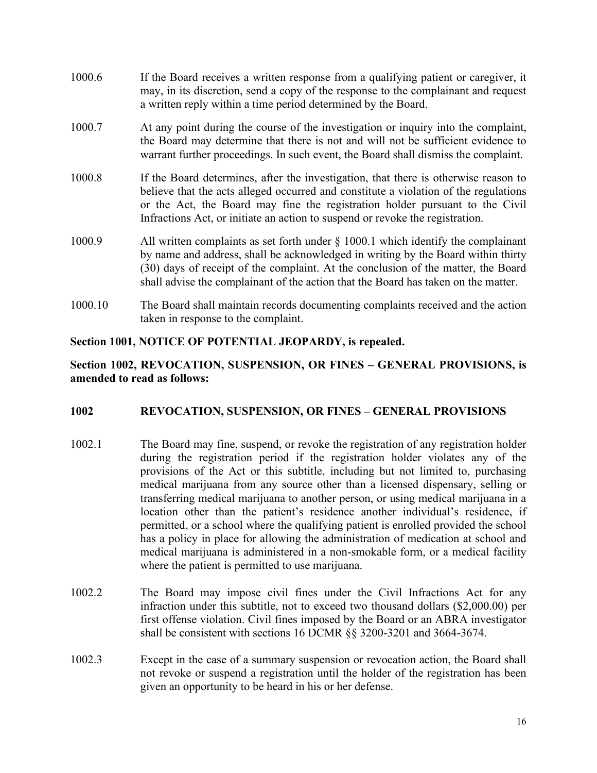| 1000.6 | If the Board receives a written response from a qualifying patient or caregiver, it<br>may, in its discretion, send a copy of the response to the complainant and request<br>a written reply within a time period determined by the Board.                                                                                                          |
|--------|-----------------------------------------------------------------------------------------------------------------------------------------------------------------------------------------------------------------------------------------------------------------------------------------------------------------------------------------------------|
| 1000.7 | At any point during the course of the investigation or inquiry into the complaint,<br>the Board may determine that there is not and will not be sufficient evidence to<br>warrant further proceedings. In such event, the Board shall dismiss the complaint.                                                                                        |
| 1000.8 | If the Board determines, after the investigation, that there is otherwise reason to<br>believe that the acts alleged occurred and constitute a violation of the regulations<br>or the Act, the Board may fine the registration holder pursuant to the Civil<br>Infractions Act, or initiate an action to suspend or revoke the registration.        |
| 1000.9 | All written complaints as set forth under $\S$ 1000.1 which identify the complainant<br>by name and address, shall be acknowledged in writing by the Board within thirty<br>(30) days of receipt of the complaint. At the conclusion of the matter, the Board<br>shall advise the complainant of the action that the Board has taken on the matter. |
|        |                                                                                                                                                                                                                                                                                                                                                     |

1000.10 The Board shall maintain records documenting complaints received and the action taken in response to the complaint.

## **Section 1001, NOTICE OF POTENTIAL JEOPARDY, is repealed.**

## **Section 1002, REVOCATION, SUSPENSION, OR FINES – GENERAL PROVISIONS, is amended to read as follows:**

## **1002 REVOCATION, SUSPENSION, OR FINES – GENERAL PROVISIONS**

- 1002.1 The Board may fine, suspend, or revoke the registration of any registration holder during the registration period if the registration holder violates any of the provisions of the Act or this subtitle, including but not limited to, purchasing medical marijuana from any source other than a licensed dispensary, selling or transferring medical marijuana to another person, or using medical marijuana in a location other than the patient's residence another individual's residence, if permitted, or a school where the qualifying patient is enrolled provided the school has a policy in place for allowing the administration of medication at school and medical marijuana is administered in a non-smokable form, or a medical facility where the patient is permitted to use marijuana.
- 1002.2 The Board may impose civil fines under the Civil Infractions Act for any infraction under this subtitle, not to exceed two thousand dollars (\$2,000.00) per first offense violation. Civil fines imposed by the Board or an ABRA investigator shall be consistent with sections 16 DCMR §§ 3200-3201 and 3664-3674.
- 1002.3 Except in the case of a summary suspension or revocation action, the Board shall not revoke or suspend a registration until the holder of the registration has been given an opportunity to be heard in his or her defense.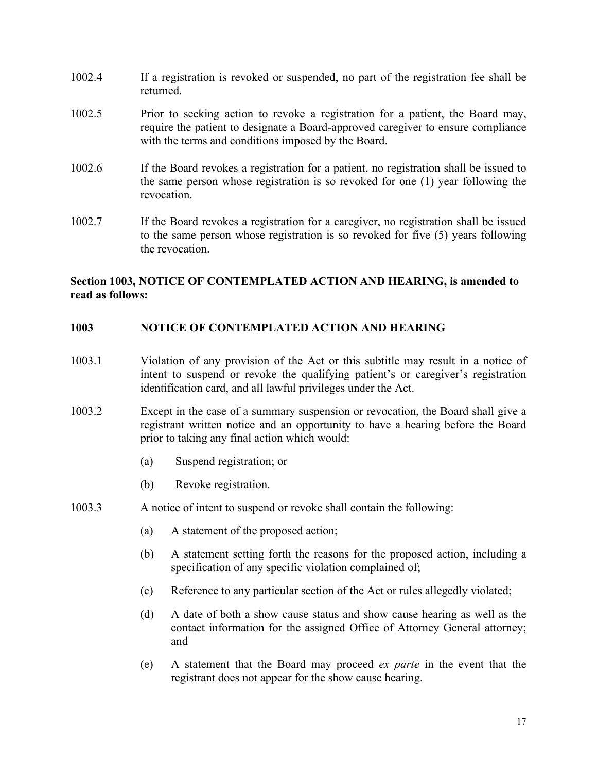- 1002.4 If a registration is revoked or suspended, no part of the registration fee shall be returned.
- 1002.5 Prior to seeking action to revoke a registration for a patient, the Board may, require the patient to designate a Board-approved caregiver to ensure compliance with the terms and conditions imposed by the Board.
- 1002.6 If the Board revokes a registration for a patient, no registration shall be issued to the same person whose registration is so revoked for one (1) year following the revocation.
- 1002.7 If the Board revokes a registration for a caregiver, no registration shall be issued to the same person whose registration is so revoked for five (5) years following the revocation.

# **Section 1003, NOTICE OF CONTEMPLATED ACTION AND HEARING, is amended to read as follows:**

## **1003 NOTICE OF CONTEMPLATED ACTION AND HEARING**

- 1003.1 Violation of any provision of the Act or this subtitle may result in a notice of intent to suspend or revoke the qualifying patient's or caregiver's registration identification card, and all lawful privileges under the Act.
- 1003.2 Except in the case of a summary suspension or revocation, the Board shall give a registrant written notice and an opportunity to have a hearing before the Board prior to taking any final action which would:
	- (a) Suspend registration; or
	- (b) Revoke registration.
- 1003.3 A notice of intent to suspend or revoke shall contain the following:
	- (a) A statement of the proposed action;
	- (b) A statement setting forth the reasons for the proposed action, including a specification of any specific violation complained of;
	- (c) Reference to any particular section of the Act or rules allegedly violated;
	- (d) A date of both a show cause status and show cause hearing as well as the contact information for the assigned Office of Attorney General attorney; and
	- (e) A statement that the Board may proceed *ex parte* in the event that the registrant does not appear for the show cause hearing.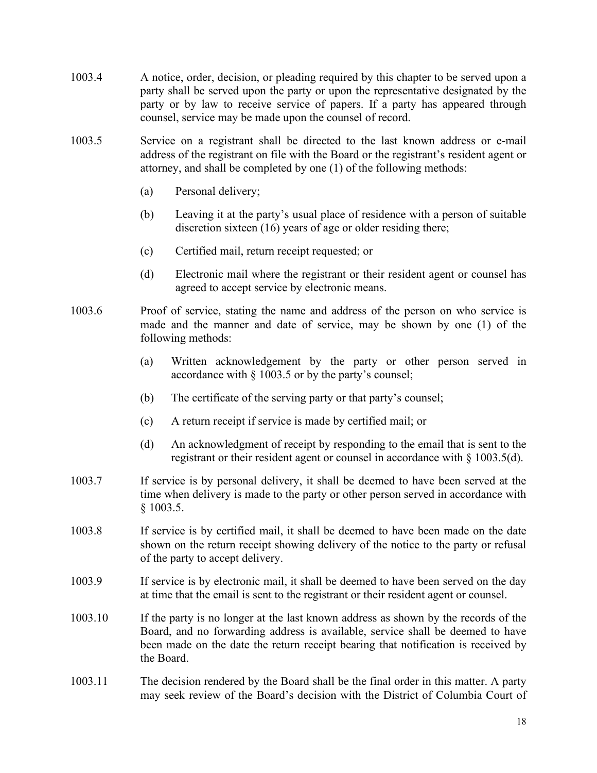- 1003.4 A notice, order, decision, or pleading required by this chapter to be served upon a party shall be served upon the party or upon the representative designated by the party or by law to receive service of papers. If a party has appeared through counsel, service may be made upon the counsel of record.
- 1003.5 Service on a registrant shall be directed to the last known address or e-mail address of the registrant on file with the Board or the registrant's resident agent or attorney, and shall be completed by one (1) of the following methods:
	- (a) Personal delivery;
	- (b) Leaving it at the party's usual place of residence with a person of suitable discretion sixteen (16) years of age or older residing there;
	- (c) Certified mail, return receipt requested; or
	- (d) Electronic mail where the registrant or their resident agent or counsel has agreed to accept service by electronic means.
- 1003.6 Proof of service, stating the name and address of the person on who service is made and the manner and date of service, may be shown by one (1) of the following methods:
	- (a) Written acknowledgement by the party or other person served in accordance with § 1003.5 or by the party's counsel;
	- (b) The certificate of the serving party or that party's counsel;
	- (c) A return receipt if service is made by certified mail; or
	- (d) An acknowledgment of receipt by responding to the email that is sent to the registrant or their resident agent or counsel in accordance with § 1003.5(d).
- 1003.7 If service is by personal delivery, it shall be deemed to have been served at the time when delivery is made to the party or other person served in accordance with § 1003.5.
- 1003.8 If service is by certified mail, it shall be deemed to have been made on the date shown on the return receipt showing delivery of the notice to the party or refusal of the party to accept delivery.
- 1003.9 If service is by electronic mail, it shall be deemed to have been served on the day at time that the email is sent to the registrant or their resident agent or counsel.
- 1003.10 If the party is no longer at the last known address as shown by the records of the Board, and no forwarding address is available, service shall be deemed to have been made on the date the return receipt bearing that notification is received by the Board.
- 1003.11 The decision rendered by the Board shall be the final order in this matter. A party may seek review of the Board's decision with the District of Columbia Court of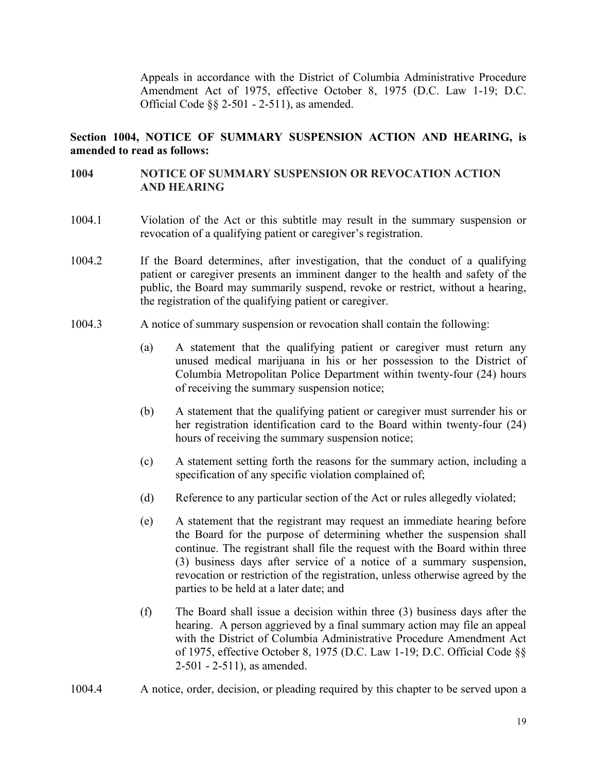Appeals in accordance with the District of Columbia Administrative Procedure Amendment Act of 1975, effective October 8, 1975 (D.C. Law 1-19; [D.C.](http://www.westlaw.com/Link/Document/FullText?findType=L&pubNum=1000869&cite=DCCODES2-501&originatingDoc=N92DDB430209311E1AECFDFFFC28015BC&refType=LQ&originationContext=document&vr=3.0&rs=cblt1.0&transitionType=DocumentItem&contextData=(sc.Default))  [Official Code §§ 2-501](http://www.westlaw.com/Link/Document/FullText?findType=L&pubNum=1000869&cite=DCCODES2-501&originatingDoc=N92DDB430209311E1AECFDFFFC28015BC&refType=LQ&originationContext=document&vr=3.0&rs=cblt1.0&transitionType=DocumentItem&contextData=(sc.Default)) - [2-511\)](http://www.westlaw.com/Link/Document/FullText?findType=L&pubNum=1000869&cite=DCCODES2-511&originatingDoc=N92DDB430209311E1AECFDFFFC28015BC&refType=LQ&originationContext=document&vr=3.0&rs=cblt1.0&transitionType=DocumentItem&contextData=(sc.Default)), as amended.

**Section 1004, NOTICE OF SUMMARY SUSPENSION ACTION AND HEARING, is amended to read as follows:**

## **1004 NOTICE OF SUMMARY SUSPENSION OR REVOCATION ACTION AND HEARING**

- 1004.1 Violation of the Act or this subtitle may result in the summary suspension or revocation of a qualifying patient or caregiver's registration.
- 1004.2 If the Board determines, after investigation, that the conduct of a qualifying patient or caregiver presents an imminent danger to the health and safety of the public, the Board may summarily suspend, revoke or restrict, without a hearing, the registration of the qualifying patient or caregiver.
- 1004.3 A notice of summary suspension or revocation shall contain the following:
	- (a) A statement that the qualifying patient or caregiver must return any unused medical marijuana in his or her possession to the District of Columbia Metropolitan Police Department within twenty-four (24) hours of receiving the summary suspension notice;
	- (b) A statement that the qualifying patient or caregiver must surrender his or her registration identification card to the Board within twenty-four (24) hours of receiving the summary suspension notice;
	- (c) A statement setting forth the reasons for the summary action, including a specification of any specific violation complained of;
	- (d) Reference to any particular section of the Act or rules allegedly violated;
	- (e) A statement that the registrant may request an immediate hearing before the Board for the purpose of determining whether the suspension shall continue. The registrant shall file the request with the Board within three (3) business days after service of a notice of a summary suspension, revocation or restriction of the registration, unless otherwise agreed by the parties to be held at a later date; and
	- (f) The Board shall issue a decision within three (3) business days after the hearing. A person aggrieved by a final summary action may file an appeal with the District of Columbia Administrative Procedure Amendment Act of 1975, effective October 8, 1975 (D.C. Law 1-19; [D.C. Official Code §§](http://www.westlaw.com/Link/Document/FullText?findType=L&pubNum=1000869&cite=DCCODES2-501&originatingDoc=N92DDB430209311E1AECFDFFFC28015BC&refType=LQ&originationContext=document&vr=3.0&rs=cblt1.0&transitionType=DocumentItem&contextData=(sc.Default))  [2-501](http://www.westlaw.com/Link/Document/FullText?findType=L&pubNum=1000869&cite=DCCODES2-501&originatingDoc=N92DDB430209311E1AECFDFFFC28015BC&refType=LQ&originationContext=document&vr=3.0&rs=cblt1.0&transitionType=DocumentItem&contextData=(sc.Default)) - [2-511\)](http://www.westlaw.com/Link/Document/FullText?findType=L&pubNum=1000869&cite=DCCODES2-511&originatingDoc=N92DDB430209311E1AECFDFFFC28015BC&refType=LQ&originationContext=document&vr=3.0&rs=cblt1.0&transitionType=DocumentItem&contextData=(sc.Default)), as amended.
- 1004.4 A notice, order, decision, or pleading required by this chapter to be served upon a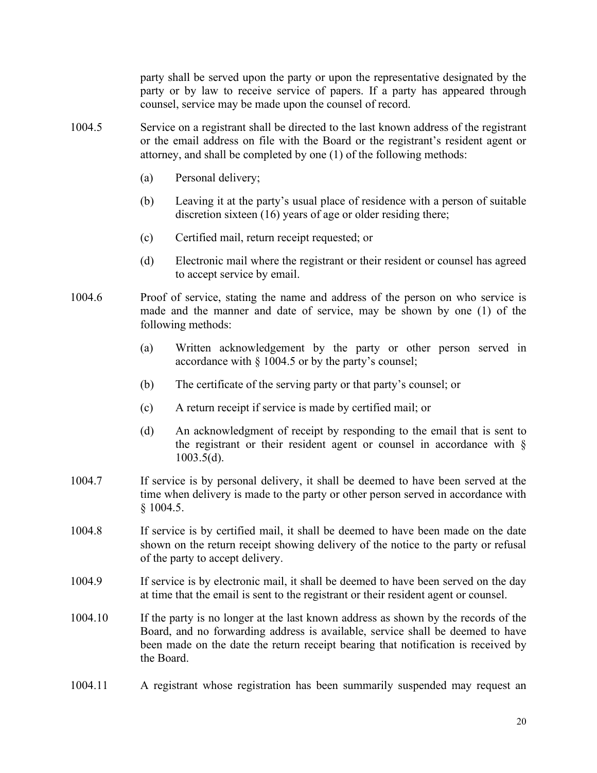party shall be served upon the party or upon the representative designated by the party or by law to receive service of papers. If a party has appeared through counsel, service may be made upon the counsel of record.

- 1004.5 Service on a registrant shall be directed to the last known address of the registrant or the email address on file with the Board or the registrant's resident agent or attorney, and shall be completed by one (1) of the following methods:
	- (a) Personal delivery;
	- (b) Leaving it at the party's usual place of residence with a person of suitable discretion sixteen (16) years of age or older residing there;
	- (c) Certified mail, return receipt requested; or
	- (d) Electronic mail where the registrant or their resident or counsel has agreed to accept service by email.
- 1004.6 Proof of service, stating the name and address of the person on who service is made and the manner and date of service, may be shown by one (1) of the following methods:
	- (a) Written acknowledgement by the party or other person served in accordance with § 1004.5 or by the party's counsel;
	- (b) The certificate of the serving party or that party's counsel; or
	- (c) A return receipt if service is made by certified mail; or
	- (d) An acknowledgment of receipt by responding to the email that is sent to the registrant or their resident agent or counsel in accordance with § 1003.5(d).
- 1004.7 If service is by personal delivery, it shall be deemed to have been served at the time when delivery is made to the party or other person served in accordance with § 1004.5.
- 1004.8 If service is by certified mail, it shall be deemed to have been made on the date shown on the return receipt showing delivery of the notice to the party or refusal of the party to accept delivery.
- 1004.9 If service is by electronic mail, it shall be deemed to have been served on the day at time that the email is sent to the registrant or their resident agent or counsel.
- 1004.10 If the party is no longer at the last known address as shown by the records of the Board, and no forwarding address is available, service shall be deemed to have been made on the date the return receipt bearing that notification is received by the Board.
- 1004.11 A registrant whose registration has been summarily suspended may request an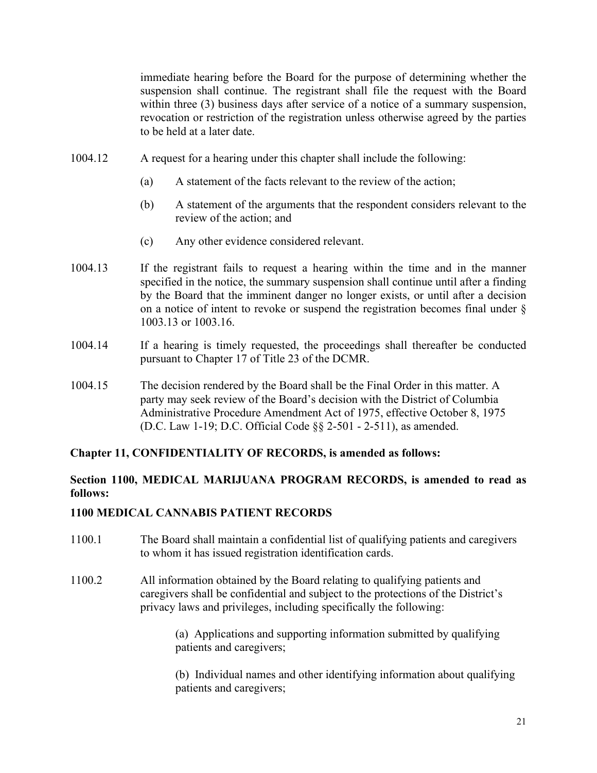immediate hearing before the Board for the purpose of determining whether the suspension shall continue. The registrant shall file the request with the Board within three (3) business days after service of a notice of a summary suspension, revocation or restriction of the registration unless otherwise agreed by the parties to be held at a later date.

- 1004.12 A request for a hearing under this chapter shall include the following:
	- (a) A statement of the facts relevant to the review of the action;
	- (b) A statement of the arguments that the respondent considers relevant to the review of the action; and
	- (c) Any other evidence considered relevant.
- 1004.13 If the registrant fails to request a hearing within the time and in the manner specified in the notice, the summary suspension shall continue until after a finding by the Board that the imminent danger no longer exists, or until after a decision on a notice of intent to revoke or suspend the registration becomes final under § 1003.13 or 1003.16.
- 1004.14 If a hearing is timely requested, the proceedings shall thereafter be conducted pursuant to Chapter 17 of Title 23 of the DCMR.
- 1004.15 The decision rendered by the Board shall be the Final Order in this matter. A party may seek review of the Board's decision with the District of Columbia Administrative Procedure Amendment Act of 1975, effective October 8, 1975 (D.C. Law 1-19; [D.C. Official Code §§ 2-501](http://www.westlaw.com/Link/Document/FullText?findType=L&pubNum=1000869&cite=DCCODES2-501&originatingDoc=N92DDB430209311E1AECFDFFFC28015BC&refType=LQ&originationContext=document&vr=3.0&rs=cblt1.0&transitionType=DocumentItem&contextData=(sc.Default)) - [2-511\)](http://www.westlaw.com/Link/Document/FullText?findType=L&pubNum=1000869&cite=DCCODES2-511&originatingDoc=N92DDB430209311E1AECFDFFFC28015BC&refType=LQ&originationContext=document&vr=3.0&rs=cblt1.0&transitionType=DocumentItem&contextData=(sc.Default)), as amended.

## **Chapter 11, CONFIDENTIALITY OF RECORDS, is amended as follows:**

## **Section 1100, MEDICAL MARIJUANA PROGRAM RECORDS, is amended to read as follows:**

## **1100 MEDICAL CANNABIS PATIENT RECORDS**

- 1100.1 The Board shall maintain a confidential list of qualifying patients and caregivers to whom it has issued registration identification cards.
- 1100.2 All information obtained by the Board relating to qualifying patients and caregivers shall be confidential and subject to the protections of the District's privacy laws and privileges, including specifically the following:

(a) Applications and supporting information submitted by qualifying patients and caregivers;

(b) Individual names and other identifying information about qualifying patients and caregivers;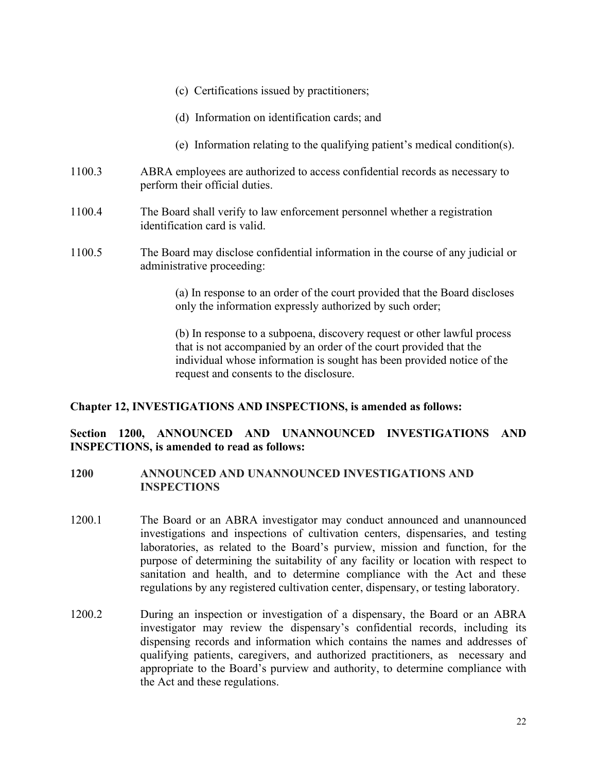- (c) Certifications issued by practitioners;
- (d) Information on identification cards; and
- (e) Information relating to the qualifying patient's medical condition(s).
- 1100.3 ABRA employees are authorized to access confidential records as necessary to perform their official duties.
- 1100.4 The Board shall verify to law enforcement personnel whether a registration identification card is valid.
- 1100.5 The Board may disclose confidential information in the course of any judicial or administrative proceeding:

(a) In response to an order of the court provided that the Board discloses only the information expressly authorized by such order;

(b) In response to a subpoena, discovery request or other lawful process that is not accompanied by an order of the court provided that the individual whose information is sought has been provided notice of the request and consents to the disclosure.

## **Chapter 12, INVESTIGATIONS AND INSPECTIONS, is amended as follows:**

# **Section 1200, ANNOUNCED AND UNANNOUNCED INVESTIGATIONS AND INSPECTIONS, is amended to read as follows:**

## **1200 ANNOUNCED AND UNANNOUNCED INVESTIGATIONS AND INSPECTIONS**

- 1200.1 The Board or an ABRA investigator may conduct announced and unannounced investigations and inspections of cultivation centers, dispensaries, and testing laboratories, as related to the Board's purview, mission and function, for the purpose of determining the suitability of any facility or location with respect to sanitation and health, and to determine compliance with the Act and these regulations by any registered cultivation center, dispensary, or testing laboratory.
- 1200.2 During an inspection or investigation of a dispensary, the Board or an ABRA investigator may review the dispensary's confidential records, including its dispensing records and information which contains the names and addresses of qualifying patients, caregivers, and authorized practitioners, as necessary and appropriate to the Board's purview and authority, to determine compliance with the Act and these regulations.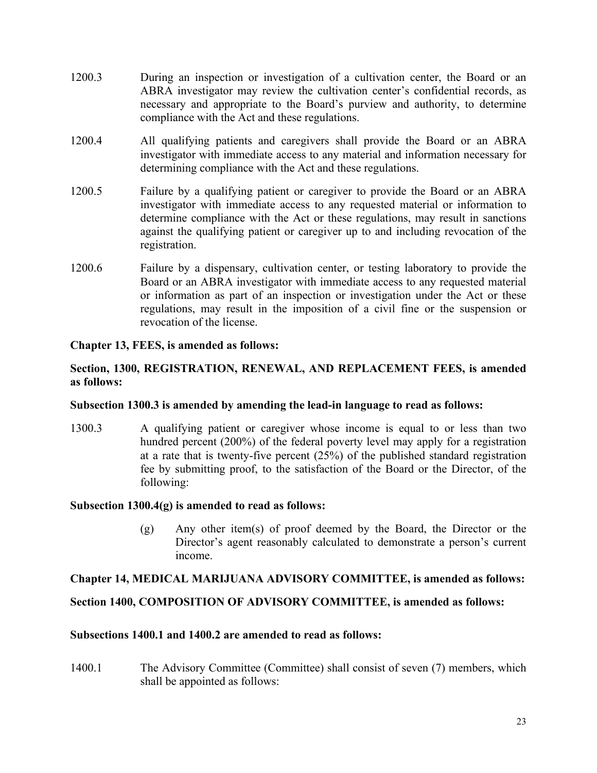- 1200.3 During an inspection or investigation of a cultivation center, the Board or an ABRA investigator may review the cultivation center's confidential records, as necessary and appropriate to the Board's purview and authority, to determine compliance with the Act and these regulations.
- 1200.4 All qualifying patients and caregivers shall provide the Board or an ABRA investigator with immediate access to any material and information necessary for determining compliance with the Act and these regulations.
- 1200.5 Failure by a qualifying patient or caregiver to provide the Board or an ABRA investigator with immediate access to any requested material or information to determine compliance with the Act or these regulations, may result in sanctions against the qualifying patient or caregiver up to and including revocation of the registration.
- 1200.6 Failure by a dispensary, cultivation center, or testing laboratory to provide the Board or an ABRA investigator with immediate access to any requested material or information as part of an inspection or investigation under the Act or these regulations, may result in the imposition of a civil fine or the suspension or revocation of the license.

## **Chapter 13, FEES, is amended as follows:**

## **Section, 1300, REGISTRATION, RENEWAL, AND REPLACEMENT FEES, is amended as follows:**

## **Subsection 1300.3 is amended by amending the lead-in language to read as follows:**

1300.3 A qualifying patient or caregiver whose income is equal to or less than two hundred percent (200%) of the federal poverty level may apply for a registration at a rate that is twenty-five percent (25%) of the published standard registration fee by submitting proof, to the satisfaction of the Board or the Director, of the following:

## **Subsection 1300.4(g) is amended to read as follows:**

(g) Any other item(s) of proof deemed by the Board, the Director or the Director's agent reasonably calculated to demonstrate a person's current income.

# **Chapter 14, MEDICAL MARIJUANA ADVISORY COMMITTEE, is amended as follows:**

# **Section 1400, COMPOSITION OF ADVISORY COMMITTEE, is amended as follows:**

## **Subsections 1400.1 and 1400.2 are amended to read as follows:**

1400.1 The Advisory Committee (Committee) shall consist of seven (7) members, which shall be appointed as follows: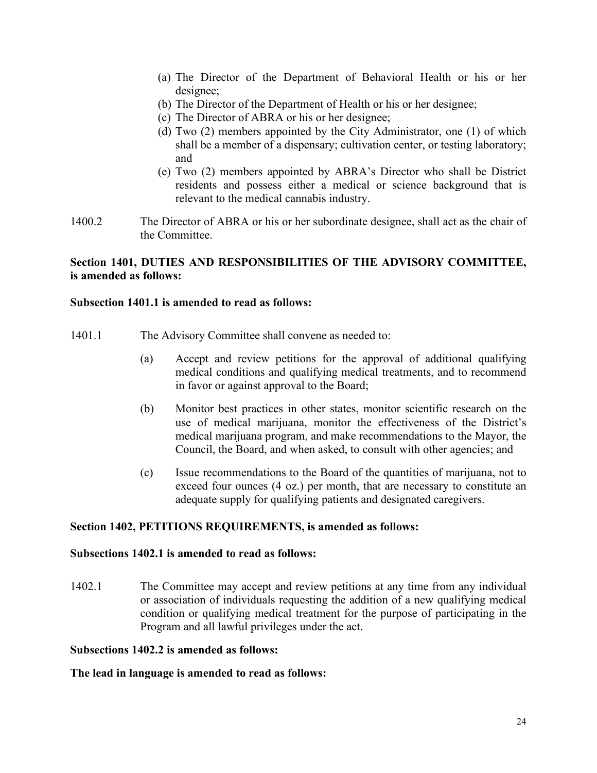- (a) The Director of the Department of Behavioral Health or his or her designee;
- (b) The Director of the Department of Health or his or her designee;
- (c) The Director of ABRA or his or her designee;
- (d) Two (2) members appointed by the City Administrator, one (1) of which shall be a member of a dispensary; cultivation center, or testing laboratory; and
- (e) Two (2) members appointed by ABRA's Director who shall be District residents and possess either a medical or science background that is relevant to the medical cannabis industry.
- 1400.2 The Director of ABRA or his or her subordinate designee, shall act as the chair of the Committee.

## **Section 1401, DUTIES AND RESPONSIBILITIES OF THE ADVISORY COMMITTEE, is amended as follows:**

## **Subsection 1401.1 is amended to read as follows:**

- 1401.1 The Advisory Committee shall convene as needed to:
	- (a) Accept and review petitions for the approval of additional qualifying medical conditions and qualifying medical treatments, and to recommend in favor or against approval to the Board;
	- (b) Monitor best practices in other states, monitor scientific research on the use of medical marijuana, monitor the effectiveness of the District's medical marijuana program, and make recommendations to the Mayor, the Council, the Board, and when asked, to consult with other agencies; and
	- (c) Issue recommendations to the Board of the quantities of marijuana, not to exceed four ounces (4 oz.) per month, that are necessary to constitute an adequate supply for qualifying patients and designated caregivers.

## **Section 1402, PETITIONS REQUIREMENTS, is amended as follows:**

### **Subsections 1402.1 is amended to read as follows:**

1402.1 The Committee may accept and review petitions at any time from any individual or association of individuals requesting the addition of a new qualifying medical condition or qualifying medical treatment for the purpose of participating in the Program and all lawful privileges under the act.

### **Subsections 1402.2 is amended as follows:**

## **The lead in language is amended to read as follows:**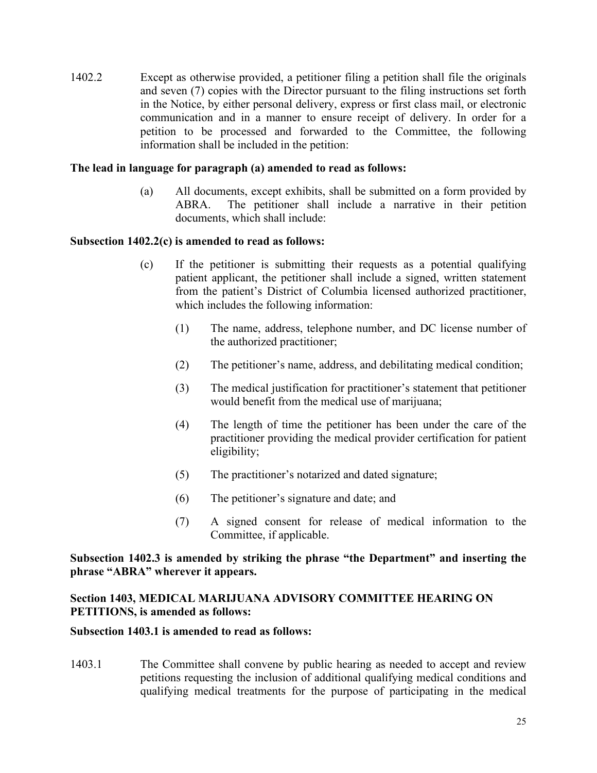1402.2 Except as otherwise provided, a petitioner filing a petition shall file the originals and seven (7) copies with the Director pursuant to the filing instructions set forth in the Notice, by either personal delivery, express or first class mail, or electronic communication and in a manner to ensure receipt of delivery. In order for a petition to be processed and forwarded to the Committee, the following information shall be included in the petition:

## **The lead in language for paragraph (a) amended to read as follows:**

(a) All documents, except exhibits, shall be submitted on a form provided by ABRA. The petitioner shall include a narrative in their petition documents, which shall include:

## **Subsection 1402.2(c) is amended to read as follows:**

- (c) If the petitioner is submitting their requests as a potential qualifying patient applicant, the petitioner shall include a signed, written statement from the patient's District of Columbia licensed authorized practitioner, which includes the following information:
	- (1) The name, address, telephone number, and DC license number of the authorized practitioner;
	- (2) The petitioner's name, address, and debilitating medical condition;
	- (3) The medical justification for practitioner's statement that petitioner would benefit from the medical use of marijuana;
	- (4) The length of time the petitioner has been under the care of the practitioner providing the medical provider certification for patient eligibility;
	- (5) The practitioner's notarized and dated signature;
	- (6) The petitioner's signature and date; and
	- (7) A signed consent for release of medical information to the Committee, if applicable.

## **Subsection 1402.3 is amended by striking the phrase "the Department" and inserting the phrase "ABRA" wherever it appears.**

## **Section 1403, MEDICAL MARIJUANA ADVISORY COMMITTEE HEARING ON PETITIONS, is amended as follows:**

#### **Subsection 1403.1 is amended to read as follows:**

1403.1 The Committee shall convene by public hearing as needed to accept and review petitions requesting the inclusion of additional qualifying medical conditions and qualifying medical treatments for the purpose of participating in the medical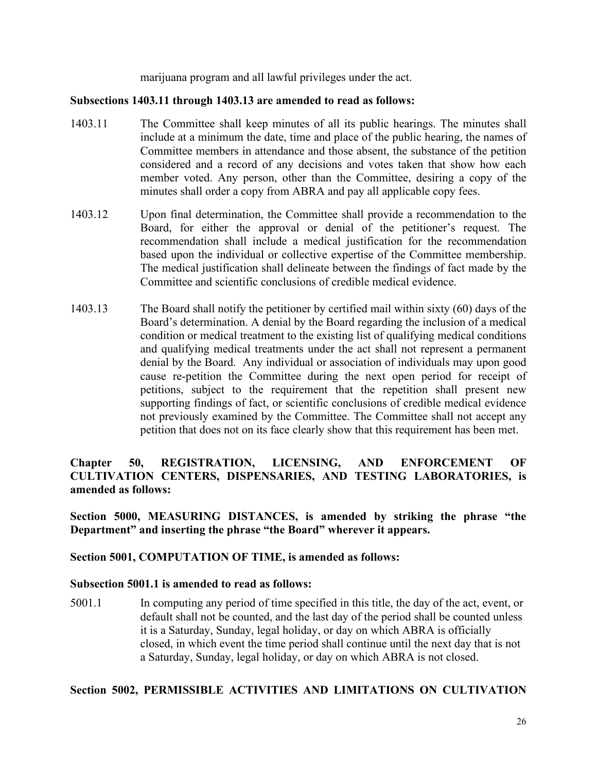marijuana program and all lawful privileges under the act.

## **Subsections 1403.11 through 1403.13 are amended to read as follows:**

- 1403.11 The Committee shall keep minutes of all its public hearings. The minutes shall include at a minimum the date, time and place of the public hearing, the names of Committee members in attendance and those absent, the substance of the petition considered and a record of any decisions and votes taken that show how each member voted. Any person, other than the Committee, desiring a copy of the minutes shall order a copy from ABRA and pay all applicable copy fees.
- 1403.12 Upon final determination, the Committee shall provide a recommendation to the Board, for either the approval or denial of the petitioner's request. The recommendation shall include a medical justification for the recommendation based upon the individual or collective expertise of the Committee membership. The medical justification shall delineate between the findings of fact made by the Committee and scientific conclusions of credible medical evidence.
- 1403.13 The Board shall notify the petitioner by certified mail within sixty (60) days of the Board's determination. A denial by the Board regarding the inclusion of a medical condition or medical treatment to the existing list of qualifying medical conditions and qualifying medical treatments under the act shall not represent a permanent denial by the Board. Any individual or association of individuals may upon good cause re-petition the Committee during the next open period for receipt of petitions, subject to the requirement that the repetition shall present new supporting findings of fact, or scientific conclusions of credible medical evidence not previously examined by the Committee. The Committee shall not accept any petition that does not on its face clearly show that this requirement has been met.

**Chapter 50, REGISTRATION, LICENSING, AND ENFORCEMENT OF CULTIVATION CENTERS, DISPENSARIES, AND TESTING LABORATORIES, is amended as follows:**

**Section 5000, MEASURING DISTANCES, is amended by striking the phrase "the Department" and inserting the phrase "the Board" wherever it appears.**

## **Section 5001, COMPUTATION OF TIME, is amended as follows:**

## **Subsection 5001.1 is amended to read as follows:**

5001.1 In computing any period of time specified in this title, the day of the act, event, or default shall not be counted, and the last day of the period shall be counted unless it is a Saturday, Sunday, legal holiday, or day on which ABRA is officially closed, in which event the time period shall continue until the next day that is not a Saturday, Sunday, legal holiday, or day on which ABRA is not closed.

# **Section 5002, PERMISSIBLE ACTIVITIES AND LIMITATIONS ON CULTIVATION**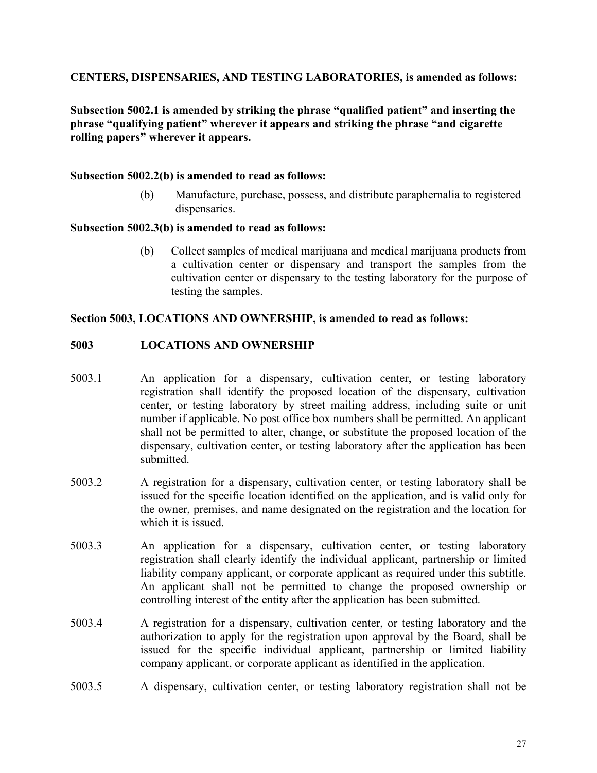**CENTERS, DISPENSARIES, AND TESTING LABORATORIES, is amended as follows:**

## **Subsection 5002.1 is amended by striking the phrase "qualified patient" and inserting the phrase "qualifying patient" wherever it appears and striking the phrase "and cigarette rolling papers" wherever it appears.**

## **Subsection 5002.2(b) is amended to read as follows:**

(b) Manufacture, purchase, possess, and distribute paraphernalia to registered dispensaries.

## **Subsection 5002.3(b) is amended to read as follows:**

(b) Collect samples of medical marijuana and medical marijuana products from a cultivation center or dispensary and transport the samples from the cultivation center or dispensary to the testing laboratory for the purpose of testing the samples.

## **Section 5003, LOCATIONS AND OWNERSHIP, is amended to read as follows:**

# **5003 LOCATIONS AND OWNERSHIP**

- 5003.1 An application for a dispensary, cultivation center, or testing laboratory registration shall identify the proposed location of the dispensary, cultivation center, or testing laboratory by street mailing address, including suite or unit number if applicable. No post office box numbers shall be permitted. An applicant shall not be permitted to alter, change, or substitute the proposed location of the dispensary, cultivation center, or testing laboratory after the application has been submitted.
- 5003.2 A registration for a dispensary, cultivation center, or testing laboratory shall be issued for the specific location identified on the application, and is valid only for the owner, premises, and name designated on the registration and the location for which it is issued.
- 5003.3 An application for a dispensary, cultivation center, or testing laboratory registration shall clearly identify the individual applicant, partnership or limited liability company applicant, or corporate applicant as required under this subtitle. An applicant shall not be permitted to change the proposed ownership or controlling interest of the entity after the application has been submitted.
- 5003.4 A registration for a dispensary, cultivation center, or testing laboratory and the authorization to apply for the registration upon approval by the Board, shall be issued for the specific individual applicant, partnership or limited liability company applicant, or corporate applicant as identified in the application.
- 5003.5 A dispensary, cultivation center, or testing laboratory registration shall not be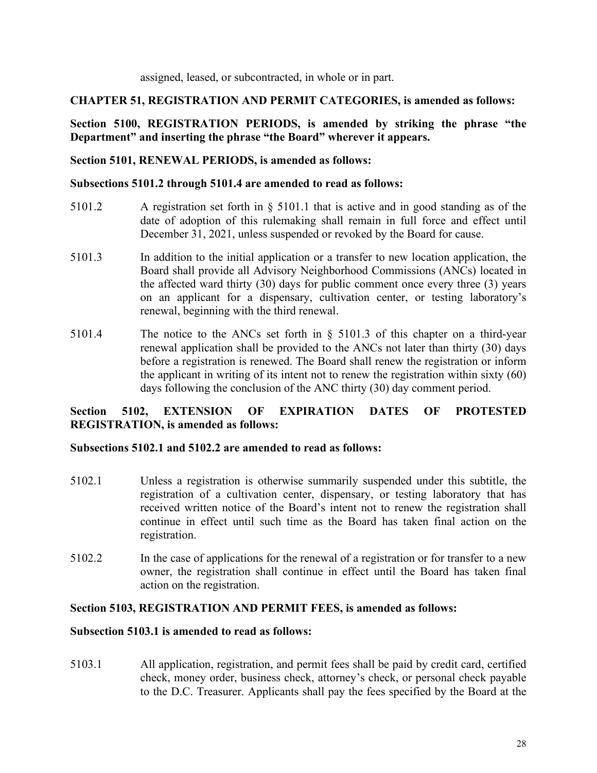assigned, leased, or subcontracted, in whole or in part.

## **CHAPTER 51, REGISTRATION AND PERMIT CATEGORIES, is amended as follows:**

# **Section 5100, REGISTRATION PERIODS, is amended by striking the phrase "the Department" and inserting the phrase "the Board" wherever it appears.**

## **Section 5101, RENEWAL PERIODS, is amended as follows:**

## **Subsections 5101.2 through 5101.4 are amended to read as follows:**

- 5101.2 A registration set forth in § 5101.1 that is active and in good standing as of the date of adoption of this rulemaking shall remain in full force and effect until December 31, 2021, unless suspended or revoked by the Board for cause.
- 5101.3 In addition to the initial application or a transfer to new location application, the Board shall provide all Advisory Neighborhood Commissions (ANCs) located in the affected ward thirty (30) days for public comment once every three (3) years on an applicant for a dispensary, cultivation center, or testing laboratory's renewal, beginning with the third renewal.
- 5101.4 The notice to the ANCs set forth in § 5101.3 of this chapter on a third-year renewal application shall be provided to the ANCs not later than thirty (30) days before a registration is renewed. The Board shall renew the registration or inform the applicant in writing of its intent not to renew the registration within sixty (60) days following the conclusion of the ANC thirty (30) day comment period.

# **Section 5102, EXTENSION OF EXPIRATION DATES OF PROTESTED REGISTRATION, is amended as follows:**

## **Subsections 5102.1 and 5102.2 are amended to read as follows:**

- 5102.1 Unless a registration is otherwise summarily suspended under this subtitle, the registration of a cultivation center, dispensary, or testing laboratory that has received written notice of the Board's intent not to renew the registration shall continue in effect until such time as the Board has taken final action on the registration.
- 5102.2 In the case of applications for the renewal of a registration or for transfer to a new owner, the registration shall continue in effect until the Board has taken final action on the registration.

# **Section 5103, REGISTRATION AND PERMIT FEES, is amended as follows:**

## **Subsection 5103.1 is amended to read as follows:**

5103.1 All application, registration, and permit fees shall be paid by credit card, certified check, money order, business check, attorney's check, or personal check payable to the D.C. Treasurer. Applicants shall pay the fees specified by the Board at the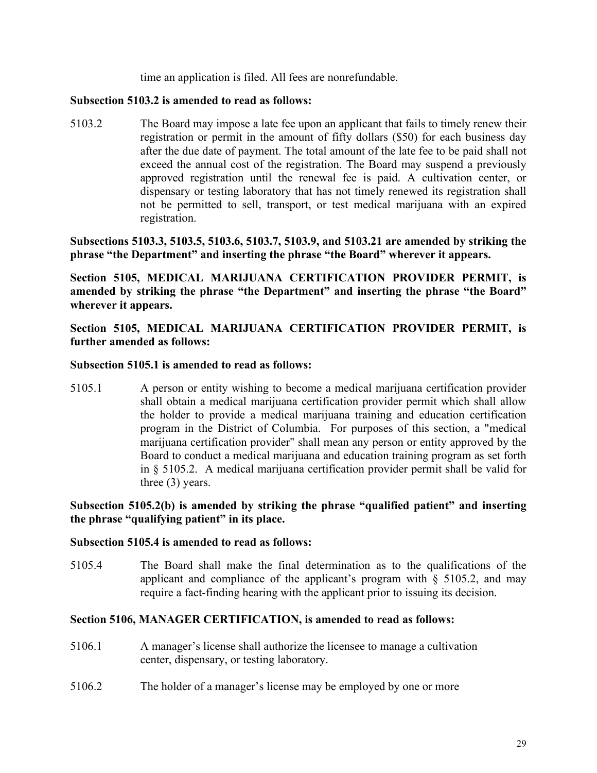time an application is filed. All fees are nonrefundable.

### **Subsection 5103.2 is amended to read as follows:**

5103.2 The Board may impose a late fee upon an applicant that fails to timely renew their registration or permit in the amount of fifty dollars (\$50) for each business day after the due date of payment. The total amount of the late fee to be paid shall not exceed the annual cost of the registration. The Board may suspend a previously approved registration until the renewal fee is paid. A cultivation center, or dispensary or testing laboratory that has not timely renewed its registration shall not be permitted to sell, transport, or test medical marijuana with an expired registration.

**Subsections 5103.3, 5103.5, 5103.6, 5103.7, 5103.9, and 5103.21 are amended by striking the phrase "the Department" and inserting the phrase "the Board" wherever it appears.**

**Section 5105, MEDICAL MARIJUANA CERTIFICATION PROVIDER PERMIT, is amended by striking the phrase "the Department" and inserting the phrase "the Board" wherever it appears.** 

**Section 5105, MEDICAL MARIJUANA CERTIFICATION PROVIDER PERMIT, is further amended as follows:**

#### **Subsection 5105.1 is amended to read as follows:**

5105.1 A person or entity wishing to become a medical marijuana certification provider shall obtain a medical marijuana certification provider permit which shall allow the holder to provide a medical marijuana training and education certification program in the District of Columbia. For purposes of this section, a "medical marijuana certification provider" shall mean any person or entity approved by the Board to conduct a medical marijuana and education training program as set forth in § 5105.2. A medical marijuana certification provider permit shall be valid for three (3) years.

**Subsection 5105.2(b) is amended by striking the phrase "qualified patient" and inserting the phrase "qualifying patient" in its place.**

## **Subsection 5105.4 is amended to read as follows:**

5105.4 The Board shall make the final determination as to the qualifications of the applicant and compliance of the applicant's program with  $\S$  5105.2, and may require a fact-finding hearing with the applicant prior to issuing its decision.

#### **Section 5106, MANAGER CERTIFICATION, is amended to read as follows:**

- 5106.1 A manager's license shall authorize the licensee to manage a cultivation center, dispensary, or testing laboratory.
- 5106.2 The holder of a manager's license may be employed by one or more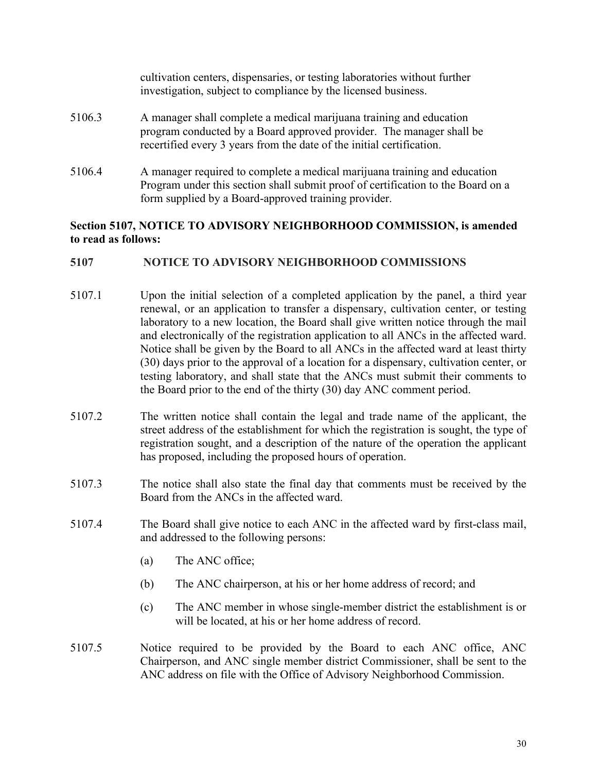|        | cultivation centers, dispensaries, or testing laboratories without further<br>investigation, subject to compliance by the licensed business.                                                                          |
|--------|-----------------------------------------------------------------------------------------------------------------------------------------------------------------------------------------------------------------------|
| 5106.3 | A manager shall complete a medical marijuana training and education<br>program conducted by a Board approved provider. The manager shall be<br>recertified every 3 years from the date of the initial certification.  |
| 5106.4 | A manager required to complete a medical marijuana training and education<br>Program under this section shall submit proof of certification to the Board on a<br>form supplied by a Board-approved training provider. |

## **Section 5107, NOTICE TO ADVISORY NEIGHBORHOOD COMMISSION, is amended to read as follows:**

## **5107 NOTICE TO ADVISORY NEIGHBORHOOD COMMISSIONS**

- 5107.1 Upon the initial selection of a completed application by the panel, a third year renewal, or an application to transfer a dispensary, cultivation center, or testing laboratory to a new location, the Board shall give written notice through the mail and electronically of the registration application to all ANCs in the affected ward. Notice shall be given by the Board to all ANCs in the affected ward at least thirty (30) days prior to the approval of a location for a dispensary, cultivation center, or testing laboratory, and shall state that the ANCs must submit their comments to the Board prior to the end of the thirty (30) day ANC comment period.
- 5107.2 The written notice shall contain the legal and trade name of the applicant, the street address of the establishment for which the registration is sought, the type of registration sought, and a description of the nature of the operation the applicant has proposed, including the proposed hours of operation.
- 5107.3 The notice shall also state the final day that comments must be received by the Board from the ANCs in the affected ward.
- 5107.4 The Board shall give notice to each ANC in the affected ward by first-class mail, and addressed to the following persons:
	- (a) The ANC office;
	- (b) The ANC chairperson, at his or her home address of record; and
	- (c) The ANC member in whose single-member district the establishment is or will be located, at his or her home address of record.
- 5107.5 Notice required to be provided by the Board to each ANC office, ANC Chairperson, and ANC single member district Commissioner, shall be sent to the ANC address on file with the Office of Advisory Neighborhood Commission.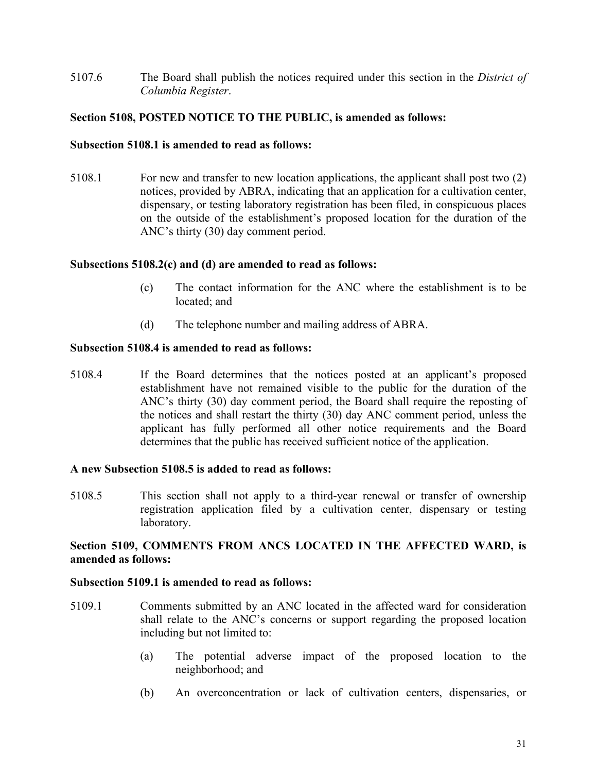5107.6 The Board shall publish the notices required under this section in the *District of Columbia Register*.

## **Section 5108, POSTED NOTICE TO THE PUBLIC, is amended as follows:**

### **Subsection 5108.1 is amended to read as follows:**

5108.1 For new and transfer to new location applications, the applicant shall post two (2) notices, provided by ABRA, indicating that an application for a cultivation center, dispensary, or testing laboratory registration has been filed, in conspicuous places on the outside of the establishment's proposed location for the duration of the ANC's thirty (30) day comment period.

## **Subsections 5108.2(c) and (d) are amended to read as follows:**

- (c) The contact information for the ANC where the establishment is to be located; and
- (d) The telephone number and mailing address of ABRA.

#### **Subsection 5108.4 is amended to read as follows:**

5108.4 If the Board determines that the notices posted at an applicant's proposed establishment have not remained visible to the public for the duration of the ANC's thirty (30) day comment period, the Board shall require the reposting of the notices and shall restart the thirty (30) day ANC comment period, unless the applicant has fully performed all other notice requirements and the Board determines that the public has received sufficient notice of the application.

## **A new Subsection 5108.5 is added to read as follows:**

5108.5 This section shall not apply to a third-year renewal or transfer of ownership registration application filed by a cultivation center, dispensary or testing laboratory.

## **Section 5109, COMMENTS FROM ANCS LOCATED IN THE AFFECTED WARD, is amended as follows:**

#### **Subsection 5109.1 is amended to read as follows:**

- 5109.1 Comments submitted by an ANC located in the affected ward for consideration shall relate to the ANC's concerns or support regarding the proposed location including but not limited to:
	- (a) The potential adverse impact of the proposed location to the neighborhood; and
	- (b) An overconcentration or lack of cultivation centers, dispensaries, or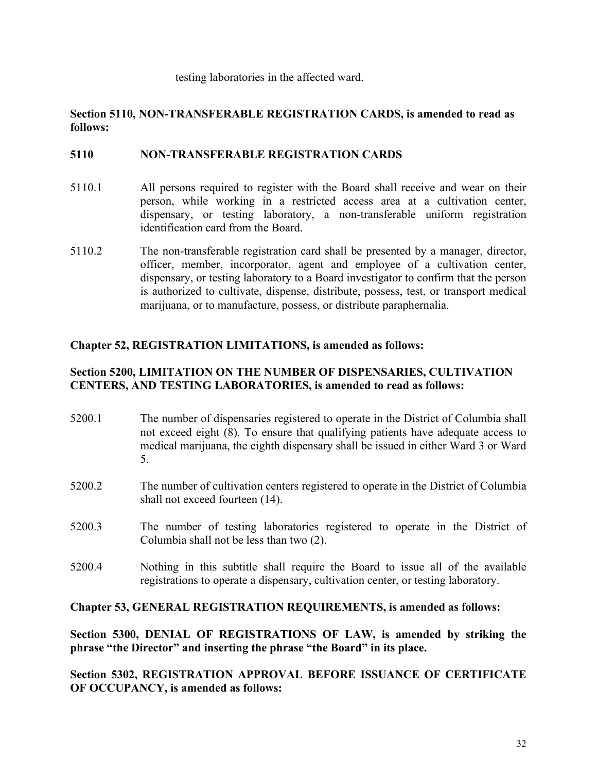testing laboratories in the affected ward.

## **Section 5110, NON-TRANSFERABLE REGISTRATION CARDS, is amended to read as follows:**

## **5110 NON-TRANSFERABLE REGISTRATION CARDS**

- 5110.1 All persons required to register with the Board shall receive and wear on their person, while working in a restricted access area at a cultivation center, dispensary, or testing laboratory, a non-transferable uniform registration identification card from the Board.
- 5110.2 The non-transferable registration card shall be presented by a manager, director, officer, member, incorporator, agent and employee of a cultivation center, dispensary, or testing laboratory to a Board investigator to confirm that the person is authorized to cultivate, dispense, distribute, possess, test, or transport medical marijuana, or to manufacture, possess, or distribute paraphernalia.

## **Chapter 52, REGISTRATION LIMITATIONS, is amended as follows:**

## **Section 5200, LIMITATION ON THE NUMBER OF DISPENSARIES, CULTIVATION CENTERS, AND TESTING LABORATORIES, is amended to read as follows:**

- 5200.1 The number of dispensaries registered to operate in the District of Columbia shall not exceed eight (8). To ensure that qualifying patients have adequate access to medical marijuana, the eighth dispensary shall be issued in either Ward 3 or Ward 5.
- 5200.2 The number of cultivation centers registered to operate in the District of Columbia shall not exceed fourteen (14).
- 5200.3 The number of testing laboratories registered to operate in the District of Columbia shall not be less than two (2).
- 5200.4 Nothing in this subtitle shall require the Board to issue all of the available registrations to operate a dispensary, cultivation center, or testing laboratory.

## **Chapter 53, GENERAL REGISTRATION REQUIREMENTS, is amended as follows:**

**Section 5300, DENIAL OF REGISTRATIONS OF LAW, is amended by striking the phrase "the Director" and inserting the phrase "the Board" in its place.**

**Section 5302, REGISTRATION APPROVAL BEFORE ISSUANCE OF CERTIFICATE OF OCCUPANCY, is amended as follows:**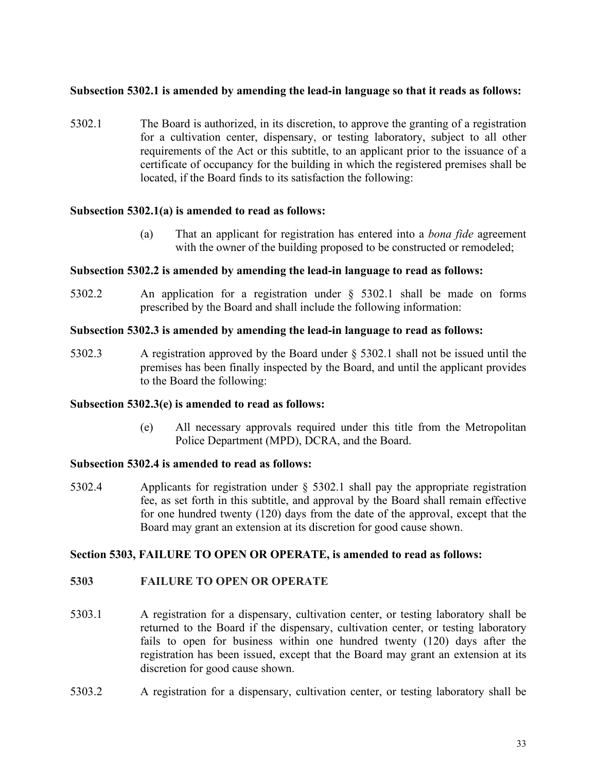## **Subsection 5302.1 is amended by amending the lead-in language so that it reads as follows:**

5302.1 The Board is authorized, in its discretion, to approve the granting of a registration for a cultivation center, dispensary, or testing laboratory, subject to all other requirements of the Act or this subtitle, to an applicant prior to the issuance of a certificate of occupancy for the building in which the registered premises shall be located, if the Board finds to its satisfaction the following:

## **Subsection 5302.1(a) is amended to read as follows:**

(a) That an applicant for registration has entered into a *bona fide* agreement with the owner of the building proposed to be constructed or remodeled;

#### **Subsection 5302.2 is amended by amending the lead-in language to read as follows:**

5302.2 An application for a registration under § 5302.1 shall be made on forms prescribed by the Board and shall include the following information:

#### **Subsection 5302.3 is amended by amending the lead-in language to read as follows:**

5302.3 A registration approved by the Board under § 5302.1 shall not be issued until the premises has been finally inspected by the Board, and until the applicant provides to the Board the following:

#### **Subsection 5302.3(e) is amended to read as follows:**

(e) All necessary approvals required under this title from the Metropolitan Police Department (MPD), DCRA, and the Board.

#### **Subsection 5302.4 is amended to read as follows:**

5302.4 Applicants for registration under § 5302.1 shall pay the appropriate registration fee, as set forth in this subtitle, and approval by the Board shall remain effective for one hundred twenty (120) days from the date of the approval, except that the Board may grant an extension at its discretion for good cause shown.

#### **Section 5303, FAILURE TO OPEN OR OPERATE, is amended to read as follows:**

- **5303 FAILURE TO OPEN OR OPERATE**
- 5303.1 A registration for a dispensary, cultivation center, or testing laboratory shall be returned to the Board if the dispensary, cultivation center, or testing laboratory fails to open for business within one hundred twenty (120) days after the registration has been issued, except that the Board may grant an extension at its discretion for good cause shown.
- 5303.2 A registration for a dispensary, cultivation center, or testing laboratory shall be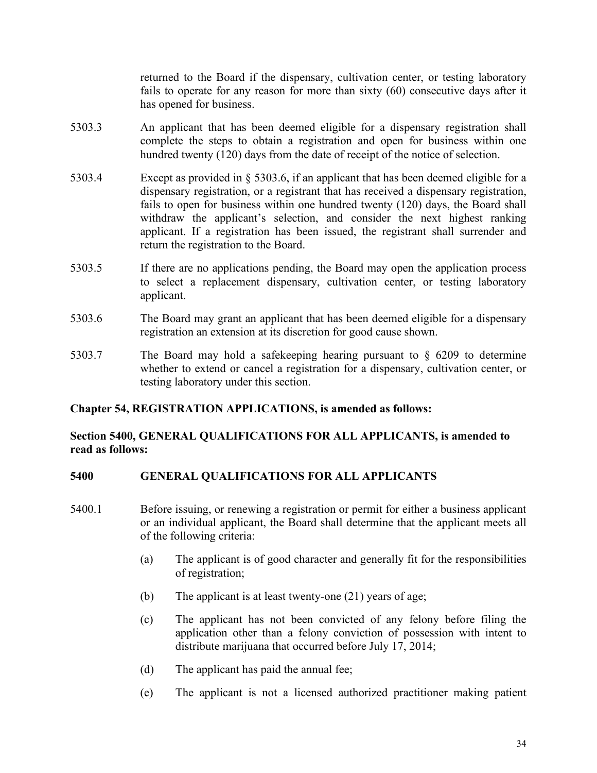returned to the Board if the dispensary, cultivation center, or testing laboratory fails to operate for any reason for more than sixty (60) consecutive days after it has opened for business.

- 5303.3 An applicant that has been deemed eligible for a dispensary registration shall complete the steps to obtain a registration and open for business within one hundred twenty (120) days from the date of receipt of the notice of selection.
- 5303.4 Except as provided in § 5303.6, if an applicant that has been deemed eligible for a dispensary registration, or a registrant that has received a dispensary registration, fails to open for business within one hundred twenty (120) days, the Board shall withdraw the applicant's selection, and consider the next highest ranking applicant. If a registration has been issued, the registrant shall surrender and return the registration to the Board.
- 5303.5 If there are no applications pending, the Board may open the application process to select a replacement dispensary, cultivation center, or testing laboratory applicant.
- 5303.6 The Board may grant an applicant that has been deemed eligible for a dispensary registration an extension at its discretion for good cause shown.
- 5303.7 The Board may hold a safekeeping hearing pursuant to § 6209 to determine whether to extend or cancel a registration for a dispensary, cultivation center, or testing laboratory under this section.

## **Chapter 54, REGISTRATION APPLICATIONS, is amended as follows:**

## **Section 5400, GENERAL QUALIFICATIONS FOR ALL APPLICANTS, is amended to read as follows:**

## **5400 GENERAL QUALIFICATIONS FOR ALL APPLICANTS**

- 5400.1 Before issuing, or renewing a registration or permit for either a business applicant or an individual applicant, the Board shall determine that the applicant meets all of the following criteria:
	- (a) The applicant is of good character and generally fit for the responsibilities of registration;
	- (b) The applicant is at least twenty-one (21) years of age;
	- (c) The applicant has not been convicted of any felony before filing the application other than a felony conviction of possession with intent to distribute marijuana that occurred before July 17, 2014;
	- (d) The applicant has paid the annual fee;
	- (e) The applicant is not a licensed authorized practitioner making patient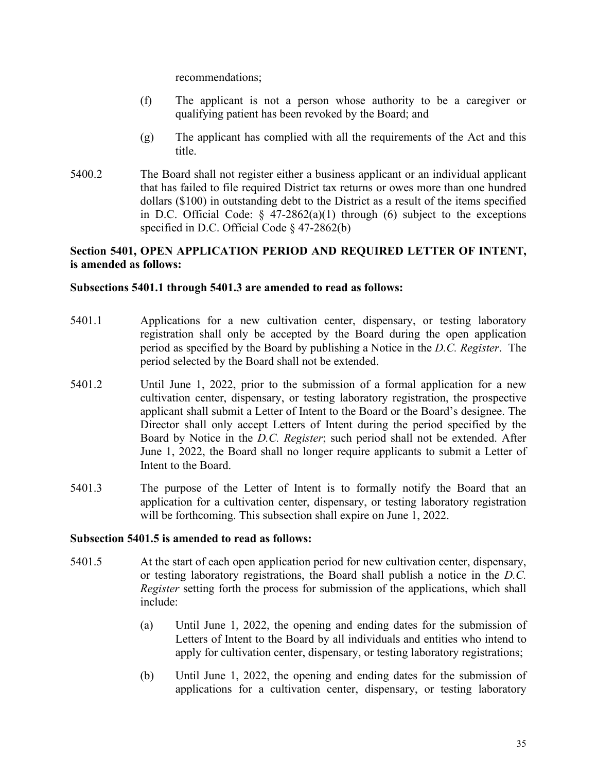recommendations;

- (f) The applicant is not a person whose authority to be a caregiver or qualifying patient has been revoked by the Board; and
- (g) The applicant has complied with all the requirements of the Act and this title.
- 5400.2 The Board shall not register either a business applicant or an individual applicant that has failed to file required District tax returns or owes more than one hundred dollars (\$100) in outstanding debt to the District as a result of the items specified in D.C. Official Code:  $\S$  47-2862(a)(1) through (6) subject to the exceptions specified in [D.C. Official Code § 47-2862\(b\)](http://www.westlaw.com/Link/Document/FullText?findType=L&pubNum=1000869&cite=DCCODES47-2862&originatingDoc=NB2B42410209D11E1A4C7CFB72D5A50CD&refType=SP&originationContext=document&vr=3.0&rs=cblt1.0&transitionType=DocumentItem&contextData=(sc.Default)#co_pp_a83b000018c76)

# **Section 5401, OPEN APPLICATION PERIOD AND REQUIRED LETTER OF INTENT, is amended as follows:**

## **Subsections 5401.1 through 5401.3 are amended to read as follows:**

- 5401.1 Applications for a new cultivation center, dispensary, or testing laboratory registration shall only be accepted by the Board during the open application period as specified by the Board by publishing a Notice in the *D.C. Register*. The period selected by the Board shall not be extended.
- 5401.2 Until June 1, 2022, prior to the submission of a formal application for a new cultivation center, dispensary, or testing laboratory registration, the prospective applicant shall submit a Letter of Intent to the Board or the Board's designee. The Director shall only accept Letters of Intent during the period specified by the Board by Notice in the *D.C. Register*; such period shall not be extended. After June 1, 2022, the Board shall no longer require applicants to submit a Letter of Intent to the Board.
- 5401.3 The purpose of the Letter of Intent is to formally notify the Board that an application for a cultivation center, dispensary, or testing laboratory registration will be forthcoming. This subsection shall expire on June 1, 2022.

## **Subsection 5401.5 is amended to read as follows:**

- 5401.5 At the start of each open application period for new cultivation center, dispensary, or testing laboratory registrations, the Board shall publish a notice in the *D.C. Register* setting forth the process for submission of the applications, which shall include:
	- (a) Until June 1, 2022, the opening and ending dates for the submission of Letters of Intent to the Board by all individuals and entities who intend to apply for cultivation center, dispensary, or testing laboratory registrations;
	- (b) Until June 1, 2022, the opening and ending dates for the submission of applications for a cultivation center, dispensary, or testing laboratory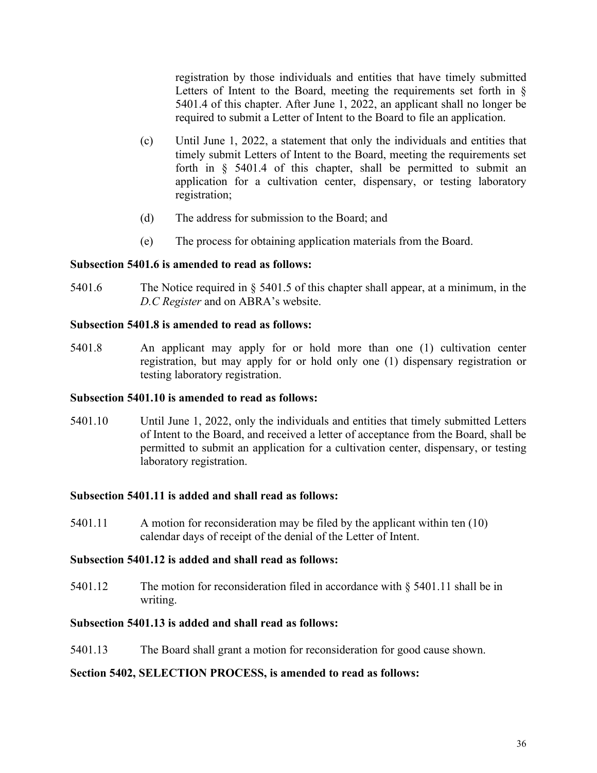registration by those individuals and entities that have timely submitted Letters of Intent to the Board, meeting the requirements set forth in  $\S$ 5401.4 of this chapter. After June 1, 2022, an applicant shall no longer be required to submit a Letter of Intent to the Board to file an application.

- (c) Until June 1, 2022, a statement that only the individuals and entities that timely submit Letters of Intent to the Board, meeting the requirements set forth in § 5401.4 of this chapter, shall be permitted to submit an application for a cultivation center, dispensary, or testing laboratory registration;
- (d) The address for submission to the Board; and
- (e) The process for obtaining application materials from the Board.

## **Subsection 5401.6 is amended to read as follows:**

5401.6 The Notice required in § 5401.5 of this chapter shall appear, at a minimum, in the *D.C Register* and on ABRA's website.

#### **Subsection 5401.8 is amended to read as follows:**

5401.8 An applicant may apply for or hold more than one (1) cultivation center registration, but may apply for or hold only one (1) dispensary registration or testing laboratory registration.

## **Subsection 5401.10 is amended to read as follows:**

5401.10 Until June 1, 2022, only the individuals and entities that timely submitted Letters of Intent to the Board, and received a letter of acceptance from the Board, shall be permitted to submit an application for a cultivation center, dispensary, or testing laboratory registration.

## **Subsection 5401.11 is added and shall read as follows:**

5401.11 A motion for reconsideration may be filed by the applicant within ten (10) calendar days of receipt of the denial of the Letter of Intent.

## **Subsection 5401.12 is added and shall read as follows:**

5401.12 The motion for reconsideration filed in accordance with § 5401.11 shall be in writing.

## **Subsection 5401.13 is added and shall read as follows:**

5401.13 The Board shall grant a motion for reconsideration for good cause shown.

## **Section 5402, SELECTION PROCESS, is amended to read as follows:**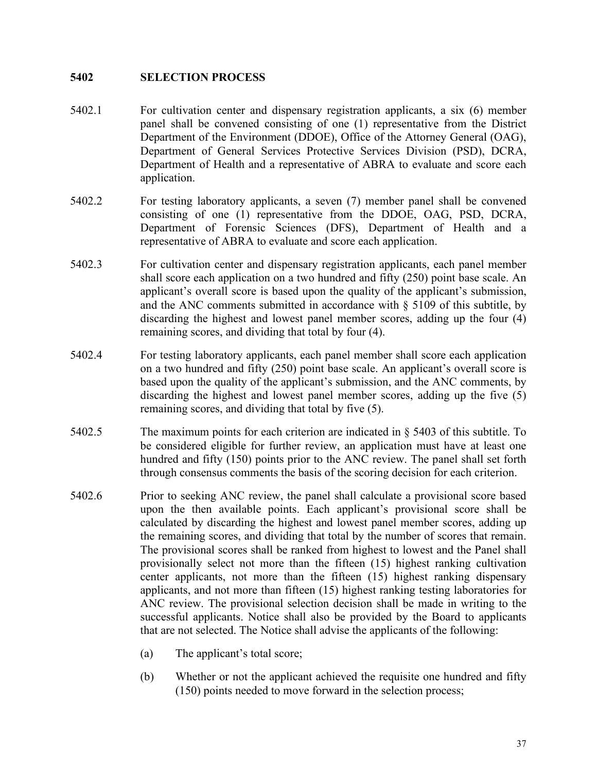## **5402 SELECTION PROCESS**

- 5402.1 For cultivation center and dispensary registration applicants, a six (6) member panel shall be convened consisting of one (1) representative from the District Department of the Environment (DDOE), Office of the Attorney General (OAG), Department of General Services Protective Services Division (PSD), DCRA, Department of Health and a representative of ABRA to evaluate and score each application.
- 5402.2 For testing laboratory applicants, a seven (7) member panel shall be convened consisting of one (1) representative from the DDOE, OAG, PSD, DCRA, Department of Forensic Sciences (DFS), Department of Health and a representative of ABRA to evaluate and score each application.
- 5402.3 For cultivation center and dispensary registration applicants, each panel member shall score each application on a two hundred and fifty (250) point base scale. An applicant's overall score is based upon the quality of the applicant's submission, and the ANC comments submitted in accordance with § 5109 of this subtitle, by discarding the highest and lowest panel member scores, adding up the four (4) remaining scores, and dividing that total by four (4).
- 5402.4 For testing laboratory applicants, each panel member shall score each application on a two hundred and fifty (250) point base scale. An applicant's overall score is based upon the quality of the applicant's submission, and the ANC comments, by discarding the highest and lowest panel member scores, adding up the five (5) remaining scores, and dividing that total by five (5).
- 5402.5 The maximum points for each criterion are indicated in § 5403 of this subtitle. To be considered eligible for further review, an application must have at least one hundred and fifty (150) points prior to the ANC review. The panel shall set forth through consensus comments the basis of the scoring decision for each criterion.
- 5402.6 Prior to seeking ANC review, the panel shall calculate a provisional score based upon the then available points. Each applicant's provisional score shall be calculated by discarding the highest and lowest panel member scores, adding up the remaining scores, and dividing that total by the number of scores that remain. The provisional scores shall be ranked from highest to lowest and the Panel shall provisionally select not more than the fifteen (15) highest ranking cultivation center applicants, not more than the fifteen (15) highest ranking dispensary applicants, and not more than fifteen (15) highest ranking testing laboratories for ANC review. The provisional selection decision shall be made in writing to the successful applicants. Notice shall also be provided by the Board to applicants that are not selected. The Notice shall advise the applicants of the following:
	- (a) The applicant's total score;
	- (b) Whether or not the applicant achieved the requisite one hundred and fifty (150) points needed to move forward in the selection process;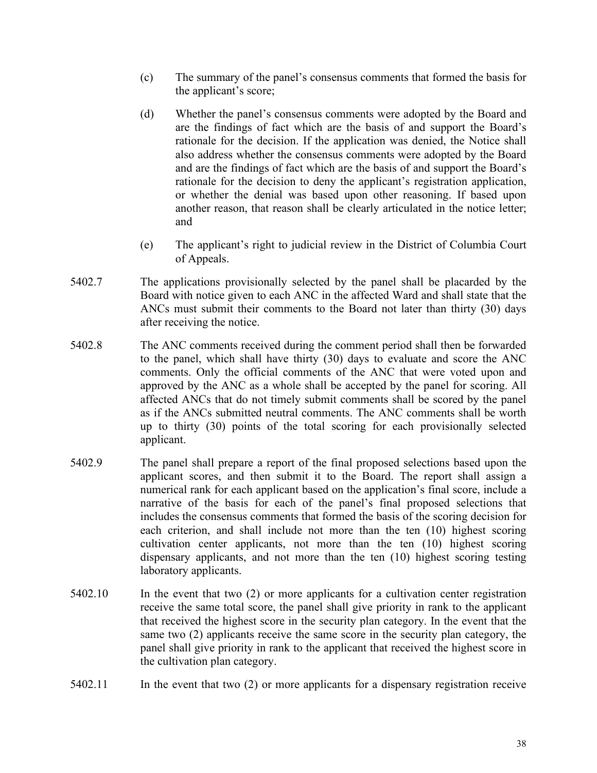- (c) The summary of the panel's consensus comments that formed the basis for the applicant's score;
- (d) Whether the panel's consensus comments were adopted by the Board and are the findings of fact which are the basis of and support the Board's rationale for the decision. If the application was denied, the Notice shall also address whether the consensus comments were adopted by the Board and are the findings of fact which are the basis of and support the Board's rationale for the decision to deny the applicant's registration application, or whether the denial was based upon other reasoning. If based upon another reason, that reason shall be clearly articulated in the notice letter; and
- (e) The applicant's right to judicial review in the District of Columbia Court of Appeals.
- 5402.7 The applications provisionally selected by the panel shall be placarded by the Board with notice given to each ANC in the affected Ward and shall state that the ANCs must submit their comments to the Board not later than thirty (30) days after receiving the notice.
- 5402.8 The ANC comments received during the comment period shall then be forwarded to the panel, which shall have thirty (30) days to evaluate and score the ANC comments. Only the official comments of the ANC that were voted upon and approved by the ANC as a whole shall be accepted by the panel for scoring. All affected ANCs that do not timely submit comments shall be scored by the panel as if the ANCs submitted neutral comments. The ANC comments shall be worth up to thirty (30) points of the total scoring for each provisionally selected applicant.
- 5402.9 The panel shall prepare a report of the final proposed selections based upon the applicant scores, and then submit it to the Board. The report shall assign a numerical rank for each applicant based on the application's final score, include a narrative of the basis for each of the panel's final proposed selections that includes the consensus comments that formed the basis of the scoring decision for each criterion, and shall include not more than the ten (10) highest scoring cultivation center applicants, not more than the ten (10) highest scoring dispensary applicants, and not more than the ten (10) highest scoring testing laboratory applicants.
- 5402.10 In the event that two (2) or more applicants for a cultivation center registration receive the same total score, the panel shall give priority in rank to the applicant that received the highest score in the security plan category. In the event that the same two (2) applicants receive the same score in the security plan category, the panel shall give priority in rank to the applicant that received the highest score in the cultivation plan category.
- 5402.11 In the event that two (2) or more applicants for a dispensary registration receive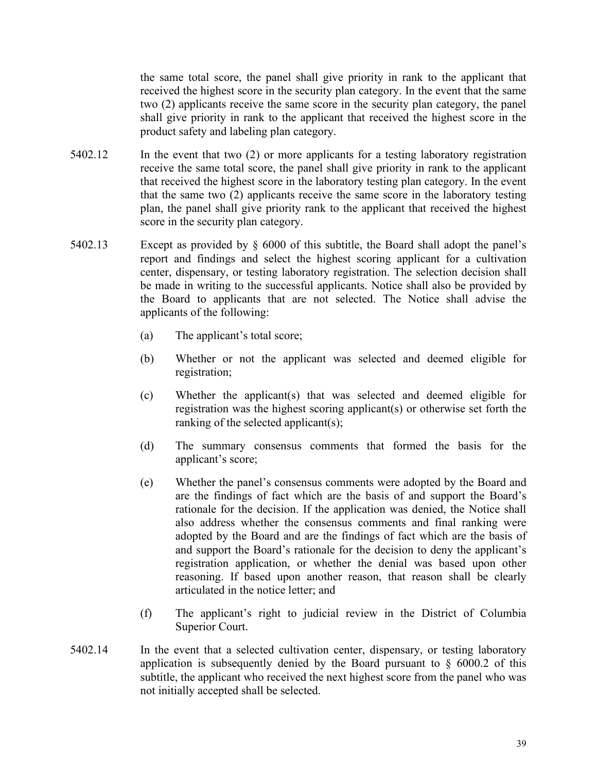the same total score, the panel shall give priority in rank to the applicant that received the highest score in the security plan category. In the event that the same two (2) applicants receive the same score in the security plan category, the panel shall give priority in rank to the applicant that received the highest score in the product safety and labeling plan category.

- 5402.12 In the event that two (2) or more applicants for a testing laboratory registration receive the same total score, the panel shall give priority in rank to the applicant that received the highest score in the laboratory testing plan category. In the event that the same two (2) applicants receive the same score in the laboratory testing plan, the panel shall give priority rank to the applicant that received the highest score in the security plan category.
- 5402.13 Except as provided by § 6000 of this subtitle, the Board shall adopt the panel's report and findings and select the highest scoring applicant for a cultivation center, dispensary, or testing laboratory registration. The selection decision shall be made in writing to the successful applicants. Notice shall also be provided by the Board to applicants that are not selected. The Notice shall advise the applicants of the following:
	- (a) The applicant's total score;
	- (b) Whether or not the applicant was selected and deemed eligible for registration;
	- (c) Whether the applicant(s) that was selected and deemed eligible for registration was the highest scoring applicant(s) or otherwise set forth the ranking of the selected applicant(s);
	- (d) The summary consensus comments that formed the basis for the applicant's score;
	- (e) Whether the panel's consensus comments were adopted by the Board and are the findings of fact which are the basis of and support the Board's rationale for the decision. If the application was denied, the Notice shall also address whether the consensus comments and final ranking were adopted by the Board and are the findings of fact which are the basis of and support the Board's rationale for the decision to deny the applicant's registration application, or whether the denial was based upon other reasoning. If based upon another reason, that reason shall be clearly articulated in the notice letter; and
	- (f) The applicant's right to judicial review in the District of Columbia Superior Court.
- 5402.14 In the event that a selected cultivation center, dispensary, or testing laboratory application is subsequently denied by the Board pursuant to  $\S$  6000.2 of this subtitle, the applicant who received the next highest score from the panel who was not initially accepted shall be selected.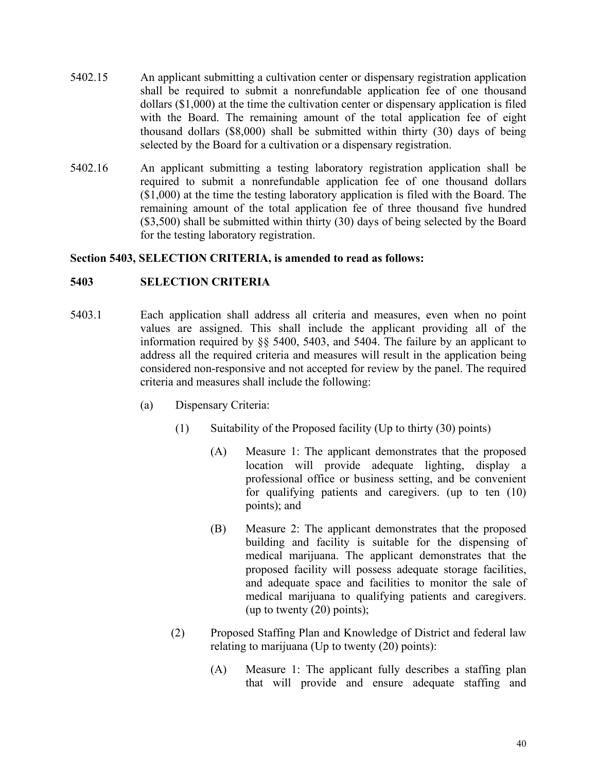- 5402.15 An applicant submitting a cultivation center or dispensary registration application shall be required to submit a nonrefundable application fee of one thousand dollars (\$1,000) at the time the cultivation center or dispensary application is filed with the Board. The remaining amount of the total application fee of eight thousand dollars (\$8,000) shall be submitted within thirty (30) days of being selected by the Board for a cultivation or a dispensary registration.
- 5402.16 An applicant submitting a testing laboratory registration application shall be required to submit a nonrefundable application fee of one thousand dollars (\$1,000) at the time the testing laboratory application is filed with the Board. The remaining amount of the total application fee of three thousand five hundred (\$3,500) shall be submitted within thirty (30) days of being selected by the Board for the testing laboratory registration.

## **Section 5403, SELECTION CRITERIA, is amended to read as follows:**

## **5403 SELECTION CRITERIA**

- 5403.1 Each application shall address all criteria and measures, even when no point values are assigned. This shall include the applicant providing all of the information required by §§ 5400, 5403, and 5404. The failure by an applicant to address all the required criteria and measures will result in the application being considered non-responsive and not accepted for review by the panel. The required criteria and measures shall include the following:
	- (a) Dispensary Criteria:
		- (1) Suitability of the Proposed facility (Up to thirty (30) points)
			- (A) Measure 1: The applicant demonstrates that the proposed location will provide adequate lighting, display a professional office or business setting, and be convenient for qualifying patients and caregivers. (up to ten (10) points); and
			- (B) Measure 2: The applicant demonstrates that the proposed building and facility is suitable for the dispensing of medical marijuana. The applicant demonstrates that the proposed facility will possess adequate storage facilities, and adequate space and facilities to monitor the sale of medical marijuana to qualifying patients and caregivers. (up to twenty (20) points);
		- (2) Proposed Staffing Plan and Knowledge of District and federal law relating to marijuana (Up to twenty (20) points):
			- (A) Measure 1: The applicant fully describes a staffing plan that will provide and ensure adequate staffing and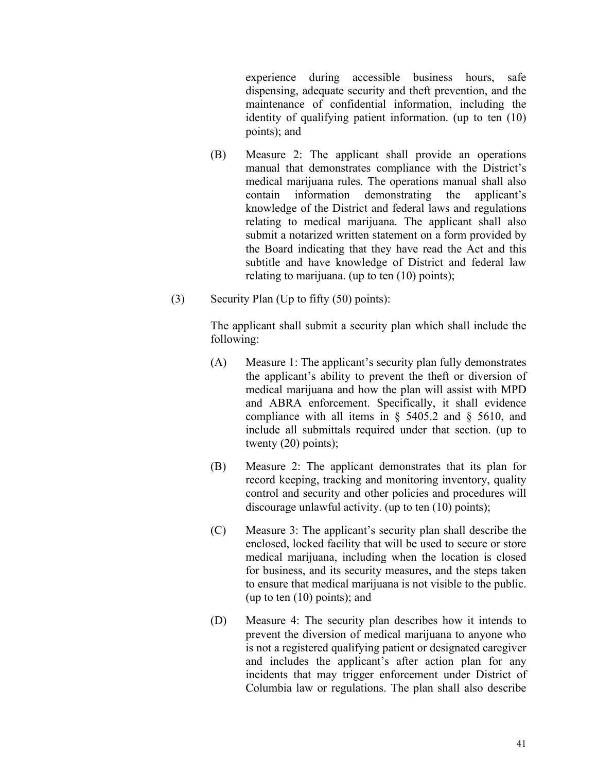experience during accessible business hours, safe dispensing, adequate security and theft prevention, and the maintenance of confidential information, including the identity of qualifying patient information. (up to ten (10) points); and

- (B) Measure 2: The applicant shall provide an operations manual that demonstrates compliance with the District's medical marijuana rules. The operations manual shall also contain information demonstrating the applicant's knowledge of the District and federal laws and regulations relating to medical marijuana. The applicant shall also submit a notarized written statement on a form provided by the Board indicating that they have read the Act and this subtitle and have knowledge of District and federal law relating to marijuana. (up to ten (10) points);
- (3) Security Plan (Up to fifty (50) points):

The applicant shall submit a security plan which shall include the following:

- (A) Measure 1: The applicant's security plan fully demonstrates the applicant's ability to prevent the theft or diversion of medical marijuana and how the plan will assist with MPD and ABRA enforcement. Specifically, it shall evidence compliance with all items in § 5405.2 and § 5610, and include all submittals required under that section. (up to twenty (20) points);
- (B) Measure 2: The applicant demonstrates that its plan for record keeping, tracking and monitoring inventory, quality control and security and other policies and procedures will discourage unlawful activity. (up to ten  $(10)$  points);
- (C) Measure 3: The applicant's security plan shall describe the enclosed, locked facility that will be used to secure or store medical marijuana, including when the location is closed for business, and its security measures, and the steps taken to ensure that medical marijuana is not visible to the public. (up to ten (10) points); and
- (D) Measure 4: The security plan describes how it intends to prevent the diversion of medical marijuana to anyone who is not a registered qualifying patient or designated caregiver and includes the applicant's after action plan for any incidents that may trigger enforcement under District of Columbia law or regulations. The plan shall also describe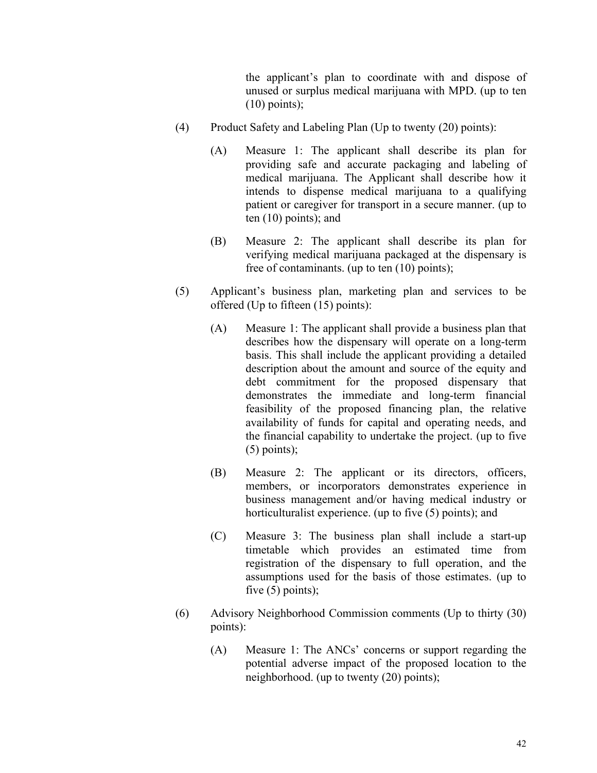the applicant's plan to coordinate with and dispose of unused or surplus medical marijuana with MPD. (up to ten  $(10)$  points);

- (4) Product Safety and Labeling Plan (Up to twenty (20) points):
	- (A) Measure 1: The applicant shall describe its plan for providing safe and accurate packaging and labeling of medical marijuana. The Applicant shall describe how it intends to dispense medical marijuana to a qualifying patient or caregiver for transport in a secure manner. (up to ten (10) points); and
	- (B) Measure 2: The applicant shall describe its plan for verifying medical marijuana packaged at the dispensary is free of contaminants. (up to ten (10) points);
- (5) Applicant's business plan, marketing plan and services to be offered (Up to fifteen (15) points):
	- (A) Measure 1: The applicant shall provide a business plan that describes how the dispensary will operate on a long-term basis. This shall include the applicant providing a detailed description about the amount and source of the equity and debt commitment for the proposed dispensary that demonstrates the immediate and long-term financial feasibility of the proposed financing plan, the relative availability of funds for capital and operating needs, and the financial capability to undertake the project. (up to five  $(5)$  points);
	- (B) Measure 2: The applicant or its directors, officers, members, or incorporators demonstrates experience in business management and/or having medical industry or horticulturalist experience. (up to five  $(5)$  points); and
	- (C) Measure 3: The business plan shall include a start-up timetable which provides an estimated time from registration of the dispensary to full operation, and the assumptions used for the basis of those estimates. (up to five  $(5)$  points);
- (6) Advisory Neighborhood Commission comments (Up to thirty (30) points):
	- (A) Measure 1: The ANCs' concerns or support regarding the potential adverse impact of the proposed location to the neighborhood. (up to twenty (20) points);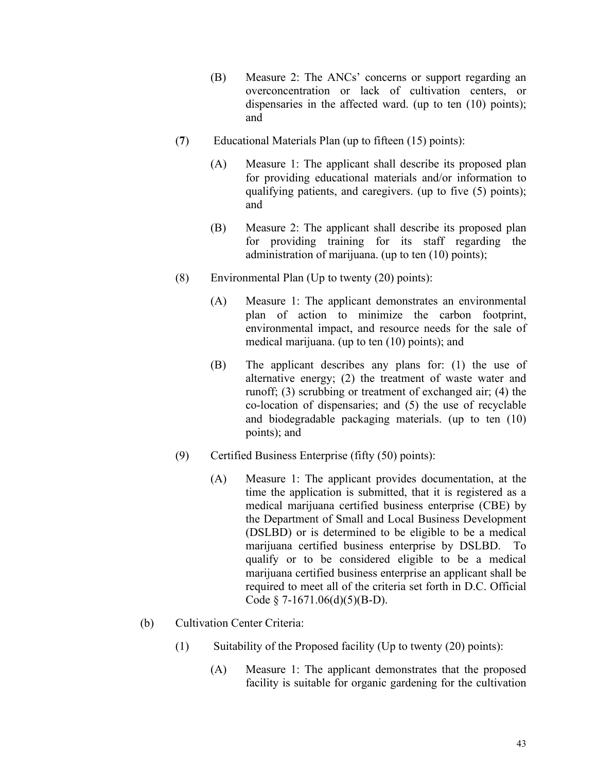- (B) Measure 2: The ANCs' concerns or support regarding an overconcentration or lack of cultivation centers, or dispensaries in the affected ward. (up to ten  $(10)$  points); and
- (**7**) Educational Materials Plan (up to fifteen (15) points):
	- (A) Measure 1: The applicant shall describe its proposed plan for providing educational materials and/or information to qualifying patients, and caregivers. (up to five (5) points); and
	- (B) Measure 2: The applicant shall describe its proposed plan for providing training for its staff regarding the administration of marijuana. (up to ten (10) points);
- (8) Environmental Plan (Up to twenty (20) points):
	- (A) Measure 1: The applicant demonstrates an environmental plan of action to minimize the carbon footprint, environmental impact, and resource needs for the sale of medical marijuana. (up to ten (10) points); and
	- (B) The applicant describes any plans for: (1) the use of alternative energy; (2) the treatment of waste water and runoff; (3) scrubbing or treatment of exchanged air; (4) the co-location of dispensaries; and (5) the use of recyclable and biodegradable packaging materials. (up to ten (10) points); and
- (9) Certified Business Enterprise (fifty (50) points):
	- (A) Measure 1: The applicant provides documentation, at the time the application is submitted, that it is registered as a medical marijuana certified business enterprise (CBE) by the Department of Small and Local Business Development (DSLBD) or is determined to be eligible to be a medical marijuana certified business enterprise by DSLBD. To qualify or to be considered eligible to be a medical marijuana certified business enterprise an applicant shall be required to meet all of the criteria set forth in D.C. Official Code § 7-1671.06(d)(5)(B-D).
- (b) Cultivation Center Criteria:
	- (1) Suitability of the Proposed facility (Up to twenty  $(20)$  points):
		- (A) Measure 1: The applicant demonstrates that the proposed facility is suitable for organic gardening for the cultivation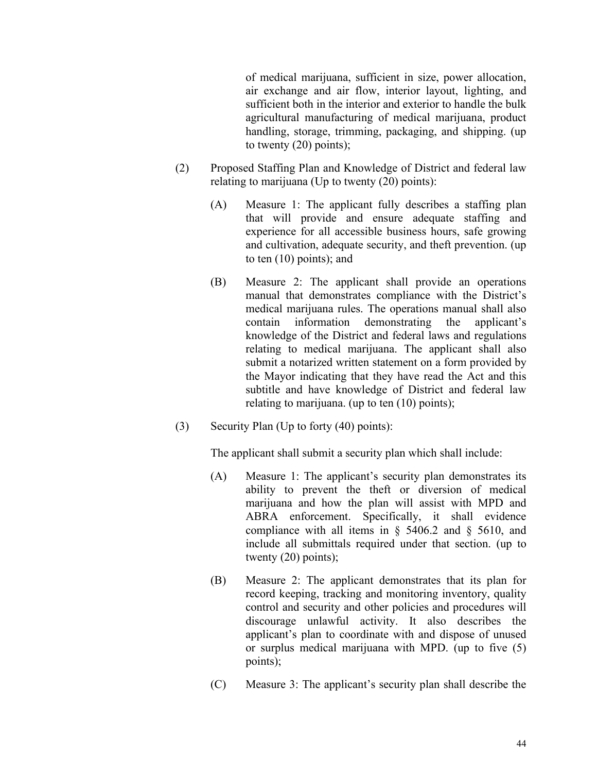of medical marijuana, sufficient in size, power allocation, air exchange and air flow, interior layout, lighting, and sufficient both in the interior and exterior to handle the bulk agricultural manufacturing of medical marijuana, product handling, storage, trimming, packaging, and shipping. (up to twenty (20) points);

- (2) Proposed Staffing Plan and Knowledge of District and federal law relating to marijuana (Up to twenty (20) points):
	- (A) Measure 1: The applicant fully describes a staffing plan that will provide and ensure adequate staffing and experience for all accessible business hours, safe growing and cultivation, adequate security, and theft prevention. (up to ten (10) points); and
	- (B) Measure 2: The applicant shall provide an operations manual that demonstrates compliance with the District's medical marijuana rules. The operations manual shall also contain information demonstrating the applicant's knowledge of the District and federal laws and regulations relating to medical marijuana. The applicant shall also submit a notarized written statement on a form provided by the Mayor indicating that they have read the Act and this subtitle and have knowledge of District and federal law relating to marijuana. (up to ten (10) points);
- (3) Security Plan (Up to forty (40) points):

The applicant shall submit a security plan which shall include:

- (A) Measure 1: The applicant's security plan demonstrates its ability to prevent the theft or diversion of medical marijuana and how the plan will assist with MPD and ABRA enforcement. Specifically, it shall evidence compliance with all items in  $\S$  5406.2 and  $\S$  5610, and include all submittals required under that section. (up to twenty (20) points);
- (B) Measure 2: The applicant demonstrates that its plan for record keeping, tracking and monitoring inventory, quality control and security and other policies and procedures will discourage unlawful activity. It also describes the applicant's plan to coordinate with and dispose of unused or surplus medical marijuana with MPD. (up to five (5) points);
- (C) Measure 3: The applicant's security plan shall describe the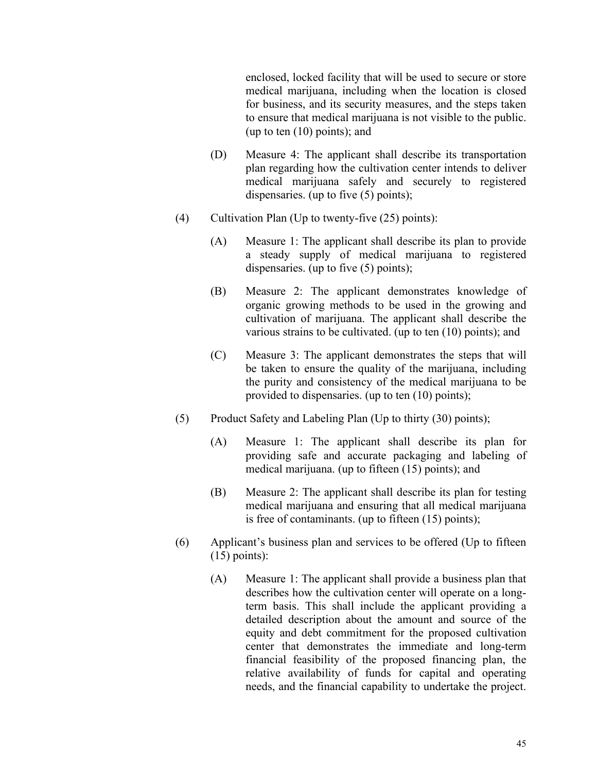enclosed, locked facility that will be used to secure or store medical marijuana, including when the location is closed for business, and its security measures, and the steps taken to ensure that medical marijuana is not visible to the public. (up to ten (10) points); and

- (D) Measure 4: The applicant shall describe its transportation plan regarding how the cultivation center intends to deliver medical marijuana safely and securely to registered dispensaries. (up to five  $(5)$  points);
- (4) Cultivation Plan (Up to twenty-five (25) points):
	- (A) Measure 1: The applicant shall describe its plan to provide a steady supply of medical marijuana to registered dispensaries. (up to five (5) points);
	- (B) Measure 2: The applicant demonstrates knowledge of organic growing methods to be used in the growing and cultivation of marijuana. The applicant shall describe the various strains to be cultivated. (up to ten (10) points); and
	- (C) Measure 3: The applicant demonstrates the steps that will be taken to ensure the quality of the marijuana, including the purity and consistency of the medical marijuana to be provided to dispensaries. (up to ten (10) points);
- (5) Product Safety and Labeling Plan (Up to thirty (30) points);
	- (A) Measure 1: The applicant shall describe its plan for providing safe and accurate packaging and labeling of medical marijuana. (up to fifteen (15) points); and
	- (B) Measure 2: The applicant shall describe its plan for testing medical marijuana and ensuring that all medical marijuana is free of contaminants. (up to fifteen (15) points);
- (6) Applicant's business plan and services to be offered (Up to fifteen  $(15)$  points):
	- (A) Measure 1: The applicant shall provide a business plan that describes how the cultivation center will operate on a longterm basis. This shall include the applicant providing a detailed description about the amount and source of the equity and debt commitment for the proposed cultivation center that demonstrates the immediate and long-term financial feasibility of the proposed financing plan, the relative availability of funds for capital and operating needs, and the financial capability to undertake the project.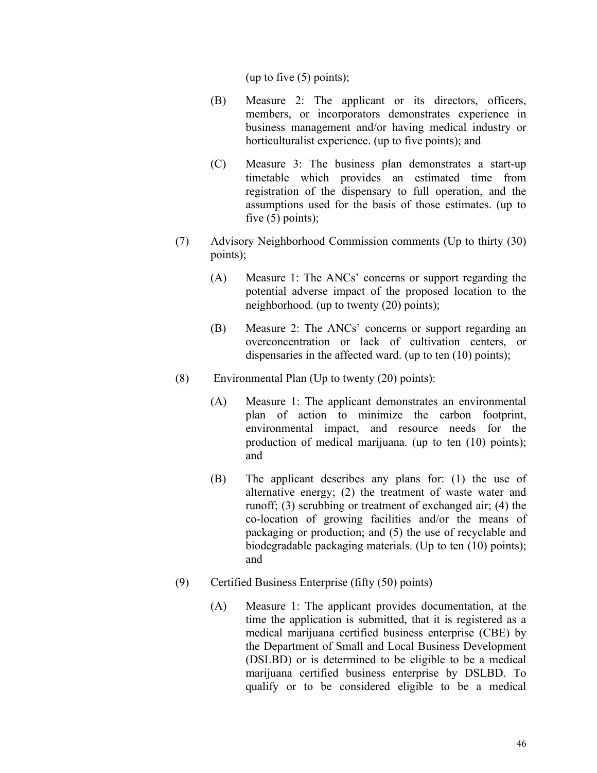(up to five  $(5)$  points);

- (B) Measure 2: The applicant or its directors, officers, members, or incorporators demonstrates experience in business management and/or having medical industry or horticulturalist experience. (up to five points); and
- (C) Measure 3: The business plan demonstrates a start-up timetable which provides an estimated time from registration of the dispensary to full operation, and the assumptions used for the basis of those estimates. (up to five  $(5)$  points);
- (7) Advisory Neighborhood Commission comments (Up to thirty (30) points);
	- (A) Measure 1: The ANCs' concerns or support regarding the potential adverse impact of the proposed location to the neighborhood. (up to twenty (20) points);
	- (B) Measure 2: The ANCs' concerns or support regarding an overconcentration or lack of cultivation centers, or dispensaries in the affected ward. (up to ten (10) points);
- (8) Environmental Plan (Up to twenty  $(20)$  points):
	- (A) Measure 1: The applicant demonstrates an environmental plan of action to minimize the carbon footprint, environmental impact, and resource needs for the production of medical marijuana. (up to ten (10) points); and
	- (B) The applicant describes any plans for: (1) the use of alternative energy; (2) the treatment of waste water and runoff; (3) scrubbing or treatment of exchanged air; (4) the co-location of growing facilities and/or the means of packaging or production; and (5) the use of recyclable and biodegradable packaging materials. (Up to ten (10) points); and
- (9) Certified Business Enterprise (fifty (50) points)
	- (A) Measure 1: The applicant provides documentation, at the time the application is submitted, that it is registered as a medical marijuana certified business enterprise (CBE) by the Department of Small and Local Business Development (DSLBD) or is determined to be eligible to be a medical marijuana certified business enterprise by DSLBD. To qualify or to be considered eligible to be a medical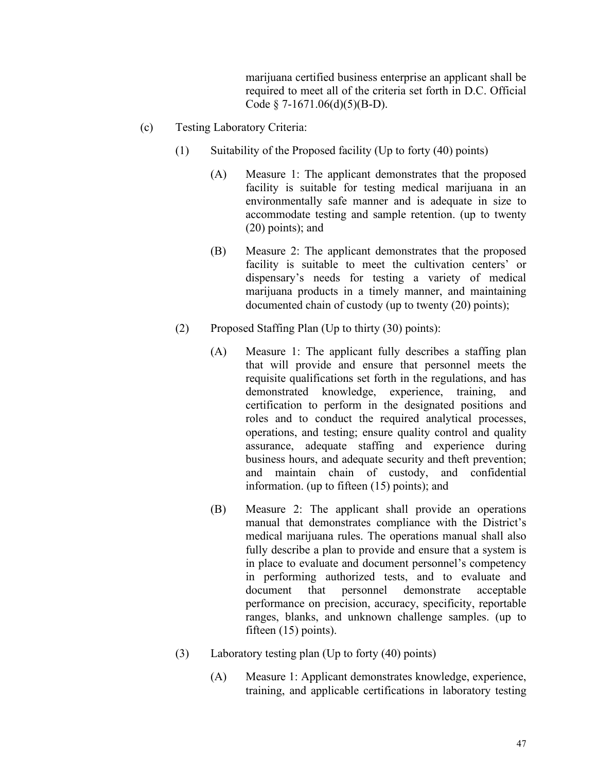marijuana certified business enterprise an applicant shall be required to meet all of the criteria set forth in D.C. Official Code  $\S$  7-1671.06(d)(5)(B-D).

- (c) Testing Laboratory Criteria:
	- (1) Suitability of the Proposed facility (Up to forty (40) points)
		- (A) Measure 1: The applicant demonstrates that the proposed facility is suitable for testing medical marijuana in an environmentally safe manner and is adequate in size to accommodate testing and sample retention. (up to twenty (20) points); and
		- (B) Measure 2: The applicant demonstrates that the proposed facility is suitable to meet the cultivation centers' or dispensary's needs for testing a variety of medical marijuana products in a timely manner, and maintaining documented chain of custody (up to twenty (20) points);
	- (2) Proposed Staffing Plan (Up to thirty (30) points):
		- (A) Measure 1: The applicant fully describes a staffing plan that will provide and ensure that personnel meets the requisite qualifications set forth in the regulations, and has demonstrated knowledge, experience, training, and certification to perform in the designated positions and roles and to conduct the required analytical processes, operations, and testing; ensure quality control and quality assurance, adequate staffing and experience during business hours, and adequate security and theft prevention; and maintain chain of custody, and confidential information. (up to fifteen (15) points); and
		- (B) Measure 2: The applicant shall provide an operations manual that demonstrates compliance with the District's medical marijuana rules. The operations manual shall also fully describe a plan to provide and ensure that a system is in place to evaluate and document personnel's competency in performing authorized tests, and to evaluate and document that personnel demonstrate acceptable performance on precision, accuracy, specificity, reportable ranges, blanks, and unknown challenge samples. (up to fifteen (15) points).
	- (3) Laboratory testing plan (Up to forty (40) points)
		- (A) Measure 1: Applicant demonstrates knowledge, experience, training, and applicable certifications in laboratory testing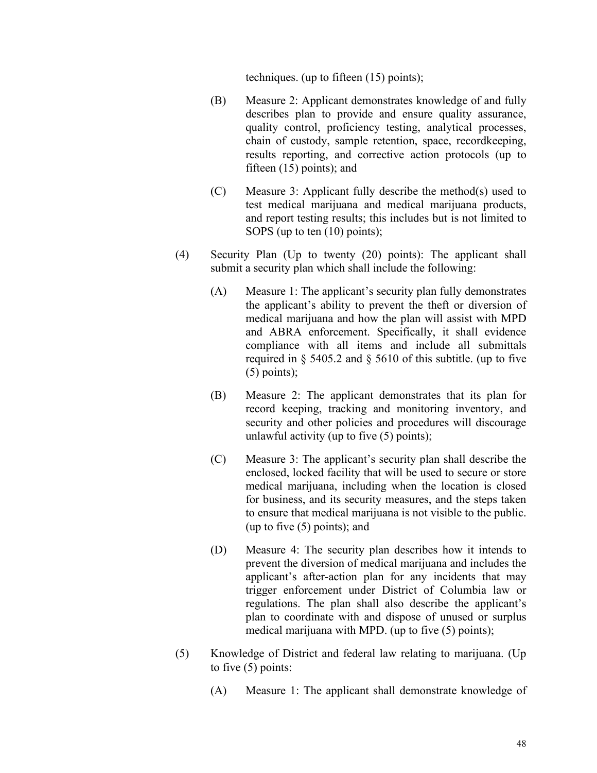techniques. (up to fifteen (15) points);

- (B) Measure 2: Applicant demonstrates knowledge of and fully describes plan to provide and ensure quality assurance, quality control, proficiency testing, analytical processes, chain of custody, sample retention, space, recordkeeping, results reporting, and corrective action protocols (up to fifteen (15) points); and
- (C) Measure 3: Applicant fully describe the method(s) used to test medical marijuana and medical marijuana products, and report testing results; this includes but is not limited to SOPS (up to ten  $(10)$  points);
- (4) Security Plan (Up to twenty (20) points): The applicant shall submit a security plan which shall include the following:
	- (A) Measure 1: The applicant's security plan fully demonstrates the applicant's ability to prevent the theft or diversion of medical marijuana and how the plan will assist with MPD and ABRA enforcement. Specifically, it shall evidence compliance with all items and include all submittals required in § 5405.2 and § 5610 of this subtitle. (up to five  $(5)$  points);
	- (B) Measure 2: The applicant demonstrates that its plan for record keeping, tracking and monitoring inventory, and security and other policies and procedures will discourage unlawful activity (up to five (5) points);
	- (C) Measure 3: The applicant's security plan shall describe the enclosed, locked facility that will be used to secure or store medical marijuana, including when the location is closed for business, and its security measures, and the steps taken to ensure that medical marijuana is not visible to the public. (up to five (5) points); and
	- (D) Measure 4: The security plan describes how it intends to prevent the diversion of medical marijuana and includes the applicant's after-action plan for any incidents that may trigger enforcement under District of Columbia law or regulations. The plan shall also describe the applicant's plan to coordinate with and dispose of unused or surplus medical marijuana with MPD. (up to five (5) points);
- (5) Knowledge of District and federal law relating to marijuana. (Up to five  $(5)$  points:
	- (A) Measure 1: The applicant shall demonstrate knowledge of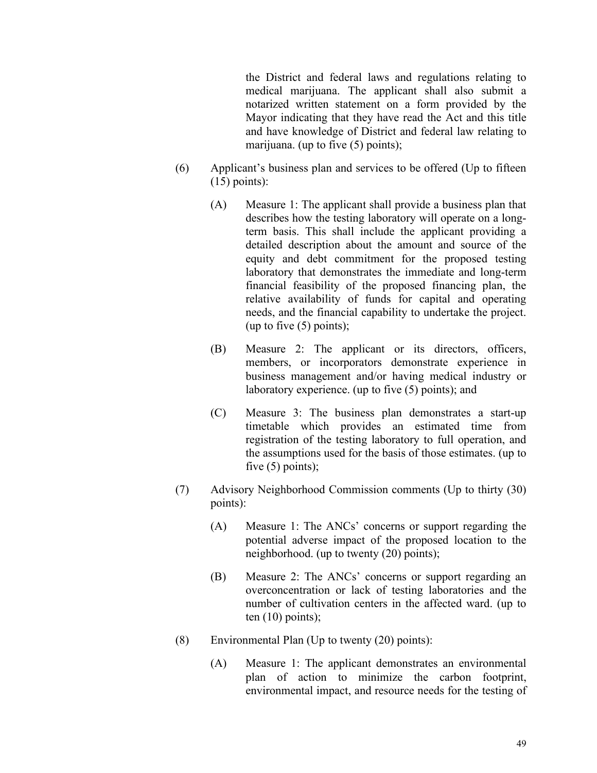the District and federal laws and regulations relating to medical marijuana. The applicant shall also submit a notarized written statement on a form provided by the Mayor indicating that they have read the Act and this title and have knowledge of District and federal law relating to marijuana. (up to five (5) points);

- (6) Applicant's business plan and services to be offered (Up to fifteen  $(15)$  points):
	- (A) Measure 1: The applicant shall provide a business plan that describes how the testing laboratory will operate on a longterm basis. This shall include the applicant providing a detailed description about the amount and source of the equity and debt commitment for the proposed testing laboratory that demonstrates the immediate and long-term financial feasibility of the proposed financing plan, the relative availability of funds for capital and operating needs, and the financial capability to undertake the project. (up to five  $(5)$  points);
	- (B) Measure 2: The applicant or its directors, officers, members, or incorporators demonstrate experience in business management and/or having medical industry or laboratory experience. (up to five (5) points); and
	- (C) Measure 3: The business plan demonstrates a start-up timetable which provides an estimated time from registration of the testing laboratory to full operation, and the assumptions used for the basis of those estimates. (up to five  $(5)$  points);
- (7) Advisory Neighborhood Commission comments (Up to thirty (30) points):
	- (A) Measure 1: The ANCs' concerns or support regarding the potential adverse impact of the proposed location to the neighborhood. (up to twenty (20) points);
	- (B) Measure 2: The ANCs' concerns or support regarding an overconcentration or lack of testing laboratories and the number of cultivation centers in the affected ward. (up to ten  $(10)$  points);
- (8) Environmental Plan (Up to twenty (20) points):
	- (A) Measure 1: The applicant demonstrates an environmental plan of action to minimize the carbon footprint, environmental impact, and resource needs for the testing of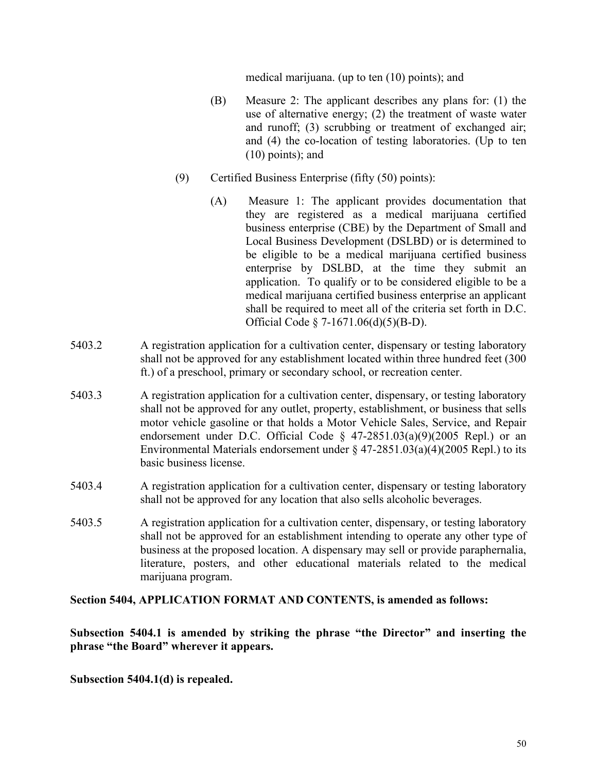medical marijuana. (up to ten (10) points); and

- (B) Measure 2: The applicant describes any plans for: (1) the use of alternative energy; (2) the treatment of waste water and runoff; (3) scrubbing or treatment of exchanged air; and (4) the co-location of testing laboratories. (Up to ten (10) points); and
- (9) Certified Business Enterprise (fifty (50) points):
	- (A) Measure 1: The applicant provides documentation that they are registered as a medical marijuana certified business enterprise (CBE) by the Department of Small and Local Business Development (DSLBD) or is determined to be eligible to be a medical marijuana certified business enterprise by DSLBD, at the time they submit an application. To qualify or to be considered eligible to be a medical marijuana certified business enterprise an applicant shall be required to meet all of the criteria set forth in D.C. Official Code § 7-1671.06(d)(5)(B-D).
- 5403.2 A registration application for a cultivation center, dispensary or testing laboratory shall not be approved for any establishment located within three hundred feet (300 ft.) of a preschool, primary or secondary school, or recreation center.
- 5403.3 A registration application for a cultivation center, dispensary, or testing laboratory shall not be approved for any outlet, property, establishment, or business that sells motor vehicle gasoline or that holds a Motor Vehicle Sales, Service, and Repair endorsement under [D.C. Official Code § 47-2851.03\(a\)\(9\)\(](http://www.westlaw.com/Link/Document/FullText?findType=L&pubNum=1000869&cite=DCCODES47-2851.03&originatingDoc=N711AADF0BDCD11E9AE9F96B7C1187AA1&refType=SP&originationContext=document&vr=3.0&rs=cblt1.0&transitionType=DocumentItem&contextData=(sc.Default)#co_pp_732f0000e3572)2005 Repl.) or an Environmental Materials endorsement under  $\S 47-2851.03(a)(4)(2005 Repl.)$  to its basic business license.
- 5403.4 A registration application for a cultivation center, dispensary or testing laboratory shall not be approved for any location that also sells alcoholic beverages.
- 5403.5 A registration application for a cultivation center, dispensary, or testing laboratory shall not be approved for an establishment intending to operate any other type of business at the proposed location. A dispensary may sell or provide paraphernalia, literature, posters, and other educational materials related to the medical marijuana program.

**Section 5404, APPLICATION FORMAT AND CONTENTS, is amended as follows:**

**Subsection 5404.1 is amended by striking the phrase "the Director" and inserting the phrase "the Board" wherever it appears.**

**Subsection 5404.1(d) is repealed.**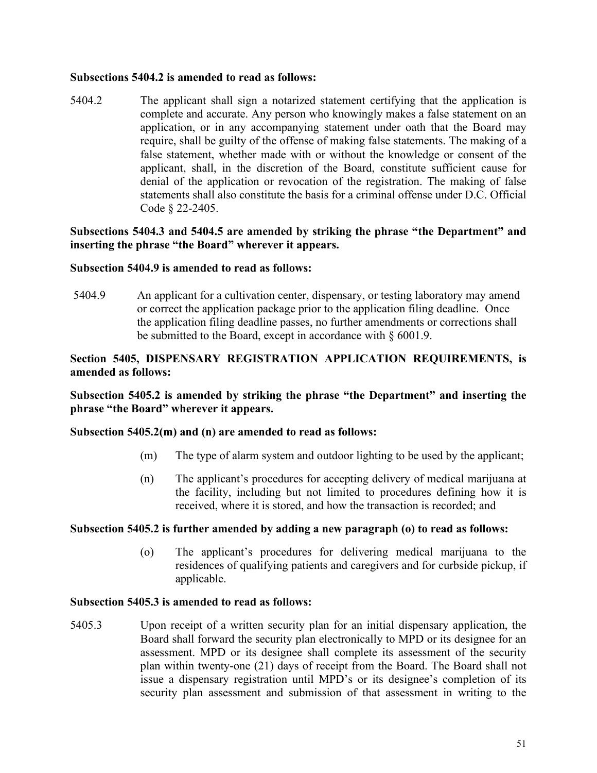## **Subsections 5404.2 is amended to read as follows:**

5404.2 The applicant shall sign a notarized statement certifying that the application is complete and accurate. Any person who knowingly makes a false statement on an application, or in any accompanying statement under oath that the Board may require, shall be guilty of the offense of making false statements. The making of a false statement, whether made with or without the knowledge or consent of the applicant, shall, in the discretion of the Board, constitute sufficient cause for denial of the application or revocation of the registration. The making of false statements shall also constitute the basis for a criminal offense under [D.C. Official](http://www.westlaw.com/Link/Document/FullText?findType=L&pubNum=1000869&cite=DCCODES22-2405&originatingDoc=N3E135DC1BDCE11E9B603A14D40335536&refType=LQ&originationContext=document&vr=3.0&rs=cblt1.0&transitionType=DocumentItem&contextData=(sc.Default))  [Code § 22-2405.](http://www.westlaw.com/Link/Document/FullText?findType=L&pubNum=1000869&cite=DCCODES22-2405&originatingDoc=N3E135DC1BDCE11E9B603A14D40335536&refType=LQ&originationContext=document&vr=3.0&rs=cblt1.0&transitionType=DocumentItem&contextData=(sc.Default))

## **Subsections 5404.3 and 5404.5 are amended by striking the phrase "the Department" and inserting the phrase "the Board" wherever it appears.**

## **Subsection 5404.9 is amended to read as follows:**

5404.9 An applicant for a cultivation center, dispensary, or testing laboratory may amend or correct the application package prior to the application filing deadline. Once the application filing deadline passes, no further amendments or corrections shall be submitted to the Board, except in accordance with § 6001.9.

## **Section 5405, DISPENSARY REGISTRATION APPLICATION REQUIREMENTS, is amended as follows:**

**Subsection 5405.2 is amended by striking the phrase "the Department" and inserting the phrase "the Board" wherever it appears.**

## **Subsection 5405.2(m) and (n) are amended to read as follows:**

- (m) The type of alarm system and outdoor lighting to be used by the applicant;
- (n) The applicant's procedures for accepting delivery of medical marijuana at the facility, including but not limited to procedures defining how it is received, where it is stored, and how the transaction is recorded; and

## **Subsection 5405.2 is further amended by adding a new paragraph (o) to read as follows:**

(o) The applicant's procedures for delivering medical marijuana to the residences of qualifying patients and caregivers and for curbside pickup, if applicable.

## **Subsection 5405.3 is amended to read as follows:**

5405.3 Upon receipt of a written security plan for an initial dispensary application, the Board shall forward the security plan electronically to MPD or its designee for an assessment. MPD or its designee shall complete its assessment of the security plan within twenty-one (21) days of receipt from the Board. The Board shall not issue a dispensary registration until MPD's or its designee's completion of its security plan assessment and submission of that assessment in writing to the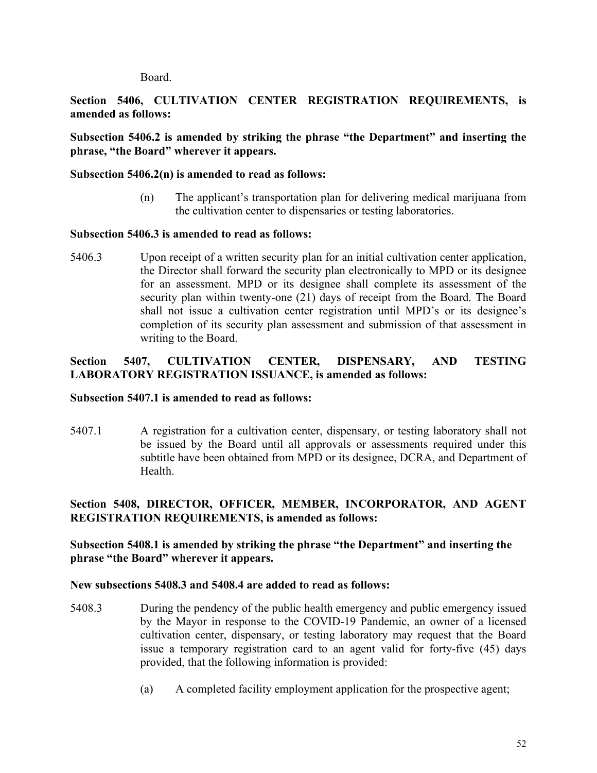Board.

**Section 5406, CULTIVATION CENTER REGISTRATION REQUIREMENTS, is amended as follows:**

**Subsection 5406.2 is amended by striking the phrase "the Department" and inserting the phrase, "the Board" wherever it appears.**

## **Subsection 5406.2(n) is amended to read as follows:**

(n) The applicant's transportation plan for delivering medical marijuana from the cultivation center to dispensaries or testing laboratories.

### **Subsection 5406.3 is amended to read as follows:**

5406.3 Upon receipt of a written security plan for an initial cultivation center application, the Director shall forward the security plan electronically to MPD or its designee for an assessment. MPD or its designee shall complete its assessment of the security plan within twenty-one (21) days of receipt from the Board. The Board shall not issue a cultivation center registration until MPD's or its designee's completion of its security plan assessment and submission of that assessment in writing to the Board.

## **Section 5407, CULTIVATION CENTER, DISPENSARY, AND TESTING LABORATORY REGISTRATION ISSUANCE, is amended as follows:**

## **Subsection 5407.1 is amended to read as follows:**

5407.1 A registration for a cultivation center, dispensary, or testing laboratory shall not be issued by the Board until all approvals or assessments required under this subtitle have been obtained from MPD or its designee, DCRA, and Department of Health.

## **Section 5408, DIRECTOR, OFFICER, MEMBER, INCORPORATOR, AND AGENT REGISTRATION REQUIREMENTS, is amended as follows:**

# **Subsection 5408.1 is amended by striking the phrase "the Department" and inserting the phrase "the Board" wherever it appears.**

## **New subsections 5408.3 and 5408.4 are added to read as follows:**

- 5408.3 During the pendency of the public health emergency and public emergency issued by the Mayor in response to the COVID-19 Pandemic, an owner of a licensed cultivation center, dispensary, or testing laboratory may request that the Board issue a temporary registration card to an agent valid for forty-five (45) days provided, that the following information is provided:
	- (a) A completed facility employment application for the prospective agent;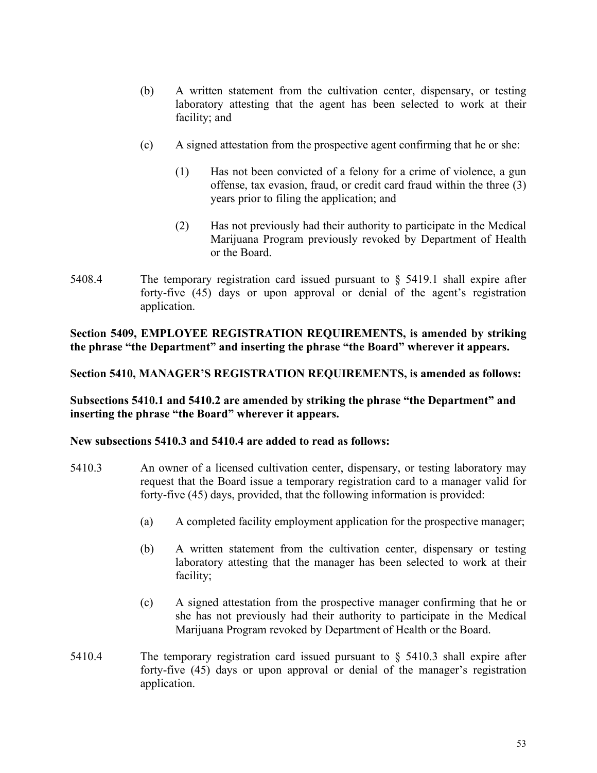- (b) A written statement from the cultivation center, dispensary, or testing laboratory attesting that the agent has been selected to work at their facility; and
- (c) A signed attestation from the prospective agent confirming that he or she:
	- (1) Has not been convicted of a felony for a crime of violence, a gun offense, tax evasion, fraud, or credit card fraud within the three (3) years prior to filing the application; and
	- (2) Has not previously had their authority to participate in the Medical Marijuana Program previously revoked by Department of Health or the Board.
- 5408.4 The temporary registration card issued pursuant to  $\S$  5419.1 shall expire after forty-five (45) days or upon approval or denial of the agent's registration application.

**Section 5409, EMPLOYEE REGISTRATION REQUIREMENTS, is amended by striking the phrase "the Department" and inserting the phrase "the Board" wherever it appears.**

**Section 5410, MANAGER'S REGISTRATION REQUIREMENTS, is amended as follows:**

**Subsections 5410.1 and 5410.2 are amended by striking the phrase "the Department" and inserting the phrase "the Board" wherever it appears.**

## **New subsections 5410.3 and 5410.4 are added to read as follows:**

- 5410.3 An owner of a licensed cultivation center, dispensary, or testing laboratory may request that the Board issue a temporary registration card to a manager valid for forty-five (45) days, provided, that the following information is provided:
	- (a) A completed facility employment application for the prospective manager;
	- (b) A written statement from the cultivation center, dispensary or testing laboratory attesting that the manager has been selected to work at their facility;
	- (c) A signed attestation from the prospective manager confirming that he or she has not previously had their authority to participate in the Medical Marijuana Program revoked by Department of Health or the Board.
- 5410.4 The temporary registration card issued pursuant to  $\S$  5410.3 shall expire after forty-five (45) days or upon approval or denial of the manager's registration application.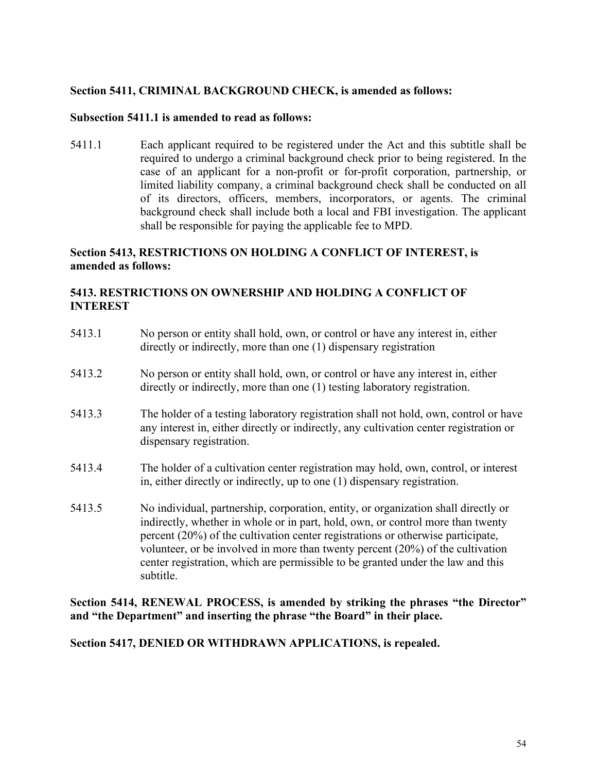## **Section 5411, CRIMINAL BACKGROUND CHECK, is amended as follows:**

### **Subsection 5411.1 is amended to read as follows:**

5411.1 Each applicant required to be registered under the Act and this subtitle shall be required to undergo a criminal background check prior to being registered. In the case of an applicant for a non-profit or for-profit corporation, partnership, or limited liability company, a criminal background check shall be conducted on all of its directors, officers, members, incorporators, or agents. The criminal background check shall include both a local and FBI investigation. The applicant shall be responsible for paying the applicable fee to MPD.

# **Section 5413, RESTRICTIONS ON HOLDING A CONFLICT OF INTEREST, is amended as follows:**

# **5413. RESTRICTIONS ON OWNERSHIP AND HOLDING A CONFLICT OF INTEREST**

5413.1 No person or entity shall hold, own, or control or have any interest in, either directly or indirectly, more than one (1) dispensary registration 5413.2 No person or entity shall hold, own, or control or have any interest in, either directly or indirectly, more than one (1) testing laboratory registration. 5413.3 The holder of a testing laboratory registration shall not hold, own, control or have any interest in, either directly or indirectly, any cultivation center registration or dispensary registration. 5413.4 The holder of a cultivation center registration may hold, own, control, or interest in, either directly or indirectly, up to one (1) dispensary registration. 5413.5 No individual, partnership, corporation, entity, or organization shall directly or indirectly, whether in whole or in part, hold, own, or control more than twenty percent (20%) of the cultivation center registrations or otherwise participate, volunteer, or be involved in more than twenty percent (20%) of the cultivation center registration, which are permissible to be granted under the law and this subtitle.

**Section 5414, RENEWAL PROCESS, is amended by striking the phrases "the Director" and "the Department" and inserting the phrase "the Board" in their place.**

**Section 5417, DENIED OR WITHDRAWN APPLICATIONS, is repealed.**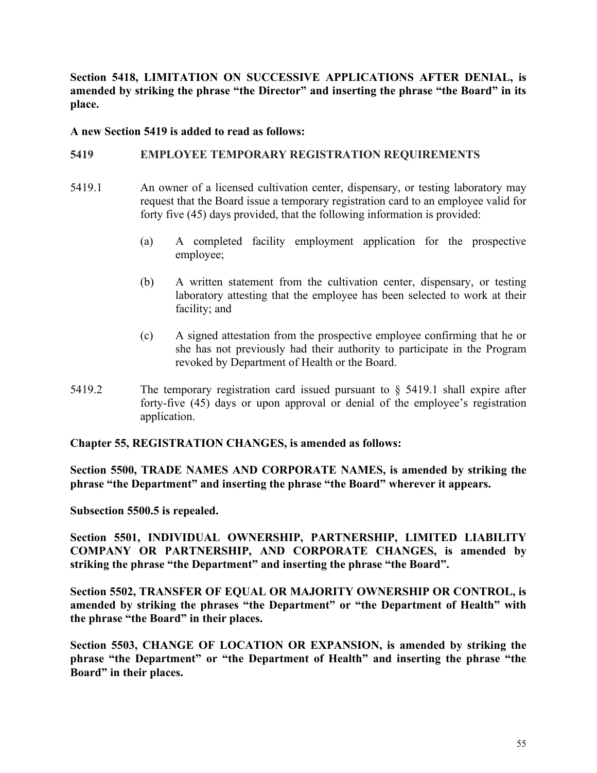**Section 5418, LIMITATION ON SUCCESSIVE APPLICATIONS AFTER DENIAL, is amended by striking the phrase "the Director" and inserting the phrase "the Board" in its place.**

## **A new Section 5419 is added to read as follows:**

## **5419 EMPLOYEE TEMPORARY REGISTRATION REQUIREMENTS**

- 5419.1 An owner of a licensed cultivation center, dispensary, or testing laboratory may request that the Board issue a temporary registration card to an employee valid for forty five (45) days provided, that the following information is provided:
	- (a) A completed facility employment application for the prospective employee;
	- (b) A written statement from the cultivation center, dispensary, or testing laboratory attesting that the employee has been selected to work at their facility; and
	- (c) A signed attestation from the prospective employee confirming that he or she has not previously had their authority to participate in the Program revoked by Department of Health or the Board.
- 5419.2 The temporary registration card issued pursuant to § 5419.1 shall expire after forty-five (45) days or upon approval or denial of the employee's registration application.

## **Chapter 55, REGISTRATION CHANGES, is amended as follows:**

**Section 5500, TRADE NAMES AND CORPORATE NAMES, is amended by striking the phrase "the Department" and inserting the phrase "the Board" wherever it appears.**

**Subsection 5500.5 is repealed.**

**Section 5501, INDIVIDUAL OWNERSHIP, PARTNERSHIP, LIMITED LIABILITY COMPANY OR PARTNERSHIP, AND CORPORATE CHANGES, is amended by striking the phrase "the Department" and inserting the phrase "the Board".**

**Section 5502, TRANSFER OF EQUAL OR MAJORITY OWNERSHIP OR CONTROL, is amended by striking the phrases "the Department" or "the Department of Health" with the phrase "the Board" in their places.**

**Section 5503, CHANGE OF LOCATION OR EXPANSION, is amended by striking the phrase "the Department" or "the Department of Health" and inserting the phrase "the Board" in their places.**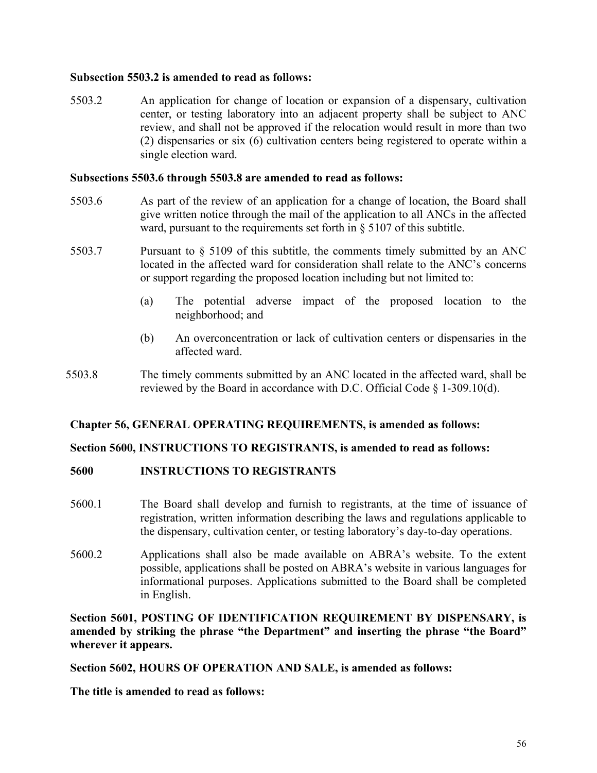## **Subsection 5503.2 is amended to read as follows:**

5503.2 An application for change of location or expansion of a dispensary, cultivation center, or testing laboratory into an adjacent property shall be subject to ANC review, and shall not be approved if the relocation would result in more than two (2) dispensaries or six (6) cultivation centers being registered to operate within a single election ward.

## **Subsections 5503.6 through 5503.8 are amended to read as follows:**

- 5503.6 As part of the review of an application for a change of location, the Board shall give written notice through the mail of the application to all ANCs in the affected ward, pursuant to the requirements set forth in § 5107 of this subtitle.
- 5503.7 Pursuant to § 5109 of this subtitle, the comments timely submitted by an ANC located in the affected ward for consideration shall relate to the ANC's concerns or support regarding the proposed location including but not limited to:
	- (a) The potential adverse impact of the proposed location to the neighborhood; and
	- (b) An overconcentration or lack of cultivation centers or dispensaries in the affected ward.
- 5503.8 The timely comments submitted by an ANC located in the affected ward, shall be reviewed by the Board in accordance with [D.C. Official Code](http://www.westlaw.com/Link/Document/FullText?findType=L&pubNum=1000869&cite=DCCODES1-309.10&originatingDoc=N7E8036409F3B11EABA6E8A16D6AD3D59&refType=SP&originationContext=document&vr=3.0&rs=cblt1.0&transitionType=DocumentItem&contextData=(sc.Default)#co_pp_5ba1000067d06) § 1-309.10(d).

# **Chapter 56, GENERAL OPERATING REQUIREMENTS, is amended as follows:**

## **Section 5600, INSTRUCTIONS TO REGISTRANTS, is amended to read as follows:**

## **5600 INSTRUCTIONS TO REGISTRANTS**

- 5600.1 The Board shall develop and furnish to registrants, at the time of issuance of registration, written information describing the laws and regulations applicable to the dispensary, cultivation center, or testing laboratory's day-to-day operations.
- 5600.2 Applications shall also be made available on ABRA's website. To the extent possible, applications shall be posted on ABRA's website in various languages for informational purposes. Applications submitted to the Board shall be completed in English.

**Section 5601, POSTING OF IDENTIFICATION REQUIREMENT BY DISPENSARY, is amended by striking the phrase "the Department" and inserting the phrase "the Board" wherever it appears.**

**Section 5602, HOURS OF OPERATION AND SALE, is amended as follows:**

**The title is amended to read as follows:**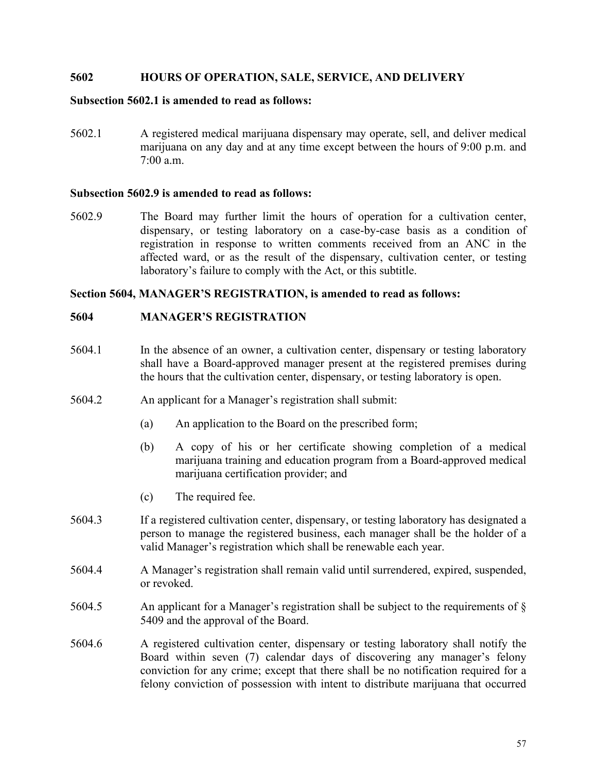## **5602 HOURS OF OPERATION, SALE, SERVICE, AND DELIVERY**

### **Subsection 5602.1 is amended to read as follows:**

5602.1 A registered medical marijuana dispensary may operate, sell, and deliver medical marijuana on any day and at any time except between the hours of 9:00 p.m. and 7:00 a.m.

#### **Subsection 5602.9 is amended to read as follows:**

5602.9 The Board may further limit the hours of operation for a cultivation center, dispensary, or testing laboratory on a case-by-case basis as a condition of registration in response to written comments received from an ANC in the affected ward, or as the result of the dispensary, cultivation center, or testing laboratory's failure to comply with the Act, or this subtitle.

### **Section 5604, MANAGER'S REGISTRATION, is amended to read as follows:**

## **5604 MANAGER'S REGISTRATION**

- 5604.1 In the absence of an owner, a cultivation center, dispensary or testing laboratory shall have a Board-approved manager present at the registered premises during the hours that the cultivation center, dispensary, or testing laboratory is open.
- 5604.2 An applicant for a Manager's registration shall submit:
	- (a) An application to the Board on the prescribed form;
	- (b) A copy of his or her certificate showing completion of a medical marijuana training and education program from a Board-approved medical marijuana certification provider; and
	- (c) The required fee.
- 5604.3 If a registered cultivation center, dispensary, or testing laboratory has designated a person to manage the registered business, each manager shall be the holder of a valid Manager's registration which shall be renewable each year.
- 5604.4 A Manager's registration shall remain valid until surrendered, expired, suspended, or revoked.
- 5604.5 An applicant for a Manager's registration shall be subject to the requirements of § 5409 and the approval of the Board.
- 5604.6 A registered cultivation center, dispensary or testing laboratory shall notify the Board within seven (7) calendar days of discovering any manager's felony conviction for any crime; except that there shall be no notification required for a felony conviction of possession with intent to distribute marijuana that occurred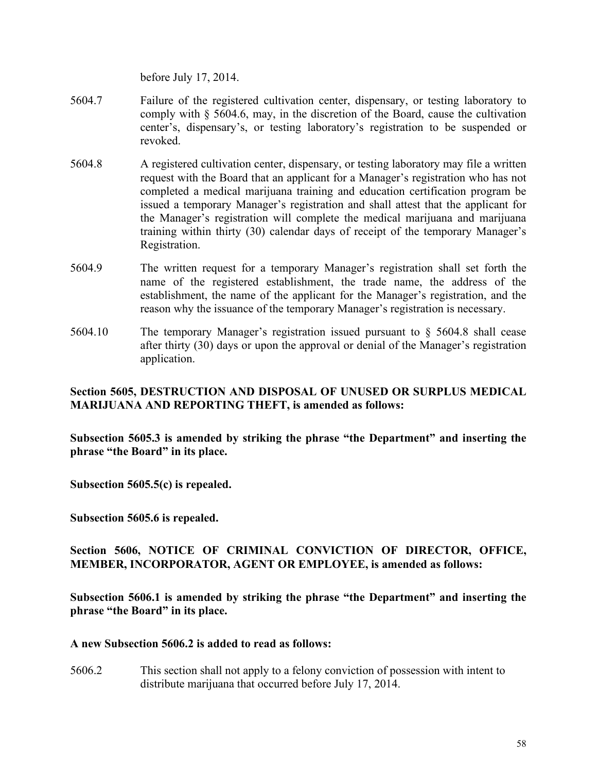before July 17, 2014.

- 5604.7 Failure of the registered cultivation center, dispensary, or testing laboratory to comply with § 5604.6, may, in the discretion of the Board, cause the cultivation center's, dispensary's, or testing laboratory's registration to be suspended or revoked.
- 5604.8 A registered cultivation center, dispensary, or testing laboratory may file a written request with the Board that an applicant for a Manager's registration who has not completed a medical marijuana training and education certification program be issued a temporary Manager's registration and shall attest that the applicant for the Manager's registration will complete the medical marijuana and marijuana training within thirty (30) calendar days of receipt of the temporary Manager's Registration.
- 5604.9 The written request for a temporary Manager's registration shall set forth the name of the registered establishment, the trade name, the address of the establishment, the name of the applicant for the Manager's registration, and the reason why the issuance of the temporary Manager's registration is necessary.
- 5604.10 The temporary Manager's registration issued pursuant to § 5604.8 shall cease after thirty (30) days or upon the approval or denial of the Manager's registration application.

# **Section 5605, DESTRUCTION AND DISPOSAL OF UNUSED OR SURPLUS MEDICAL MARIJUANA AND REPORTING THEFT, is amended as follows:**

**Subsection 5605.3 is amended by striking the phrase "the Department" and inserting the phrase "the Board" in its place.**

**Subsection 5605.5(c) is repealed.**

**Subsection 5605.6 is repealed.**

# **Section 5606, NOTICE OF CRIMINAL CONVICTION OF DIRECTOR, OFFICE, MEMBER, INCORPORATOR, AGENT OR EMPLOYEE, is amended as follows:**

**Subsection 5606.1 is amended by striking the phrase "the Department" and inserting the phrase "the Board" in its place.**

## **A new Subsection 5606.2 is added to read as follows:**

5606.2 This section shall not apply to a felony conviction of possession with intent to distribute marijuana that occurred before July 17, 2014.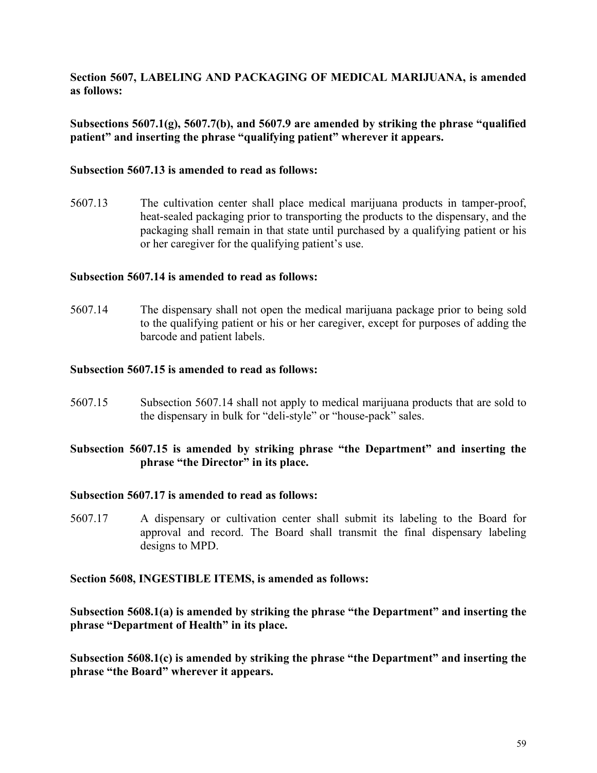**Section 5607, LABELING AND PACKAGING OF MEDICAL MARIJUANA, is amended as follows:**

# **Subsections 5607.1(g), 5607.7(b), and 5607.9 are amended by striking the phrase "qualified patient" and inserting the phrase "qualifying patient" wherever it appears.**

### **Subsection 5607.13 is amended to read as follows:**

5607.13 The cultivation center shall place medical marijuana products in tamper-proof, heat-sealed packaging prior to transporting the products to the dispensary, and the packaging shall remain in that state until purchased by a qualifying patient or his or her caregiver for the qualifying patient's use.

### **Subsection 5607.14 is amended to read as follows:**

5607.14 The dispensary shall not open the medical marijuana package prior to being sold to the qualifying patient or his or her caregiver, except for purposes of adding the barcode and patient labels.

## **Subsection 5607.15 is amended to read as follows:**

5607.15 Subsection 5607.14 shall not apply to medical marijuana products that are sold to the dispensary in bulk for "deli-style" or "house-pack" sales.

## **Subsection 5607.15 is amended by striking phrase "the Department" and inserting the phrase "the Director" in its place.**

#### **Subsection 5607.17 is amended to read as follows:**

5607.17 A dispensary or cultivation center shall submit its labeling to the Board for approval and record. The Board shall transmit the final dispensary labeling designs to MPD.

#### **Section 5608, INGESTIBLE ITEMS, is amended as follows:**

**Subsection 5608.1(a) is amended by striking the phrase "the Department" and inserting the phrase "Department of Health" in its place.**

**Subsection 5608.1(c) is amended by striking the phrase "the Department" and inserting the phrase "the Board" wherever it appears.**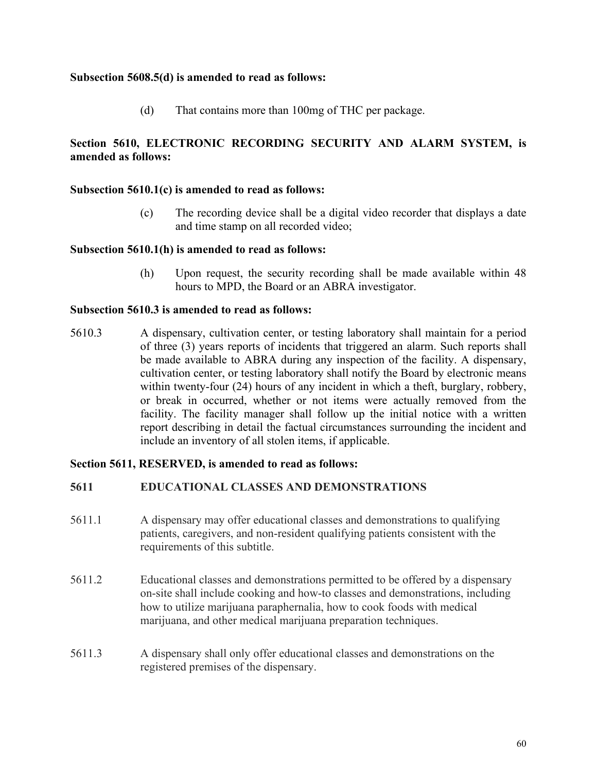## **Subsection 5608.5(d) is amended to read as follows:**

(d) That contains more than 100mg of THC per package.

# **Section 5610, ELECTRONIC RECORDING SECURITY AND ALARM SYSTEM, is amended as follows:**

## **Subsection 5610.1(c) is amended to read as follows:**

(c) The recording device shall be a digital video recorder that displays a date and time stamp on all recorded video;

### **Subsection 5610.1(h) is amended to read as follows:**

(h) Upon request, the security recording shall be made available within 48 hours to MPD, the Board or an ABRA investigator.

### **Subsection 5610.3 is amended to read as follows:**

5610.3 A dispensary, cultivation center, or testing laboratory shall maintain for a period of three (3) years reports of incidents that triggered an alarm. Such reports shall be made available to ABRA during any inspection of the facility. A dispensary, cultivation center, or testing laboratory shall notify the Board by electronic means within twenty-four (24) hours of any incident in which a theft, burglary, robbery, or break in occurred, whether or not items were actually removed from the facility. The facility manager shall follow up the initial notice with a written report describing in detail the factual circumstances surrounding the incident and include an inventory of all stolen items, if applicable.

## **Section 5611, RESERVED, is amended to read as follows:**

## **5611 EDUCATIONAL CLASSES AND DEMONSTRATIONS**

- 5611.1 A dispensary may offer educational classes and demonstrations to qualifying patients, caregivers, and non-resident qualifying patients consistent with the requirements of this subtitle.
- 5611.2 Educational classes and demonstrations permitted to be offered by a dispensary on-site shall include cooking and how-to classes and demonstrations, including how to utilize marijuana paraphernalia, how to cook foods with medical marijuana, and other medical marijuana preparation techniques.
- 5611.3 A dispensary shall only offer educational classes and demonstrations on the registered premises of the dispensary.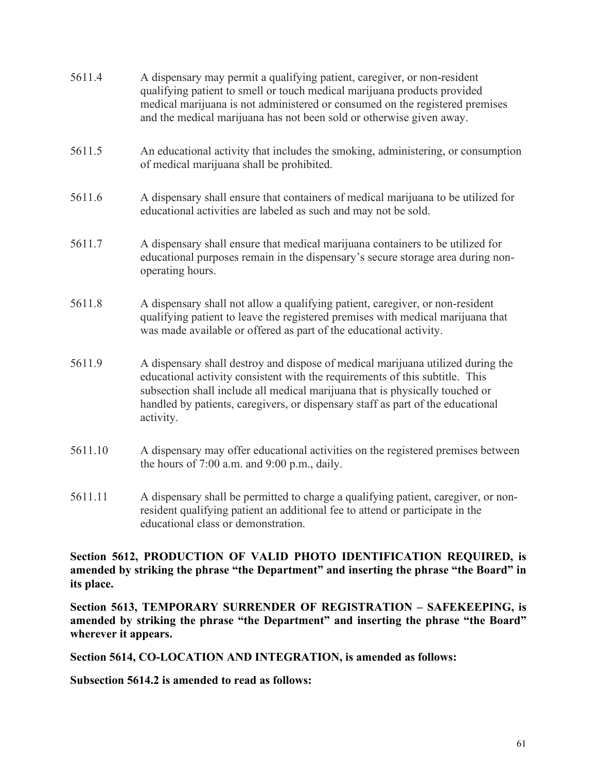| 5611.4  | A dispensary may permit a qualifying patient, caregiver, or non-resident<br>qualifying patient to smell or touch medical marijuana products provided<br>medical marijuana is not administered or consumed on the registered premises<br>and the medical marijuana has not been sold or otherwise given away.                                    |
|---------|-------------------------------------------------------------------------------------------------------------------------------------------------------------------------------------------------------------------------------------------------------------------------------------------------------------------------------------------------|
| 5611.5  | An educational activity that includes the smoking, administering, or consumption<br>of medical marijuana shall be prohibited.                                                                                                                                                                                                                   |
| 5611.6  | A dispensary shall ensure that containers of medical marijuana to be utilized for<br>educational activities are labeled as such and may not be sold.                                                                                                                                                                                            |
| 5611.7  | A dispensary shall ensure that medical marijuana containers to be utilized for<br>educational purposes remain in the dispensary's secure storage area during non-<br>operating hours.                                                                                                                                                           |
| 5611.8  | A dispensary shall not allow a qualifying patient, caregiver, or non-resident<br>qualifying patient to leave the registered premises with medical marijuana that<br>was made available or offered as part of the educational activity.                                                                                                          |
| 5611.9  | A dispensary shall destroy and dispose of medical marijuana utilized during the<br>educational activity consistent with the requirements of this subtitle. This<br>subsection shall include all medical marijuana that is physically touched or<br>handled by patients, caregivers, or dispensary staff as part of the educational<br>activity. |
| 5611.10 | A dispensary may offer educational activities on the registered premises between<br>the hours of $7:00$ a.m. and $9:00$ p.m., daily.                                                                                                                                                                                                            |
| 5611.11 | A dispensary shall be permitted to charge a qualifying patient, caregiver, or non-<br>resident qualifying patient an additional fee to attend or participate in the<br>educational class or demonstration.                                                                                                                                      |

**Section 5612, PRODUCTION OF VALID PHOTO IDENTIFICATION REQUIRED, is amended by striking the phrase "the Department" and inserting the phrase "the Board" in its place.**

**Section 5613, TEMPORARY SURRENDER OF REGISTRATION – SAFEKEEPING, is amended by striking the phrase "the Department" and inserting the phrase "the Board" wherever it appears.**

**Section 5614, CO-LOCATION AND INTEGRATION, is amended as follows:**

**Subsection 5614.2 is amended to read as follows:**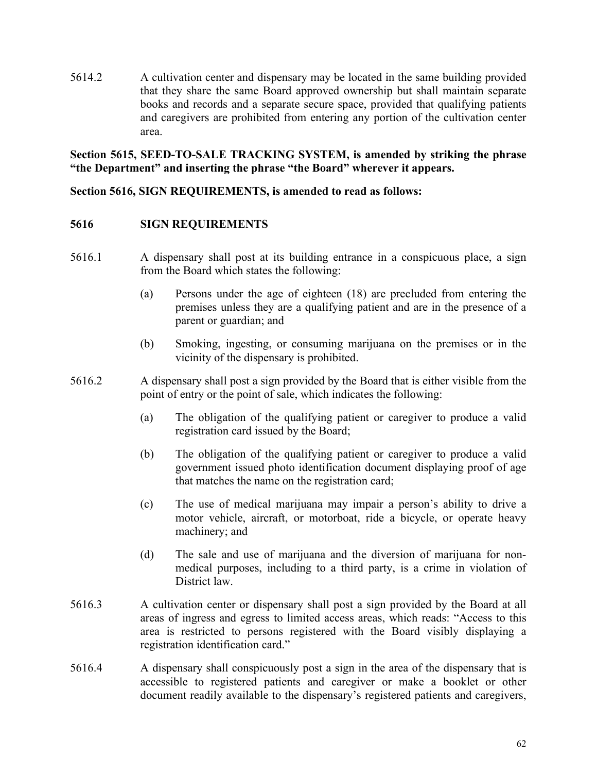5614.2 A cultivation center and dispensary may be located in the same building provided that they share the same Board approved ownership but shall maintain separate books and records and a separate secure space, provided that qualifying patients and caregivers are prohibited from entering any portion of the cultivation center area.

**Section 5615, SEED-TO-SALE TRACKING SYSTEM, is amended by striking the phrase "the Department" and inserting the phrase "the Board" wherever it appears.**

## **Section 5616, SIGN REQUIREMENTS, is amended to read as follows:**

## **5616 SIGN REQUIREMENTS**

- 5616.1 A dispensary shall post at its building entrance in a conspicuous place, a sign from the Board which states the following:
	- (a) Persons under the age of eighteen (18) are precluded from entering the premises unless they are a qualifying patient and are in the presence of a parent or guardian; and
	- (b) Smoking, ingesting, or consuming marijuana on the premises or in the vicinity of the dispensary is prohibited.
- 5616.2 A dispensary shall post a sign provided by the Board that is either visible from the point of entry or the point of sale, which indicates the following:
	- (a) The obligation of the qualifying patient or caregiver to produce a valid registration card issued by the Board;
	- (b) The obligation of the qualifying patient or caregiver to produce a valid government issued photo identification document displaying proof of age that matches the name on the registration card;
	- (c) The use of medical marijuana may impair a person's ability to drive a motor vehicle, aircraft, or motorboat, ride a bicycle, or operate heavy machinery; and
	- (d) The sale and use of marijuana and the diversion of marijuana for nonmedical purposes, including to a third party, is a crime in violation of District law.
- 5616.3 A cultivation center or dispensary shall post a sign provided by the Board at all areas of ingress and egress to limited access areas, which reads: "Access to this area is restricted to persons registered with the Board visibly displaying a registration identification card."
- 5616.4 A dispensary shall conspicuously post a sign in the area of the dispensary that is accessible to registered patients and caregiver or make a booklet or other document readily available to the dispensary's registered patients and caregivers,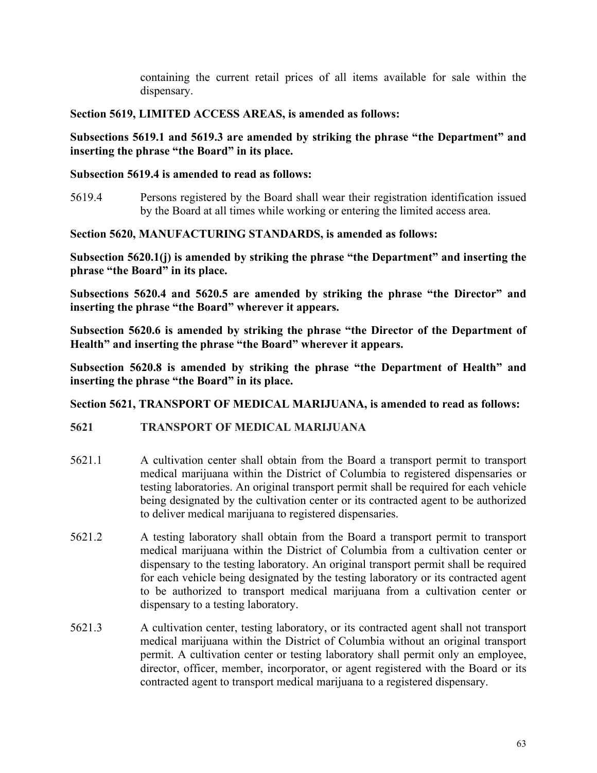containing the current retail prices of all items available for sale within the dispensary.

## **Section 5619, LIMITED ACCESS AREAS, is amended as follows:**

## **Subsections 5619.1 and 5619.3 are amended by striking the phrase "the Department" and inserting the phrase "the Board" in its place.**

## **Subsection 5619.4 is amended to read as follows:**

5619.4 Persons registered by the Board shall wear their registration identification issued by the Board at all times while working or entering the limited access area.

**Section 5620, MANUFACTURING STANDARDS, is amended as follows:**

**Subsection 5620.1(j) is amended by striking the phrase "the Department" and inserting the phrase "the Board" in its place.**

**Subsections 5620.4 and 5620.5 are amended by striking the phrase "the Director" and inserting the phrase "the Board" wherever it appears.**

**Subsection 5620.6 is amended by striking the phrase "the Director of the Department of Health" and inserting the phrase "the Board" wherever it appears.**

**Subsection 5620.8 is amended by striking the phrase "the Department of Health" and inserting the phrase "the Board" in its place.**

**Section 5621, TRANSPORT OF MEDICAL MARIJUANA, is amended to read as follows:**

# **5621 TRANSPORT OF MEDICAL MARIJUANA**

- 5621.1 A cultivation center shall obtain from the Board a transport permit to transport medical marijuana within the District of Columbia to registered dispensaries or testing laboratories. An original transport permit shall be required for each vehicle being designated by the cultivation center or its contracted agent to be authorized to deliver medical marijuana to registered dispensaries.
- 5621.2 A testing laboratory shall obtain from the Board a transport permit to transport medical marijuana within the District of Columbia from a cultivation center or dispensary to the testing laboratory. An original transport permit shall be required for each vehicle being designated by the testing laboratory or its contracted agent to be authorized to transport medical marijuana from a cultivation center or dispensary to a testing laboratory.
- 5621.3 A cultivation center, testing laboratory, or its contracted agent shall not transport medical marijuana within the District of Columbia without an original transport permit. A cultivation center or testing laboratory shall permit only an employee, director, officer, member, incorporator, or agent registered with the Board or its contracted agent to transport medical marijuana to a registered dispensary.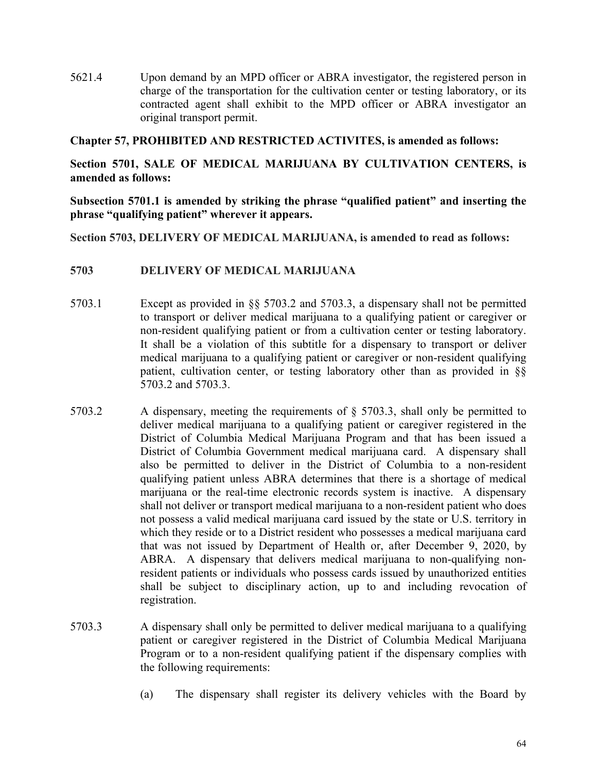5621.4 Upon demand by an MPD officer or ABRA investigator, the registered person in charge of the transportation for the cultivation center or testing laboratory, or its contracted agent shall exhibit to the MPD officer or ABRA investigator an original transport permit.

### **Chapter 57, PROHIBITED AND RESTRICTED ACTIVITES, is amended as follows:**

**Section 5701, SALE OF MEDICAL MARIJUANA BY CULTIVATION CENTERS, is amended as follows:**

**Subsection 5701.1 is amended by striking the phrase "qualified patient" and inserting the phrase "qualifying patient" wherever it appears.**

**Section 5703, DELIVERY OF MEDICAL MARIJUANA, is amended to read as follows:**

## **5703 DELIVERY OF MEDICAL MARIJUANA**

- 5703.1 Except as provided in §§ 5703.2 and 5703.3, a dispensary shall not be permitted to transport or deliver medical marijuana to a qualifying patient or caregiver or non-resident qualifying patient or from a cultivation center or testing laboratory. It shall be a violation of this subtitle for a dispensary to transport or deliver medical marijuana to a qualifying patient or caregiver or non-resident qualifying patient, cultivation center, or testing laboratory other than as provided in §§ 5703.2 and 5703.3.
- 5703.2 A dispensary, meeting the requirements of § 5703.3, shall only be permitted to deliver medical marijuana to a qualifying patient or caregiver registered in the District of Columbia Medical Marijuana Program and that has been issued a District of Columbia Government medical marijuana card. A dispensary shall also be permitted to deliver in the District of Columbia to a non-resident qualifying patient unless ABRA determines that there is a shortage of medical marijuana or the real-time electronic records system is inactive. A dispensary shall not deliver or transport medical marijuana to a non-resident patient who does not possess a valid medical marijuana card issued by the state or U.S. territory in which they reside or to a District resident who possesses a medical marijuana card that was not issued by Department of Health or, after December 9, 2020, by ABRA. A dispensary that delivers medical marijuana to non-qualifying nonresident patients or individuals who possess cards issued by unauthorized entities shall be subject to disciplinary action, up to and including revocation of registration.
- 5703.3 A dispensary shall only be permitted to deliver medical marijuana to a qualifying patient or caregiver registered in the District of Columbia Medical Marijuana Program or to a non-resident qualifying patient if the dispensary complies with the following requirements:
	- (a) The dispensary shall register its delivery vehicles with the Board by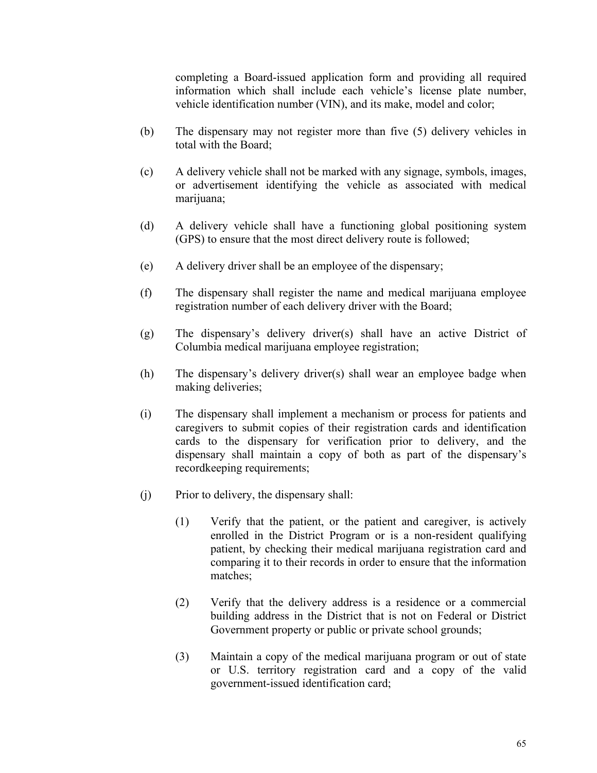completing a Board-issued application form and providing all required information which shall include each vehicle's license plate number, vehicle identification number (VIN), and its make, model and color;

- (b) The dispensary may not register more than five (5) delivery vehicles in total with the Board;
- (c) A delivery vehicle shall not be marked with any signage, symbols, images, or advertisement identifying the vehicle as associated with medical marijuana;
- (d) A delivery vehicle shall have a functioning global positioning system (GPS) to ensure that the most direct delivery route is followed;
- (e) A delivery driver shall be an employee of the dispensary;
- (f) The dispensary shall register the name and medical marijuana employee registration number of each delivery driver with the Board;
- (g) The dispensary's delivery driver(s) shall have an active District of Columbia medical marijuana employee registration;
- (h) The dispensary's delivery driver(s) shall wear an employee badge when making deliveries;
- (i) The dispensary shall implement a mechanism or process for patients and caregivers to submit copies of their registration cards and identification cards to the dispensary for verification prior to delivery, and the dispensary shall maintain a copy of both as part of the dispensary's recordkeeping requirements;
- (j) Prior to delivery, the dispensary shall:
	- (1) Verify that the patient, or the patient and caregiver, is actively enrolled in the District Program or is a non-resident qualifying patient, by checking their medical marijuana registration card and comparing it to their records in order to ensure that the information matches;
	- (2) Verify that the delivery address is a residence or a commercial building address in the District that is not on Federal or District Government property or public or private school grounds;
	- (3) Maintain a copy of the medical marijuana program or out of state or U.S. territory registration card and a copy of the valid government-issued identification card;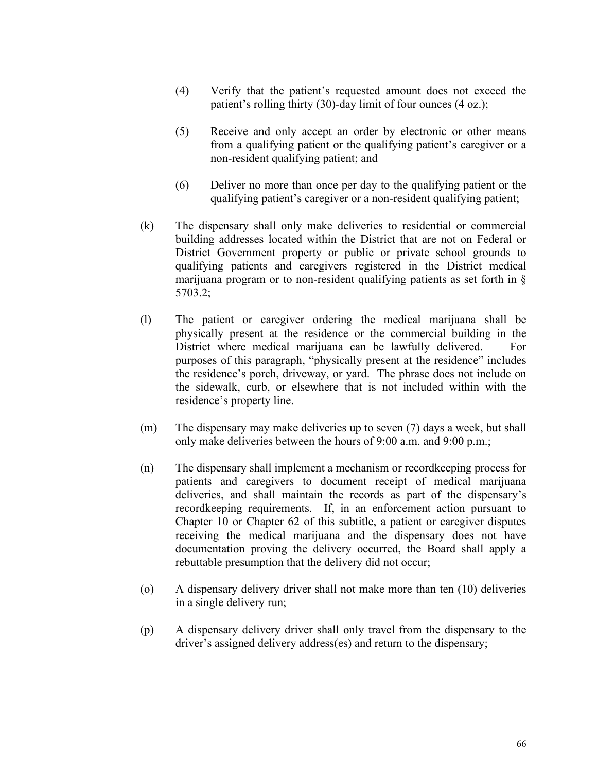- (4) Verify that the patient's requested amount does not exceed the patient's rolling thirty (30)-day limit of four ounces (4 oz.);
- (5) Receive and only accept an order by electronic or other means from a qualifying patient or the qualifying patient's caregiver or a non-resident qualifying patient; and
- (6) Deliver no more than once per day to the qualifying patient or the qualifying patient's caregiver or a non-resident qualifying patient;
- (k) The dispensary shall only make deliveries to residential or commercial building addresses located within the District that are not on Federal or District Government property or public or private school grounds to qualifying patients and caregivers registered in the District medical marijuana program or to non-resident qualifying patients as set forth in § 5703.2;
- (l) The patient or caregiver ordering the medical marijuana shall be physically present at the residence or the commercial building in the District where medical marijuana can be lawfully delivered. For purposes of this paragraph, "physically present at the residence" includes the residence's porch, driveway, or yard. The phrase does not include on the sidewalk, curb, or elsewhere that is not included within with the residence's property line.
- (m) The dispensary may make deliveries up to seven (7) days a week, but shall only make deliveries between the hours of 9:00 a.m. and 9:00 p.m.;
- (n) The dispensary shall implement a mechanism or recordkeeping process for patients and caregivers to document receipt of medical marijuana deliveries, and shall maintain the records as part of the dispensary's recordkeeping requirements. If, in an enforcement action pursuant to Chapter 10 or Chapter 62 of this subtitle, a patient or caregiver disputes receiving the medical marijuana and the dispensary does not have documentation proving the delivery occurred, the Board shall apply a rebuttable presumption that the delivery did not occur;
- (o) A dispensary delivery driver shall not make more than ten (10) deliveries in a single delivery run;
- (p) A dispensary delivery driver shall only travel from the dispensary to the driver's assigned delivery address(es) and return to the dispensary;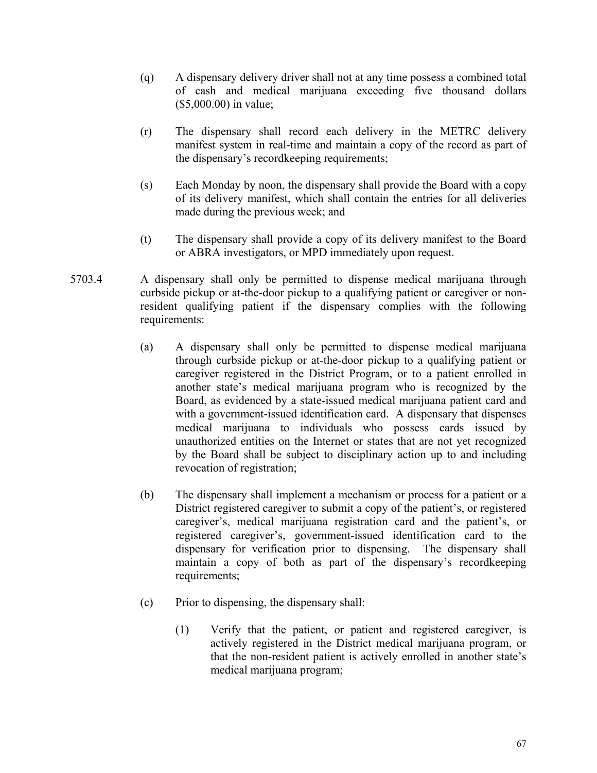- (q) A dispensary delivery driver shall not at any time possess a combined total of cash and medical marijuana exceeding five thousand dollars (\$5,000.00) in value;
- (r) The dispensary shall record each delivery in the METRC delivery manifest system in real-time and maintain a copy of the record as part of the dispensary's recordkeeping requirements;
- (s) Each Monday by noon, the dispensary shall provide the Board with a copy of its delivery manifest, which shall contain the entries for all deliveries made during the previous week; and
- (t) The dispensary shall provide a copy of its delivery manifest to the Board or ABRA investigators, or MPD immediately upon request.
- 5703.4 A dispensary shall only be permitted to dispense medical marijuana through curbside pickup or at-the-door pickup to a qualifying patient or caregiver or nonresident qualifying patient if the dispensary complies with the following requirements:
	- (a) A dispensary shall only be permitted to dispense medical marijuana through curbside pickup or at-the-door pickup to a qualifying patient or caregiver registered in the District Program, or to a patient enrolled in another state's medical marijuana program who is recognized by the Board, as evidenced by a state-issued medical marijuana patient card and with a government-issued identification card. A dispensary that dispenses medical marijuana to individuals who possess cards issued by unauthorized entities on the Internet or states that are not yet recognized by the Board shall be subject to disciplinary action up to and including revocation of registration;
	- (b) The dispensary shall implement a mechanism or process for a patient or a District registered caregiver to submit a copy of the patient's, or registered caregiver's, medical marijuana registration card and the patient's, or registered caregiver's, government-issued identification card to the dispensary for verification prior to dispensing. The dispensary shall maintain a copy of both as part of the dispensary's recordkeeping requirements;
	- (c) Prior to dispensing, the dispensary shall:
		- (1) Verify that the patient, or patient and registered caregiver, is actively registered in the District medical marijuana program, or that the non-resident patient is actively enrolled in another state's medical marijuana program;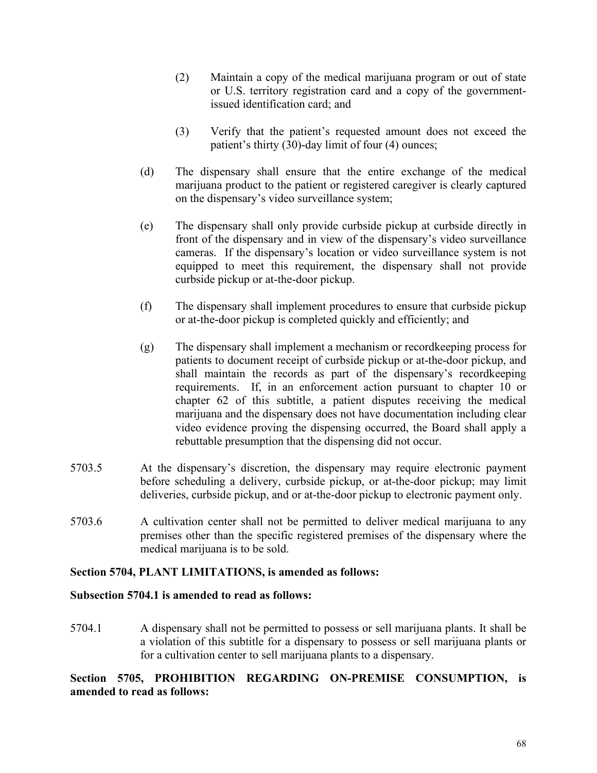- (2) Maintain a copy of the medical marijuana program or out of state or U.S. territory registration card and a copy of the governmentissued identification card; and
- (3) Verify that the patient's requested amount does not exceed the patient's thirty (30)-day limit of four (4) ounces;
- (d) The dispensary shall ensure that the entire exchange of the medical marijuana product to the patient or registered caregiver is clearly captured on the dispensary's video surveillance system;
- (e) The dispensary shall only provide curbside pickup at curbside directly in front of the dispensary and in view of the dispensary's video surveillance cameras. If the dispensary's location or video surveillance system is not equipped to meet this requirement, the dispensary shall not provide curbside pickup or at-the-door pickup.
- (f) The dispensary shall implement procedures to ensure that curbside pickup or at-the-door pickup is completed quickly and efficiently; and
- (g) The dispensary shall implement a mechanism or recordkeeping process for patients to document receipt of curbside pickup or at-the-door pickup, and shall maintain the records as part of the dispensary's recordkeeping requirements. If, in an enforcement action pursuant to chapter 10 or chapter 62 of this subtitle, a patient disputes receiving the medical marijuana and the dispensary does not have documentation including clear video evidence proving the dispensing occurred, the Board shall apply a rebuttable presumption that the dispensing did not occur.
- 5703.5 At the dispensary's discretion, the dispensary may require electronic payment before scheduling a delivery, curbside pickup, or at-the-door pickup; may limit deliveries, curbside pickup, and or at-the-door pickup to electronic payment only.
- 5703.6 A cultivation center shall not be permitted to deliver medical marijuana to any premises other than the specific registered premises of the dispensary where the medical marijuana is to be sold.

# **Section 5704, PLANT LIMITATIONS, is amended as follows:**

## **Subsection 5704.1 is amended to read as follows:**

5704.1 A dispensary shall not be permitted to possess or sell marijuana plants. It shall be a violation of this subtitle for a dispensary to possess or sell marijuana plants or for a cultivation center to sell marijuana plants to a dispensary.

# **Section 5705, PROHIBITION REGARDING ON-PREMISE CONSUMPTION, is amended to read as follows:**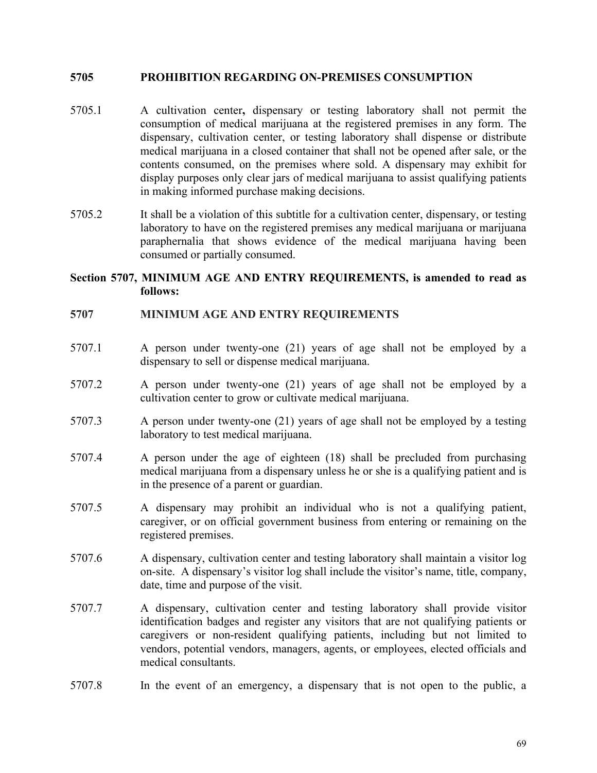### **5705 PROHIBITION REGARDING ON-PREMISES CONSUMPTION**

- 5705.1 A cultivation center**,** dispensary or testing laboratory shall not permit the consumption of medical marijuana at the registered premises in any form. The dispensary, cultivation center, or testing laboratory shall dispense or distribute medical marijuana in a closed container that shall not be opened after sale, or the contents consumed, on the premises where sold. A dispensary may exhibit for display purposes only clear jars of medical marijuana to assist qualifying patients in making informed purchase making decisions.
- 5705.2 It shall be a violation of this subtitle for a cultivation center, dispensary, or testing laboratory to have on the registered premises any medical marijuana or marijuana paraphernalia that shows evidence of the medical marijuana having been consumed or partially consumed.

## **Section 5707, MINIMUM AGE AND ENTRY REQUIREMENTS, is amended to read as follows:**

### **5707 MINIMUM AGE AND ENTRY REQUIREMENTS**

- 5707.1 A person under twenty-one (21) years of age shall not be employed by a dispensary to sell or dispense medical marijuana.
- 5707.2 A person under twenty-one (21) years of age shall not be employed by a cultivation center to grow or cultivate medical marijuana.
- 5707.3 A person under twenty-one (21) years of age shall not be employed by a testing laboratory to test medical marijuana.
- 5707.4 A person under the age of eighteen (18) shall be precluded from purchasing medical marijuana from a dispensary unless he or she is a qualifying patient and is in the presence of a parent or guardian.
- 5707.5 A dispensary may prohibit an individual who is not a qualifying patient, caregiver, or on official government business from entering or remaining on the registered premises.
- 5707.6 A dispensary, cultivation center and testing laboratory shall maintain a visitor log on-site. A dispensary's visitor log shall include the visitor's name, title, company, date, time and purpose of the visit.
- 5707.7 A dispensary, cultivation center and testing laboratory shall provide visitor identification badges and register any visitors that are not qualifying patients or caregivers or non-resident qualifying patients, including but not limited to vendors, potential vendors, managers, agents, or employees, elected officials and medical consultants.
- 5707.8 In the event of an emergency, a dispensary that is not open to the public, a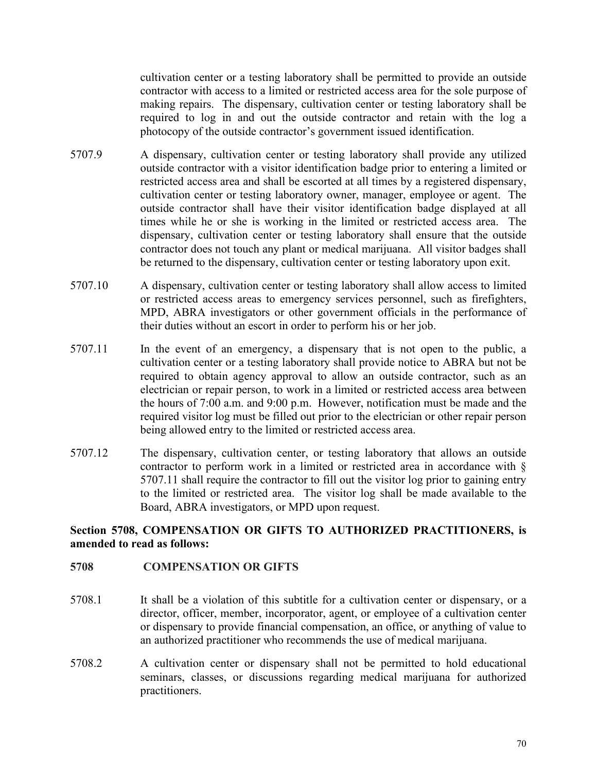cultivation center or a testing laboratory shall be permitted to provide an outside contractor with access to a limited or restricted access area for the sole purpose of making repairs. The dispensary, cultivation center or testing laboratory shall be required to log in and out the outside contractor and retain with the log a photocopy of the outside contractor's government issued identification.

- 5707.9 A dispensary, cultivation center or testing laboratory shall provide any utilized outside contractor with a visitor identification badge prior to entering a limited or restricted access area and shall be escorted at all times by a registered dispensary, cultivation center or testing laboratory owner, manager, employee or agent. The outside contractor shall have their visitor identification badge displayed at all times while he or she is working in the limited or restricted access area. The dispensary, cultivation center or testing laboratory shall ensure that the outside contractor does not touch any plant or medical marijuana. All visitor badges shall be returned to the dispensary, cultivation center or testing laboratory upon exit.
- 5707.10 A dispensary, cultivation center or testing laboratory shall allow access to limited or restricted access areas to emergency services personnel, such as firefighters, MPD, ABRA investigators or other government officials in the performance of their duties without an escort in order to perform his or her job.
- 5707.11 In the event of an emergency, a dispensary that is not open to the public, a cultivation center or a testing laboratory shall provide notice to ABRA but not be required to obtain agency approval to allow an outside contractor, such as an electrician or repair person, to work in a limited or restricted access area between the hours of 7:00 a.m. and 9:00 p.m. However, notification must be made and the required visitor log must be filled out prior to the electrician or other repair person being allowed entry to the limited or restricted access area.
- 5707.12 The dispensary, cultivation center, or testing laboratory that allows an outside contractor to perform work in a limited or restricted area in accordance with § 5707.11 shall require the contractor to fill out the visitor log prior to gaining entry to the limited or restricted area. The visitor log shall be made available to the Board, ABRA investigators, or MPD upon request.

# **Section 5708, COMPENSATION OR GIFTS TO AUTHORIZED PRACTITIONERS, is amended to read as follows:**

## **5708 COMPENSATION OR GIFTS**

- 5708.1 It shall be a violation of this subtitle for a cultivation center or dispensary, or a director, officer, member, incorporator, agent, or employee of a cultivation center or dispensary to provide financial compensation, an office, or anything of value to an authorized practitioner who recommends the use of medical marijuana.
- 5708.2 A cultivation center or dispensary shall not be permitted to hold educational seminars, classes, or discussions regarding medical marijuana for authorized practitioners.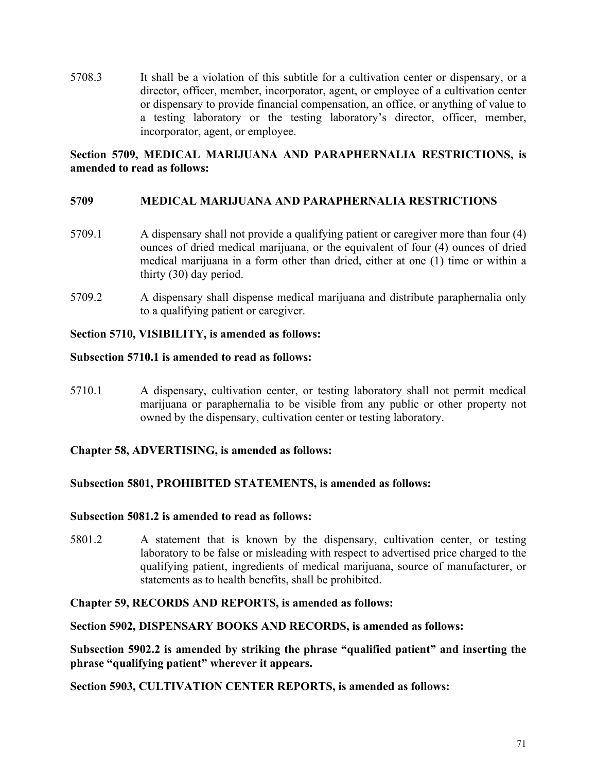5708.3 It shall be a violation of this subtitle for a cultivation center or dispensary, or a director, officer, member, incorporator, agent, or employee of a cultivation center or dispensary to provide financial compensation, an office, or anything of value to a testing laboratory or the testing laboratory's director, officer, member, incorporator, agent, or employee.

# **Section 5709, MEDICAL MARIJUANA AND PARAPHERNALIA RESTRICTIONS, is amended to read as follows:**

## **5709 MEDICAL MARIJUANA AND PARAPHERNALIA RESTRICTIONS**

- 5709.1 A dispensary shall not provide a qualifying patient or caregiver more than four (4) ounces of dried medical marijuana, or the equivalent of four (4) ounces of dried medical marijuana in a form other than dried, either at one (1) time or within a thirty (30) day period.
- 5709.2 A dispensary shall dispense medical marijuana and distribute paraphernalia only to a qualifying patient or caregiver.

## **Section 5710, VISIBILITY, is amended as follows:**

## **Subsection 5710.1 is amended to read as follows:**

5710.1 A dispensary, cultivation center, or testing laboratory shall not permit medical marijuana or paraphernalia to be visible from any public or other property not owned by the dispensary, cultivation center or testing laboratory.

## **Chapter 58, ADVERTISING, is amended as follows:**

## **Subsection 5801, PROHIBITED STATEMENTS, is amended as follows:**

## **Subsection 5081.2 is amended to read as follows:**

5801.2 A statement that is known by the dispensary, cultivation center, or testing laboratory to be false or misleading with respect to advertised price charged to the qualifying patient, ingredients of medical marijuana, source of manufacturer, or statements as to health benefits, shall be prohibited.

## **Chapter 59, RECORDS AND REPORTS, is amended as follows:**

## **Section 5902, DISPENSARY BOOKS AND RECORDS, is amended as follows:**

**Subsection 5902.2 is amended by striking the phrase "qualified patient" and inserting the phrase "qualifying patient" wherever it appears.** 

**Section 5903, CULTIVATION CENTER REPORTS, is amended as follows:**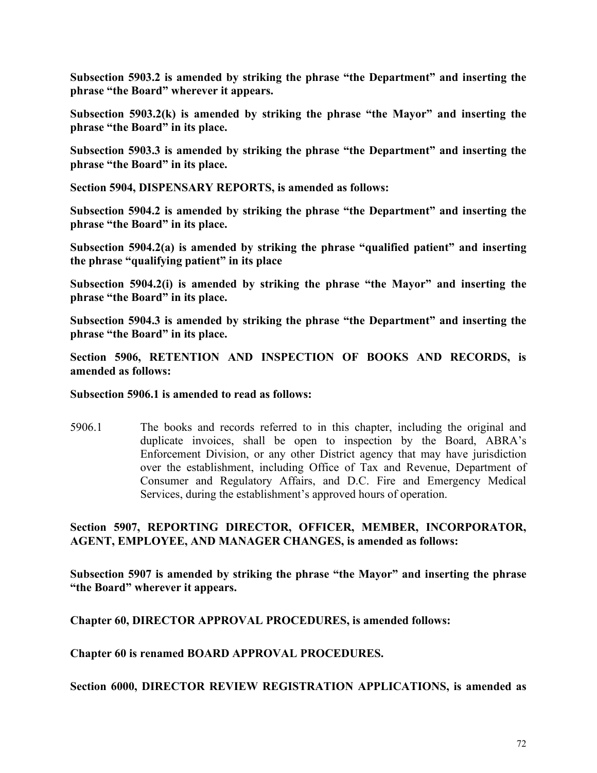**Subsection 5903.2 is amended by striking the phrase "the Department" and inserting the phrase "the Board" wherever it appears.**

**Subsection 5903.2(k) is amended by striking the phrase "the Mayor" and inserting the phrase "the Board" in its place.**

**Subsection 5903.3 is amended by striking the phrase "the Department" and inserting the phrase "the Board" in its place.**

**Section 5904, DISPENSARY REPORTS, is amended as follows:**

**Subsection 5904.2 is amended by striking the phrase "the Department" and inserting the phrase "the Board" in its place.**

**Subsection 5904.2(a) is amended by striking the phrase "qualified patient" and inserting the phrase "qualifying patient" in its place**

**Subsection 5904.2(i) is amended by striking the phrase "the Mayor" and inserting the phrase "the Board" in its place.**

**Subsection 5904.3 is amended by striking the phrase "the Department" and inserting the phrase "the Board" in its place.**

**Section 5906, RETENTION AND INSPECTION OF BOOKS AND RECORDS, is amended as follows:**

## **Subsection 5906.1 is amended to read as follows:**

5906.1 The books and records referred to in this chapter, including the original and duplicate invoices, shall be open to inspection by the Board, ABRA's Enforcement Division, or any other District agency that may have jurisdiction over the establishment, including Office of Tax and Revenue, Department of Consumer and Regulatory Affairs, and D.C. Fire and Emergency Medical Services, during the establishment's approved hours of operation.

## **Section 5907, REPORTING DIRECTOR, OFFICER, MEMBER, INCORPORATOR, AGENT, EMPLOYEE, AND MANAGER CHANGES, is amended as follows:**

**Subsection 5907 is amended by striking the phrase "the Mayor" and inserting the phrase "the Board" wherever it appears.**

**Chapter 60, DIRECTOR APPROVAL PROCEDURES, is amended follows:**

**Chapter 60 is renamed BOARD APPROVAL PROCEDURES.**

**Section 6000, DIRECTOR REVIEW REGISTRATION APPLICATIONS, is amended as**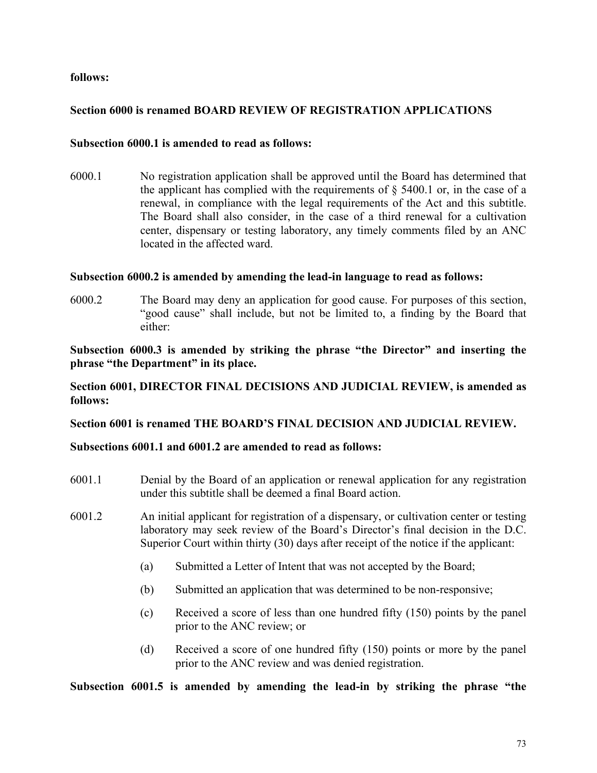## **follows:**

# **Section 6000 is renamed BOARD REVIEW OF REGISTRATION APPLICATIONS**

### **Subsection 6000.1 is amended to read as follows:**

6000.1 No registration application shall be approved until the Board has determined that the applicant has complied with the requirements of  $\S$  5400.1 or, in the case of a renewal, in compliance with the legal requirements of the Act and this subtitle. The Board shall also consider, in the case of a third renewal for a cultivation center, dispensary or testing laboratory, any timely comments filed by an ANC located in the affected ward.

#### **Subsection 6000.2 is amended by amending the lead-in language to read as follows:**

6000.2 The Board may deny an application for good cause. For purposes of this section, "good cause" shall include, but not be limited to, a finding by the Board that either:

**Subsection 6000.3 is amended by striking the phrase "the Director" and inserting the phrase "the Department" in its place.**

# **Section 6001, DIRECTOR FINAL DECISIONS AND JUDICIAL REVIEW, is amended as follows:**

## **Section 6001 is renamed THE BOARD'S FINAL DECISION AND JUDICIAL REVIEW.**

## **Subsections 6001.1 and 6001.2 are amended to read as follows:**

- 6001.1 Denial by the Board of an application or renewal application for any registration under this subtitle shall be deemed a final Board action.
- 6001.2 An initial applicant for registration of a dispensary, or cultivation center or testing laboratory may seek review of the Board's Director's final decision in the D.C. Superior Court within thirty (30) days after receipt of the notice if the applicant:
	- (a) Submitted a Letter of Intent that was not accepted by the Board;
	- (b) Submitted an application that was determined to be non-responsive;
	- (c) Received a score of less than one hundred fifty (150) points by the panel prior to the ANC review; or
	- (d) Received a score of one hundred fifty (150) points or more by the panel prior to the ANC review and was denied registration.

**Subsection 6001.5 is amended by amending the lead-in by striking the phrase "the**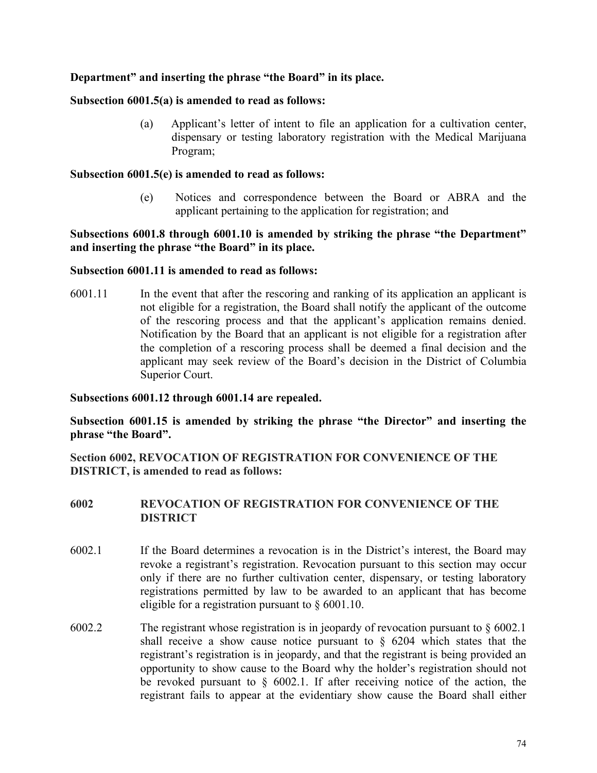# **Department" and inserting the phrase "the Board" in its place.**

### **Subsection 6001.5(a) is amended to read as follows:**

(a) Applicant's letter of intent to file an application for a cultivation center, dispensary or testing laboratory registration with the Medical Marijuana Program;

### **Subsection 6001.5(e) is amended to read as follows:**

(e) Notices and correspondence between the Board or ABRA and the applicant pertaining to the application for registration; and

# **Subsections 6001.8 through 6001.10 is amended by striking the phrase "the Department" and inserting the phrase "the Board" in its place.**

## **Subsection 6001.11 is amended to read as follows:**

6001.11 In the event that after the rescoring and ranking of its application an applicant is not eligible for a registration, the Board shall notify the applicant of the outcome of the rescoring process and that the applicant's application remains denied. Notification by the Board that an applicant is not eligible for a registration after the completion of a rescoring process shall be deemed a final decision and the applicant may seek review of the Board's decision in the District of Columbia Superior Court.

**Subsections 6001.12 through 6001.14 are repealed.**

**Subsection 6001.15 is amended by striking the phrase "the Director" and inserting the phrase "the Board".**

**Section 6002, REVOCATION OF REGISTRATION FOR CONVENIENCE OF THE DISTRICT, is amended to read as follows:**

# **6002 REVOCATION OF REGISTRATION FOR CONVENIENCE OF THE DISTRICT**

- 6002.1 If the Board determines a revocation is in the District's interest, the Board may revoke a registrant's registration. Revocation pursuant to this section may occur only if there are no further cultivation center, dispensary, or testing laboratory registrations permitted by law to be awarded to an applicant that has become eligible for a registration pursuant to  $\S$  6001.10.
- 6002.2 The registrant whose registration is in jeopardy of revocation pursuant to § 6002.1 shall receive a show cause notice pursuant to  $\S$  6204 which states that the registrant's registration is in jeopardy, and that the registrant is being provided an opportunity to show cause to the Board why the holder's registration should not be revoked pursuant to  $\S$  6002.1. If after receiving notice of the action, the registrant fails to appear at the evidentiary show cause the Board shall either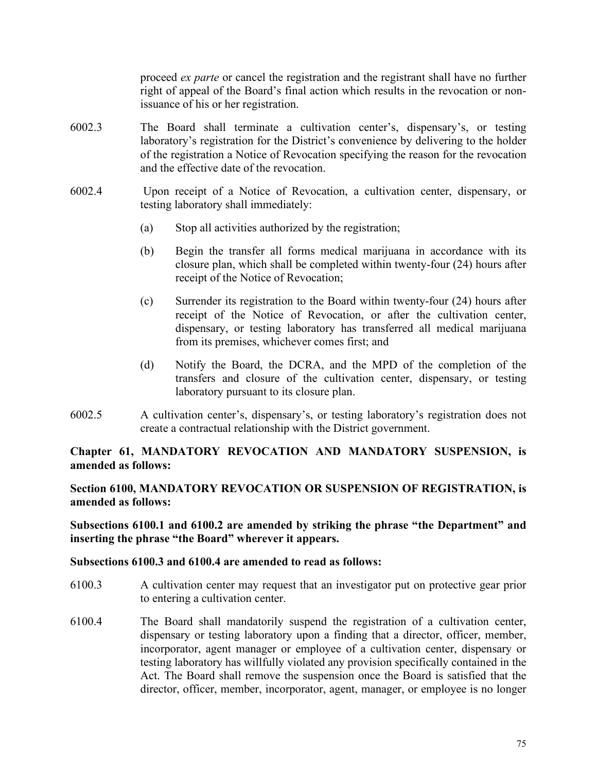proceed *ex parte* or cancel the registration and the registrant shall have no further right of appeal of the Board's final action which results in the revocation or nonissuance of his or her registration.

- 6002.3 The Board shall terminate a cultivation center's, dispensary's, or testing laboratory's registration for the District's convenience by delivering to the holder of the registration a Notice of Revocation specifying the reason for the revocation and the effective date of the revocation.
- 6002.4 Upon receipt of a Notice of Revocation, a cultivation center, dispensary, or testing laboratory shall immediately:
	- (a) Stop all activities authorized by the registration;
	- (b) Begin the transfer all forms medical marijuana in accordance with its closure plan, which shall be completed within twenty-four (24) hours after receipt of the Notice of Revocation;
	- (c) Surrender its registration to the Board within twenty-four (24) hours after receipt of the Notice of Revocation, or after the cultivation center, dispensary, or testing laboratory has transferred all medical marijuana from its premises, whichever comes first; and
	- (d) Notify the Board, the DCRA, and the MPD of the completion of the transfers and closure of the cultivation center, dispensary, or testing laboratory pursuant to its closure plan.
- 6002.5 A cultivation center's, dispensary's, or testing laboratory's registration does not create a contractual relationship with the District government.

**Chapter 61, MANDATORY REVOCATION AND MANDATORY SUSPENSION, is amended as follows:**

**Section 6100, MANDATORY REVOCATION OR SUSPENSION OF REGISTRATION, is amended as follows:**

**Subsections 6100.1 and 6100.2 are amended by striking the phrase "the Department" and inserting the phrase "the Board" wherever it appears.**

## **Subsections 6100.3 and 6100.4 are amended to read as follows:**

- 6100.3 A cultivation center may request that an investigator put on protective gear prior to entering a cultivation center.
- 6100.4 The Board shall mandatorily suspend the registration of a cultivation center, dispensary or testing laboratory upon a finding that a director, officer, member, incorporator, agent manager or employee of a cultivation center, dispensary or testing laboratory has willfully violated any provision specifically contained in the Act. The Board shall remove the suspension once the Board is satisfied that the director, officer, member, incorporator, agent, manager, or employee is no longer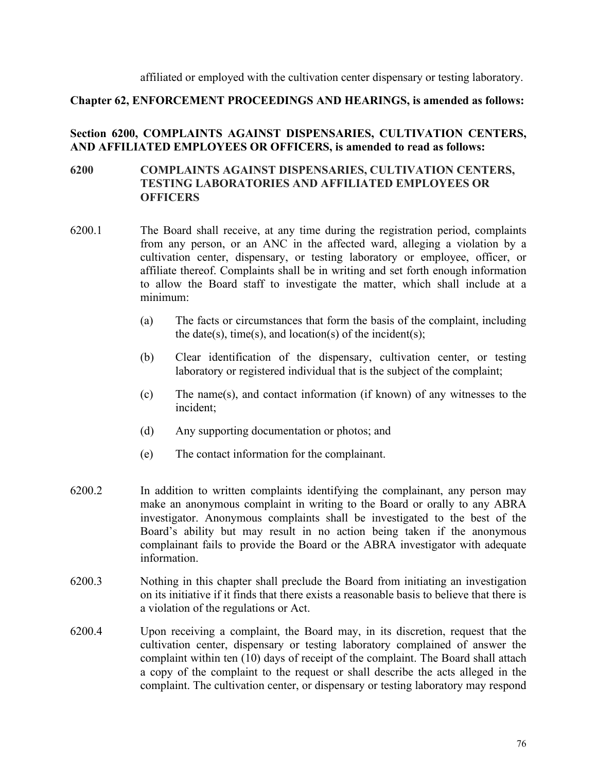affiliated or employed with the cultivation center dispensary or testing laboratory.

## **Chapter 62, ENFORCEMENT PROCEEDINGS AND HEARINGS, is amended as follows:**

# **Section 6200, COMPLAINTS AGAINST DISPENSARIES, CULTIVATION CENTERS, AND AFFILIATED EMPLOYEES OR OFFICERS, is amended to read as follows:**

## **6200 COMPLAINTS AGAINST DISPENSARIES, CULTIVATION CENTERS, TESTING LABORATORIES AND AFFILIATED EMPLOYEES OR OFFICERS**

- 6200.1 The Board shall receive, at any time during the registration period, complaints from any person, or an ANC in the affected ward, alleging a violation by a cultivation center, dispensary, or testing laboratory or employee, officer, or affiliate thereof. Complaints shall be in writing and set forth enough information to allow the Board staff to investigate the matter, which shall include at a minimum:
	- (a) The facts or circumstances that form the basis of the complaint, including the date(s), time(s), and location(s) of the incident(s);
	- (b) Clear identification of the dispensary, cultivation center, or testing laboratory or registered individual that is the subject of the complaint;
	- (c) The name(s), and contact information (if known) of any witnesses to the incident;
	- (d) Any supporting documentation or photos; and
	- (e) The contact information for the complainant.
- 6200.2 In addition to written complaints identifying the complainant, any person may make an anonymous complaint in writing to the Board or orally to any ABRA investigator. Anonymous complaints shall be investigated to the best of the Board's ability but may result in no action being taken if the anonymous complainant fails to provide the Board or the ABRA investigator with adequate information.
- 6200.3 Nothing in this chapter shall preclude the Board from initiating an investigation on its initiative if it finds that there exists a reasonable basis to believe that there is a violation of the regulations or Act.
- 6200.4 Upon receiving a complaint, the Board may, in its discretion, request that the cultivation center, dispensary or testing laboratory complained of answer the complaint within ten (10) days of receipt of the complaint. The Board shall attach a copy of the complaint to the request or shall describe the acts alleged in the complaint. The cultivation center, or dispensary or testing laboratory may respond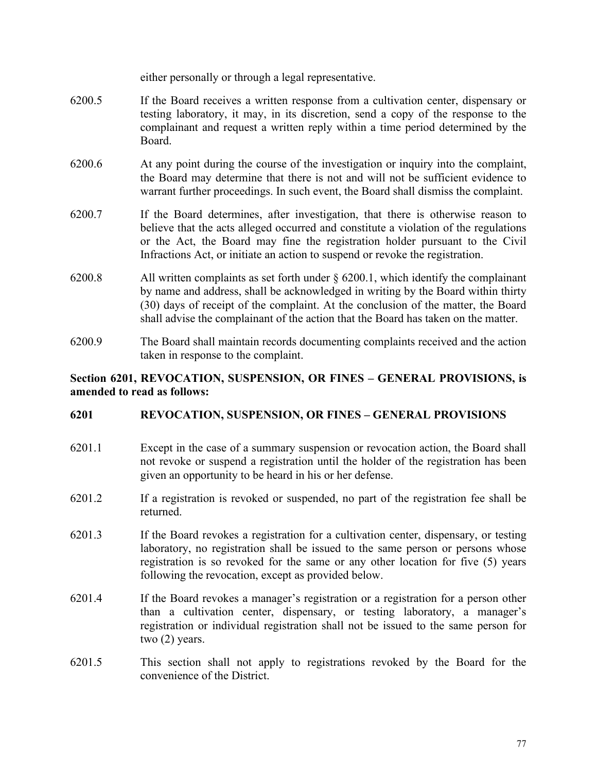either personally or through a legal representative.

- 6200.5 If the Board receives a written response from a cultivation center, dispensary or testing laboratory, it may, in its discretion, send a copy of the response to the complainant and request a written reply within a time period determined by the Board.
- 6200.6 At any point during the course of the investigation or inquiry into the complaint, the Board may determine that there is not and will not be sufficient evidence to warrant further proceedings. In such event, the Board shall dismiss the complaint.
- 6200.7 If the Board determines, after investigation, that there is otherwise reason to believe that the acts alleged occurred and constitute a violation of the regulations or the Act, the Board may fine the registration holder pursuant to the Civil Infractions Act, or initiate an action to suspend or revoke the registration.
- 6200.8 All written complaints as set forth under  $\S$  6200.1, which identify the complainant by name and address, shall be acknowledged in writing by the Board within thirty (30) days of receipt of the complaint. At the conclusion of the matter, the Board shall advise the complainant of the action that the Board has taken on the matter.
- 6200.9 The Board shall maintain records documenting complaints received and the action taken in response to the complaint.

# **Section 6201, REVOCATION, SUSPENSION, OR FINES – GENERAL PROVISIONS, is amended to read as follows:**

# **6201 REVOCATION, SUSPENSION, OR FINES – GENERAL PROVISIONS**

- 6201.1 Except in the case of a summary suspension or revocation action, the Board shall not revoke or suspend a registration until the holder of the registration has been given an opportunity to be heard in his or her defense.
- 6201.2 If a registration is revoked or suspended, no part of the registration fee shall be returned.
- 6201.3 If the Board revokes a registration for a cultivation center, dispensary, or testing laboratory, no registration shall be issued to the same person or persons whose registration is so revoked for the same or any other location for five (5) years following the revocation, except as provided below.
- 6201.4 If the Board revokes a manager's registration or a registration for a person other than a cultivation center, dispensary, or testing laboratory, a manager's registration or individual registration shall not be issued to the same person for two (2) years.
- 6201.5 This section shall not apply to registrations revoked by the Board for the convenience of the District.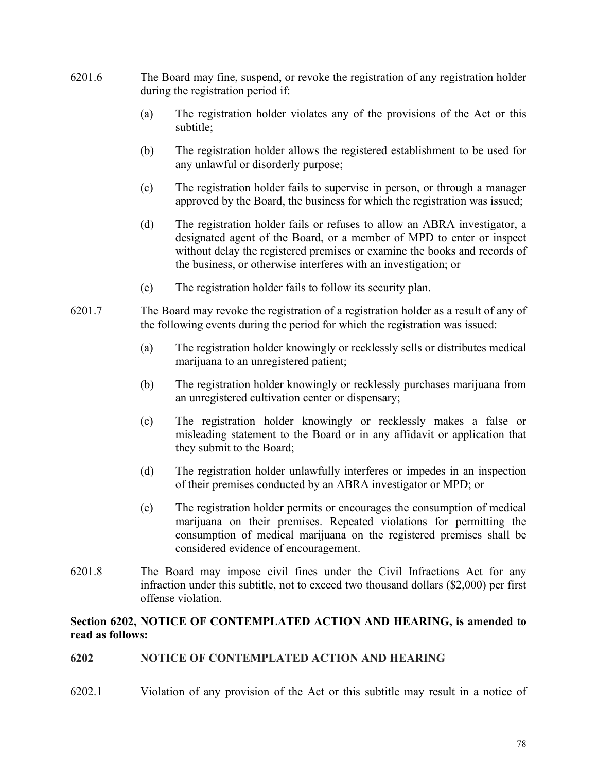- 6201.6 The Board may fine, suspend, or revoke the registration of any registration holder during the registration period if:
	- (a) The registration holder violates any of the provisions of the Act or this subtitle;
	- (b) The registration holder allows the registered establishment to be used for any unlawful or disorderly purpose;
	- (c) The registration holder fails to supervise in person, or through a manager approved by the Board, the business for which the registration was issued;
	- (d) The registration holder fails or refuses to allow an ABRA investigator, a designated agent of the Board, or a member of MPD to enter or inspect without delay the registered premises or examine the books and records of the business, or otherwise interferes with an investigation; or
	- (e) The registration holder fails to follow its security plan.
- 6201.7 The Board may revoke the registration of a registration holder as a result of any of the following events during the period for which the registration was issued:
	- (a) The registration holder knowingly or recklessly sells or distributes medical marijuana to an unregistered patient;
	- (b) The registration holder knowingly or recklessly purchases marijuana from an unregistered cultivation center or dispensary;
	- (c) The registration holder knowingly or recklessly makes a false or misleading statement to the Board or in any affidavit or application that they submit to the Board;
	- (d) The registration holder unlawfully interferes or impedes in an inspection of their premises conducted by an ABRA investigator or MPD; or
	- (e) The registration holder permits or encourages the consumption of medical marijuana on their premises. Repeated violations for permitting the consumption of medical marijuana on the registered premises shall be considered evidence of encouragement.
- 6201.8 The Board may impose civil fines under the Civil Infractions Act for any infraction under this subtitle, not to exceed two thousand dollars (\$2,000) per first offense violation.

# **Section 6202, NOTICE OF CONTEMPLATED ACTION AND HEARING, is amended to read as follows:**

## **6202 NOTICE OF CONTEMPLATED ACTION AND HEARING**

6202.1 Violation of any provision of the Act or this subtitle may result in a notice of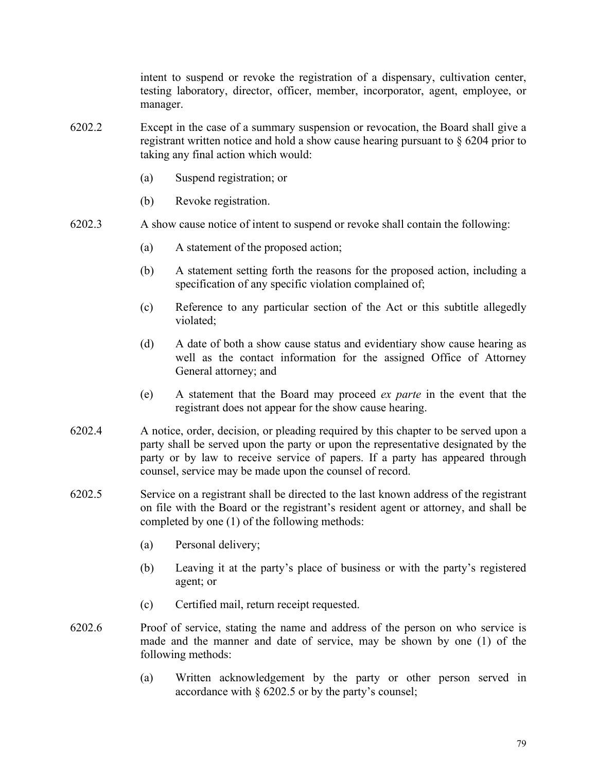intent to suspend or revoke the registration of a dispensary, cultivation center, testing laboratory, director, officer, member, incorporator, agent, employee, or manager.

- 6202.2 Except in the case of a summary suspension or revocation, the Board shall give a registrant written notice and hold a show cause hearing pursuant to § 6204 prior to taking any final action which would:
	- (a) Suspend registration; or
	- (b) Revoke registration.
- 6202.3 A show cause notice of intent to suspend or revoke shall contain the following:
	- (a) A statement of the proposed action;
	- (b) A statement setting forth the reasons for the proposed action, including a specification of any specific violation complained of;
	- (c) Reference to any particular section of the Act or this subtitle allegedly violated;
	- (d) A date of both a show cause status and evidentiary show cause hearing as well as the contact information for the assigned Office of Attorney General attorney; and
	- (e) A statement that the Board may proceed *ex parte* in the event that the registrant does not appear for the show cause hearing.
- 6202.4 A notice, order, decision, or pleading required by this chapter to be served upon a party shall be served upon the party or upon the representative designated by the party or by law to receive service of papers. If a party has appeared through counsel, service may be made upon the counsel of record.
- 6202.5 Service on a registrant shall be directed to the last known address of the registrant on file with the Board or the registrant's resident agent or attorney, and shall be completed by one (1) of the following methods:
	- (a) Personal delivery;
	- (b) Leaving it at the party's place of business or with the party's registered agent; or
	- (c) Certified mail, return receipt requested.
- 6202.6 Proof of service, stating the name and address of the person on who service is made and the manner and date of service, may be shown by one (1) of the following methods:
	- (a) Written acknowledgement by the party or other person served in accordance with § 6202.5 or by the party's counsel;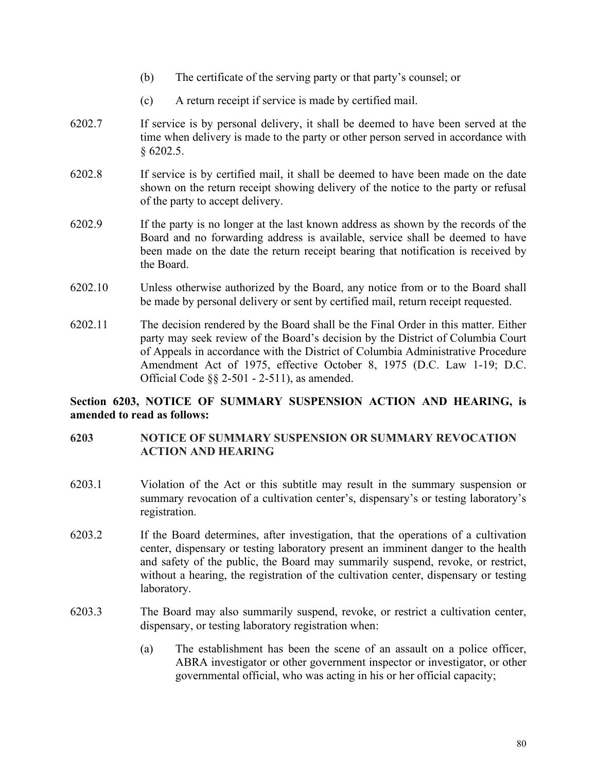- (b) The certificate of the serving party or that party's counsel; or
- (c) A return receipt if service is made by certified mail.
- 6202.7 If service is by personal delivery, it shall be deemed to have been served at the time when delivery is made to the party or other person served in accordance with § 6202.5.
- 6202.8 If service is by certified mail, it shall be deemed to have been made on the date shown on the return receipt showing delivery of the notice to the party or refusal of the party to accept delivery.
- 6202.9 If the party is no longer at the last known address as shown by the records of the Board and no forwarding address is available, service shall be deemed to have been made on the date the return receipt bearing that notification is received by the Board.
- 6202.10 Unless otherwise authorized by the Board, any notice from or to the Board shall be made by personal delivery or sent by certified mail, return receipt requested.
- 6202.11 The decision rendered by the Board shall be the Final Order in this matter. Either party may seek review of the Board's decision by the District of Columbia Court of Appeals in accordance with the District of Columbia Administrative Procedure Amendment Act of 1975, effective October 8, 1975 (D.C. Law 1-19; [D.C.](http://www.westlaw.com/Link/Document/FullText?findType=L&pubNum=1000869&cite=DCCODES2-501&originatingDoc=N92DDB430209311E1AECFDFFFC28015BC&refType=LQ&originationContext=document&vr=3.0&rs=cblt1.0&transitionType=DocumentItem&contextData=(sc.Default))  [Official Code §§ 2-501](http://www.westlaw.com/Link/Document/FullText?findType=L&pubNum=1000869&cite=DCCODES2-501&originatingDoc=N92DDB430209311E1AECFDFFFC28015BC&refType=LQ&originationContext=document&vr=3.0&rs=cblt1.0&transitionType=DocumentItem&contextData=(sc.Default)) - [2-511\)](http://www.westlaw.com/Link/Document/FullText?findType=L&pubNum=1000869&cite=DCCODES2-511&originatingDoc=N92DDB430209311E1AECFDFFFC28015BC&refType=LQ&originationContext=document&vr=3.0&rs=cblt1.0&transitionType=DocumentItem&contextData=(sc.Default)), as amended.

# **Section 6203, NOTICE OF SUMMARY SUSPENSION ACTION AND HEARING, is amended to read as follows:**

# **6203 NOTICE OF SUMMARY SUSPENSION OR SUMMARY REVOCATION ACTION AND HEARING**

- 6203.1 Violation of the Act or this subtitle may result in the summary suspension or summary revocation of a cultivation center's, dispensary's or testing laboratory's registration.
- 6203.2 If the Board determines, after investigation, that the operations of a cultivation center, dispensary or testing laboratory present an imminent danger to the health and safety of the public, the Board may summarily suspend, revoke, or restrict, without a hearing, the registration of the cultivation center, dispensary or testing laboratory.
- 6203.3 The Board may also summarily suspend, revoke, or restrict a cultivation center, dispensary, or testing laboratory registration when:
	- (a) The establishment has been the scene of an assault on a police officer, ABRA investigator or other government inspector or investigator, or other governmental official, who was acting in his or her official capacity;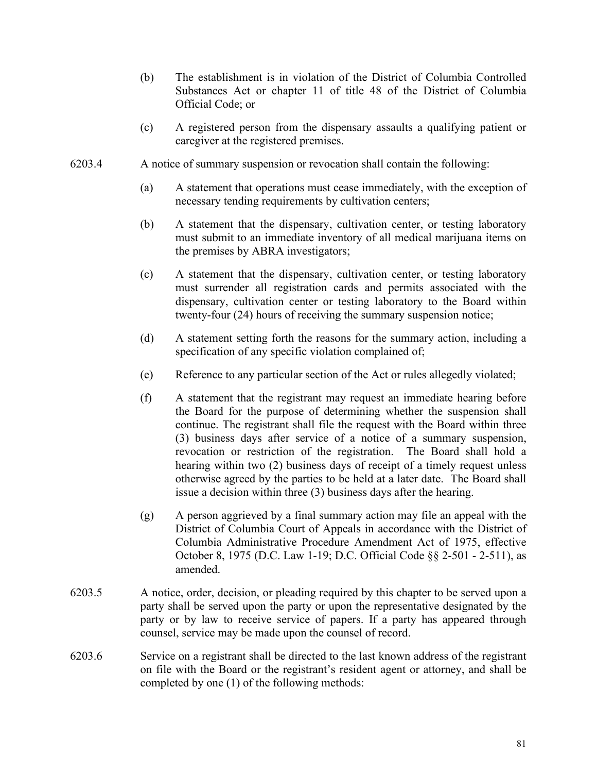- (b) The establishment is in violation of the District of Columbia Controlled Substances Act or chapter 11 of title 48 of the District of Columbia Official Code; or
- (c) A registered person from the dispensary assaults a qualifying patient or caregiver at the registered premises.
- 6203.4 A notice of summary suspension or revocation shall contain the following:
	- (a) A statement that operations must cease immediately, with the exception of necessary tending requirements by cultivation centers;
	- (b) A statement that the dispensary, cultivation center, or testing laboratory must submit to an immediate inventory of all medical marijuana items on the premises by ABRA investigators;
	- (c) A statement that the dispensary, cultivation center, or testing laboratory must surrender all registration cards and permits associated with the dispensary, cultivation center or testing laboratory to the Board within twenty-four (24) hours of receiving the summary suspension notice;
	- (d) A statement setting forth the reasons for the summary action, including a specification of any specific violation complained of;
	- (e) Reference to any particular section of the Act or rules allegedly violated;
	- (f) A statement that the registrant may request an immediate hearing before the Board for the purpose of determining whether the suspension shall continue. The registrant shall file the request with the Board within three (3) business days after service of a notice of a summary suspension, revocation or restriction of the registration. The Board shall hold a hearing within two (2) business days of receipt of a timely request unless otherwise agreed by the parties to be held at a later date. The Board shall issue a decision within three (3) business days after the hearing.
	- (g) A person aggrieved by a final summary action may file an appeal with the District of Columbia Court of Appeals in accordance with the District of Columbia Administrative Procedure Amendment Act of 1975, effective October 8, 1975 (D.C. Law 1-19; D.C. Official [Code §§ 2-501](http://www.westlaw.com/Link/Document/FullText?findType=L&pubNum=1000869&cite=DCCODES2-501&originatingDoc=N92DDB430209311E1AECFDFFFC28015BC&refType=LQ&originationContext=document&vr=3.0&rs=cblt1.0&transitionType=DocumentItem&contextData=(sc.Default)) - [2-511\)](http://www.westlaw.com/Link/Document/FullText?findType=L&pubNum=1000869&cite=DCCODES2-511&originatingDoc=N92DDB430209311E1AECFDFFFC28015BC&refType=LQ&originationContext=document&vr=3.0&rs=cblt1.0&transitionType=DocumentItem&contextData=(sc.Default)), as amended.
- 6203.5 A notice, order, decision, or pleading required by this chapter to be served upon a party shall be served upon the party or upon the representative designated by the party or by law to receive service of papers. If a party has appeared through counsel, service may be made upon the counsel of record.
- 6203.6 Service on a registrant shall be directed to the last known address of the registrant on file with the Board or the registrant's resident agent or attorney, and shall be completed by one (1) of the following methods: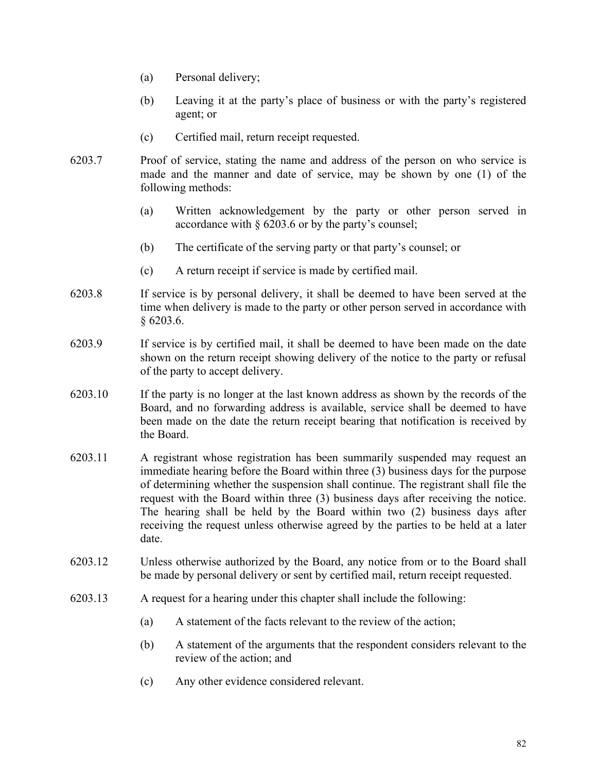- (a) Personal delivery;
- (b) Leaving it at the party's place of business or with the party's registered agent; or
- (c) Certified mail, return receipt requested.
- 6203.7 Proof of service, stating the name and address of the person on who service is made and the manner and date of service, may be shown by one (1) of the following methods:
	- (a) Written acknowledgement by the party or other person served in accordance with § 6203.6 or by the party's counsel;
	- (b) The certificate of the serving party or that party's counsel; or
	- (c) A return receipt if service is made by certified mail.
- 6203.8 If service is by personal delivery, it shall be deemed to have been served at the time when delivery is made to the party or other person served in accordance with § 6203.6.
- 6203.9 If service is by certified mail, it shall be deemed to have been made on the date shown on the return receipt showing delivery of the notice to the party or refusal of the party to accept delivery.
- 6203.10 If the party is no longer at the last known address as shown by the records of the Board, and no forwarding address is available, service shall be deemed to have been made on the date the return receipt bearing that notification is received by the Board.
- 6203.11 A registrant whose registration has been summarily suspended may request an immediate hearing before the Board within three (3) business days for the purpose of determining whether the suspension shall continue. The registrant shall file the request with the Board within three (3) business days after receiving the notice. The hearing shall be held by the Board within two (2) business days after receiving the request unless otherwise agreed by the parties to be held at a later date.
- 6203.12 Unless otherwise authorized by the Board, any notice from or to the Board shall be made by personal delivery or sent by certified mail, return receipt requested.
- 6203.13 A request for a hearing under this chapter shall include the following:
	- (a) A statement of the facts relevant to the review of the action;
	- (b) A statement of the arguments that the respondent considers relevant to the review of the action; and
	- (c) Any other evidence considered relevant.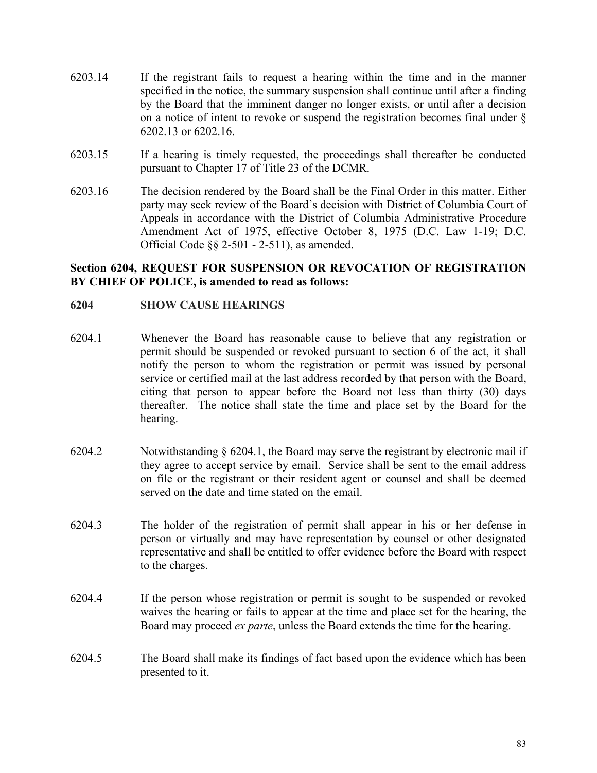- 6203.14 If the registrant fails to request a hearing within the time and in the manner specified in the notice, the summary suspension shall continue until after a finding by the Board that the imminent danger no longer exists, or until after a decision on a notice of intent to revoke or suspend the registration becomes final under § 6202.13 or 6202.16.
- 6203.15 If a hearing is timely requested, the proceedings shall thereafter be conducted pursuant to Chapter 17 of Title 23 of the DCMR.
- 6203.16 The decision rendered by the Board shall be the Final Order in this matter. Either party may seek review of the Board's decision with District of Columbia Court of Appeals in accordance with the District of Columbia Administrative Procedure Amendment Act of 1975, effective October 8, 1975 (D.C. Law 1-19; [D.C.](http://www.westlaw.com/Link/Document/FullText?findType=L&pubNum=1000869&cite=DCCODES2-501&originatingDoc=N92DDB430209311E1AECFDFFFC28015BC&refType=LQ&originationContext=document&vr=3.0&rs=cblt1.0&transitionType=DocumentItem&contextData=(sc.Default))  [Official Code §§ 2-501](http://www.westlaw.com/Link/Document/FullText?findType=L&pubNum=1000869&cite=DCCODES2-501&originatingDoc=N92DDB430209311E1AECFDFFFC28015BC&refType=LQ&originationContext=document&vr=3.0&rs=cblt1.0&transitionType=DocumentItem&contextData=(sc.Default)) - [2-511\)](http://www.westlaw.com/Link/Document/FullText?findType=L&pubNum=1000869&cite=DCCODES2-511&originatingDoc=N92DDB430209311E1AECFDFFFC28015BC&refType=LQ&originationContext=document&vr=3.0&rs=cblt1.0&transitionType=DocumentItem&contextData=(sc.Default)), as amended.

# **Section 6204, REQUEST FOR SUSPENSION OR REVOCATION OF REGISTRATION BY CHIEF OF POLICE, is amended to read as follows:**

#### **6204 SHOW CAUSE HEARINGS**

- 6204.1 Whenever the Board has reasonable cause to believe that any registration or permit should be suspended or revoked pursuant to section 6 of the act, it shall notify the person to whom the registration or permit was issued by personal service or certified mail at the last address recorded by that person with the Board, citing that person to appear before the Board not less than thirty (30) days thereafter. The notice shall state the time and place set by the Board for the hearing.
- 6204.2 Notwithstanding  $\S$  6204.1, the Board may serve the registrant by electronic mail if they agree to accept service by email. Service shall be sent to the email address on file or the registrant or their resident agent or counsel and shall be deemed served on the date and time stated on the email.
- 6204.3 The holder of the registration of permit shall appear in his or her defense in person or virtually and may have representation by counsel or other designated representative and shall be entitled to offer evidence before the Board with respect to the charges.
- 6204.4 If the person whose registration or permit is sought to be suspended or revoked waives the hearing or fails to appear at the time and place set for the hearing, the Board may proceed *ex parte*, unless the Board extends the time for the hearing.
- 6204.5 The Board shall make its findings of fact based upon the evidence which has been presented to it.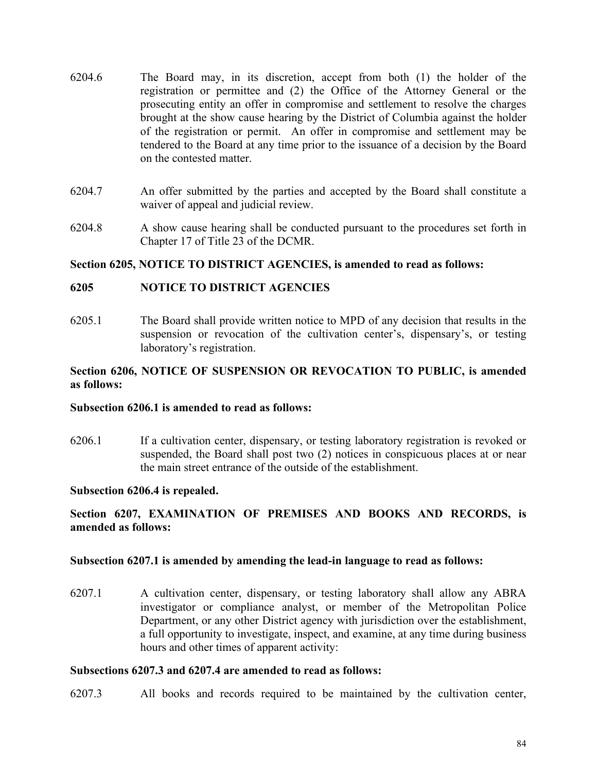- 6204.6 The Board may, in its discretion, accept from both (1) the holder of the registration or permittee and (2) the Office of the Attorney General or the prosecuting entity an offer in compromise and settlement to resolve the charges brought at the show cause hearing by the District of Columbia against the holder of the registration or permit. An offer in compromise and settlement may be tendered to the Board at any time prior to the issuance of a decision by the Board on the contested matter.
- 6204.7 An offer submitted by the parties and accepted by the Board shall constitute a waiver of appeal and judicial review.
- 6204.8 A show cause hearing shall be conducted pursuant to the procedures set forth in Chapter 17 of Title 23 of the DCMR.

## **Section 6205, NOTICE TO DISTRICT AGENCIES, is amended to read as follows:**

## **6205 NOTICE TO DISTRICT AGENCIES**

6205.1 The Board shall provide written notice to MPD of any decision that results in the suspension or revocation of the cultivation center's, dispensary's, or testing laboratory's registration.

## **Section 6206, NOTICE OF SUSPENSION OR REVOCATION TO PUBLIC, is amended as follows:**

#### **Subsection 6206.1 is amended to read as follows:**

6206.1 If a cultivation center, dispensary, or testing laboratory registration is revoked or suspended, the Board shall post two (2) notices in conspicuous places at or near the main street entrance of the outside of the establishment.

## **Subsection 6206.4 is repealed.**

# **Section 6207, EXAMINATION OF PREMISES AND BOOKS AND RECORDS, is amended as follows:**

#### **Subsection 6207.1 is amended by amending the lead-in language to read as follows:**

6207.1 A cultivation center, dispensary, or testing laboratory shall allow any ABRA investigator or compliance analyst, or member of the Metropolitan Police Department, or any other District agency with jurisdiction over the establishment, a full opportunity to investigate, inspect, and examine, at any time during business hours and other times of apparent activity:

#### **Subsections 6207.3 and 6207.4 are amended to read as follows:**

6207.3 All books and records required to be maintained by the cultivation center,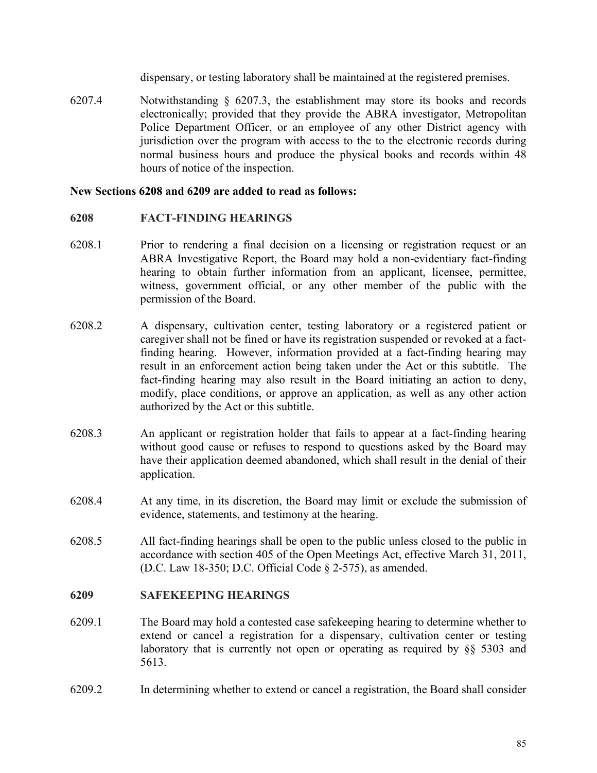dispensary, or testing laboratory shall be maintained at the registered premises.

6207.4 Notwithstanding § 6207.3, the establishment may store its books and records electronically; provided that they provide the ABRA investigator, Metropolitan Police Department Officer, or an employee of any other District agency with jurisdiction over the program with access to the to the electronic records during normal business hours and produce the physical books and records within 48 hours of notice of the inspection.

## **New Sections 6208 and 6209 are added to read as follows:**

#### **6208 FACT-FINDING HEARINGS**

- 6208.1 Prior to rendering a final decision on a licensing or registration request or an ABRA Investigative Report, the Board may hold a non-evidentiary fact-finding hearing to obtain further information from an applicant, licensee, permittee, witness, government official, or any other member of the public with the permission of the Board.
- 6208.2 A dispensary, cultivation center, testing laboratory or a registered patient or caregiver shall not be fined or have its registration suspended or revoked at a factfinding hearing. However, information provided at a fact-finding hearing may result in an enforcement action being taken under the Act or this subtitle. The fact-finding hearing may also result in the Board initiating an action to deny, modify, place conditions, or approve an application, as well as any other action authorized by the Act or this subtitle.
- 6208.3 An applicant or registration holder that fails to appear at a fact-finding hearing without good cause or refuses to respond to questions asked by the Board may have their application deemed abandoned, which shall result in the denial of their application.
- 6208.4 At any time, in its discretion, the Board may limit or exclude the submission of evidence, statements, and testimony at the hearing.
- 6208.5 All fact-finding hearings shall be open to the public unless closed to the public in accordance with section 405 of the Open Meetings Act, effective March 31, 2011, (D.C. Law 18-350; D.C. Official Code § 2-575), as amended.

#### **6209 SAFEKEEPING HEARINGS**

- 6209.1 The Board may hold a contested case safekeeping hearing to determine whether to extend or cancel a registration for a dispensary, cultivation center or testing laboratory that is currently not open or operating as required by §§ 5303 and 5613.
- 6209.2 In determining whether to extend or cancel a registration, the Board shall consider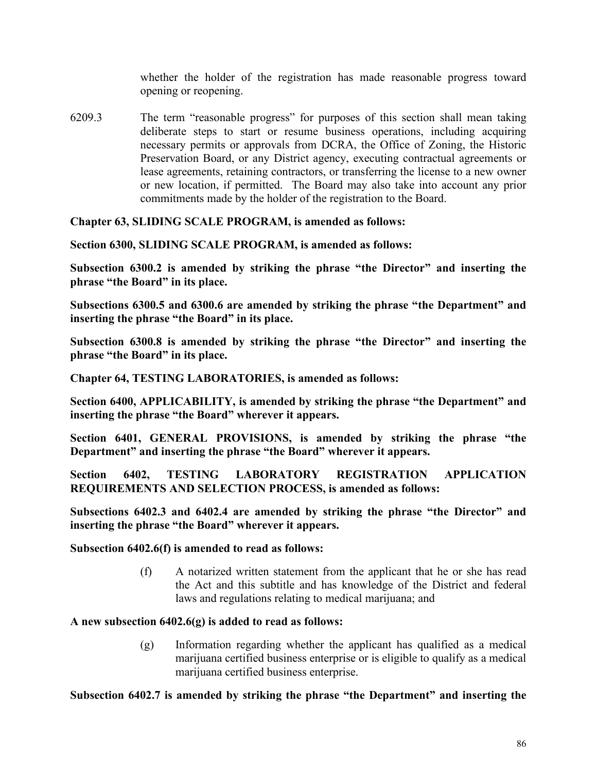whether the holder of the registration has made reasonable progress toward opening or reopening.

6209.3 The term "reasonable progress" for purposes of this section shall mean taking deliberate steps to start or resume business operations, including acquiring necessary permits or approvals from DCRA, the Office of Zoning, the Historic Preservation Board, or any District agency, executing contractual agreements or lease agreements, retaining contractors, or transferring the license to a new owner or new location, if permitted. The Board may also take into account any prior commitments made by the holder of the registration to the Board.

# **Chapter 63, SLIDING SCALE PROGRAM, is amended as follows:**

**Section 6300, SLIDING SCALE PROGRAM, is amended as follows:**

**Subsection 6300.2 is amended by striking the phrase "the Director" and inserting the phrase "the Board" in its place.**

**Subsections 6300.5 and 6300.6 are amended by striking the phrase "the Department" and inserting the phrase "the Board" in its place.**

**Subsection 6300.8 is amended by striking the phrase "the Director" and inserting the phrase "the Board" in its place.**

**Chapter 64, TESTING LABORATORIES, is amended as follows:**

**Section 6400, APPLICABILITY, is amended by striking the phrase "the Department" and inserting the phrase "the Board" wherever it appears.**

**Section 6401, GENERAL PROVISIONS, is amended by striking the phrase "the Department" and inserting the phrase "the Board" wherever it appears.**

**Section 6402, TESTING LABORATORY REGISTRATION APPLICATION REQUIREMENTS AND SELECTION PROCESS, is amended as follows:**

**Subsections 6402.3 and 6402.4 are amended by striking the phrase "the Director" and inserting the phrase "the Board" wherever it appears.**

**Subsection 6402.6(f) is amended to read as follows:**

(f) A notarized written statement from the applicant that he or she has read the Act and this subtitle and has knowledge of the District and federal laws and regulations relating to medical marijuana; and

## **A new subsection 6402.6(g) is added to read as follows:**

(g) Information regarding whether the applicant has qualified as a medical marijuana certified business enterprise or is eligible to qualify as a medical marijuana certified business enterprise.

# **Subsection 6402.7 is amended by striking the phrase "the Department" and inserting the**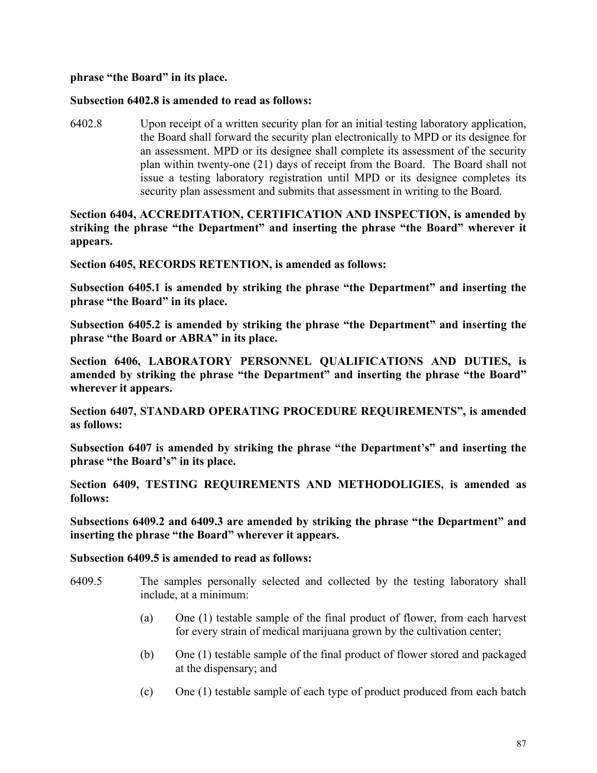# **phrase "the Board" in its place.**

### **Subsection 6402.8 is amended to read as follows:**

6402.8 Upon receipt of a written security plan for an initial testing laboratory application, the Board shall forward the security plan electronically to MPD or its designee for an assessment. MPD or its designee shall complete its assessment of the security plan within twenty-one (21) days of receipt from the Board. The Board shall not issue a testing laboratory registration until MPD or its designee completes its security plan assessment and submits that assessment in writing to the Board.

**Section 6404, ACCREDITATION, CERTIFICATION AND INSPECTION, is amended by striking the phrase "the Department" and inserting the phrase "the Board" wherever it appears.**

**Section 6405, RECORDS RETENTION, is amended as follows:**

**Subsection 6405.1 is amended by striking the phrase "the Department" and inserting the phrase "the Board" in its place.**

**Subsection 6405.2 is amended by striking the phrase "the Department" and inserting the phrase "the Board or ABRA" in its place.**

**Section 6406, LABORATORY PERSONNEL QUALIFICATIONS AND DUTIES, is amended by striking the phrase "the Department" and inserting the phrase "the Board" wherever it appears.**

**Section 6407, STANDARD OPERATING PROCEDURE REQUIREMENTS", is amended as follows:**

**Subsection 6407 is amended by striking the phrase "the Department's" and inserting the phrase "the Board's" in its place.**

**Section 6409, TESTING REQUIREMENTS AND METHODOLIGIES, is amended as follows:**

**Subsections 6409.2 and 6409.3 are amended by striking the phrase "the Department" and inserting the phrase "the Board" wherever it appears.**

#### **Subsection 6409.5 is amended to read as follows:**

- 6409.5 The samples personally selected and collected by the testing laboratory shall include, at a minimum:
	- (a) One (1) testable sample of the final product of flower, from each harvest for every strain of medical marijuana grown by the cultivation center;
	- (b) One (1) testable sample of the final product of flower stored and packaged at the dispensary; and
	- (c) One (1) testable sample of each type of product produced from each batch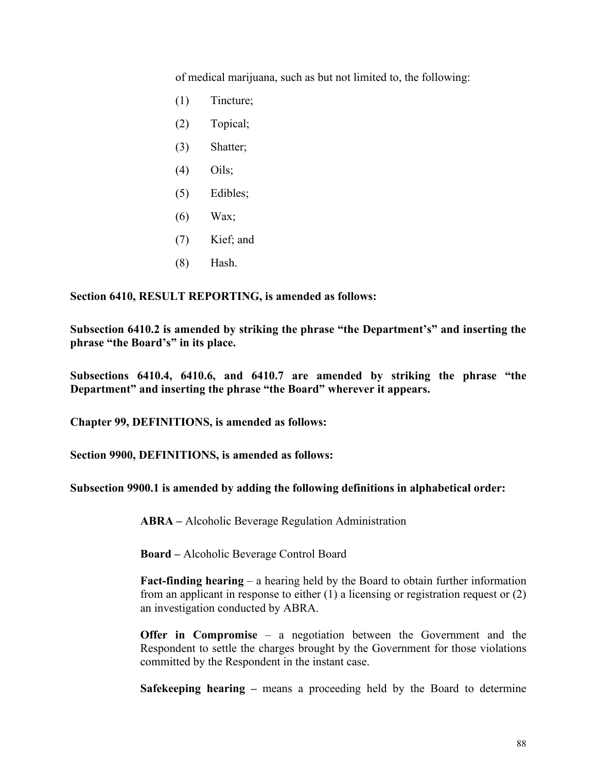of medical marijuana, such as but not limited to, the following:

- (1) Tincture;
- (2) Topical;
- (3) Shatter;
- (4) Oils;
- (5) Edibles;
- (6) Wax;
- (7) Kief; and
- (8) Hash.

**Section 6410, RESULT REPORTING, is amended as follows:**

**Subsection 6410.2 is amended by striking the phrase "the Department's" and inserting the phrase "the Board's" in its place.**

**Subsections 6410.4, 6410.6, and 6410.7 are amended by striking the phrase "the Department" and inserting the phrase "the Board" wherever it appears.**

**Chapter 99, DEFINITIONS, is amended as follows:**

**Section 9900, DEFINITIONS, is amended as follows:**

## **Subsection 9900.1 is amended by adding the following definitions in alphabetical order:**

**ABRA –** Alcoholic Beverage Regulation Administration

**Board –** Alcoholic Beverage Control Board

**Fact-finding hearing** – a hearing held by the Board to obtain further information from an applicant in response to either (1) a licensing or registration request or (2) an investigation conducted by ABRA.

**Offer in Compromise** – a negotiation between the Government and the Respondent to settle the charges brought by the Government for those violations committed by the Respondent in the instant case.

**Safekeeping hearing –** means a proceeding held by the Board to determine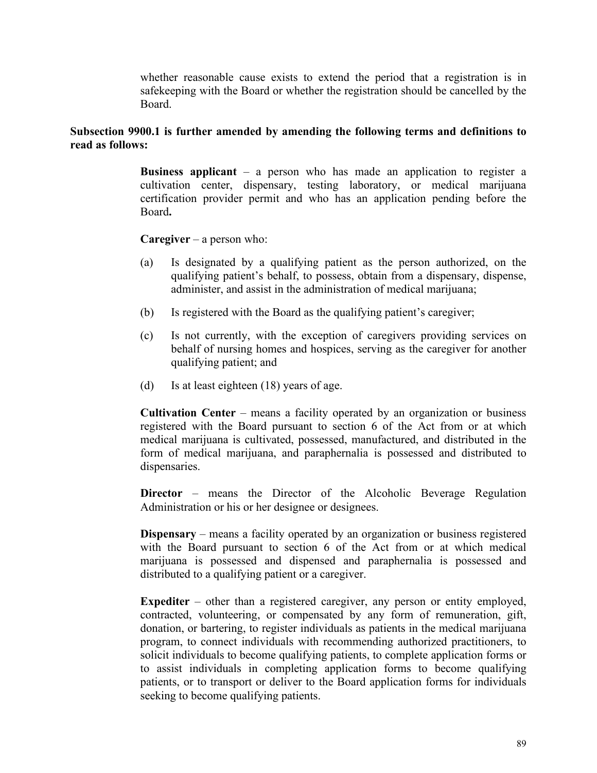whether reasonable cause exists to extend the period that a registration is in safekeeping with the Board or whether the registration should be cancelled by the Board.

# **Subsection 9900.1 is further amended by amending the following terms and definitions to read as follows:**

**Business applicant** – a person who has made an application to register a cultivation center, dispensary, testing laboratory, or medical marijuana certification provider permit and who has an application pending before the Board**.**

**Caregiver** – a person who:

- (a) Is designated by a qualifying patient as the person authorized, on the qualifying patient's behalf, to possess, obtain from a dispensary, dispense, administer, and assist in the administration of medical marijuana;
- (b) Is registered with the Board as the qualifying patient's caregiver;
- (c) Is not currently, with the exception of caregivers providing services on behalf of nursing homes and hospices, serving as the caregiver for another qualifying patient; and
- (d) Is at least eighteen (18) years of age.

**Cultivation Center** – means a facility operated by an organization or business registered with the Board pursuant to section 6 of the Act from or at which medical marijuana is cultivated, possessed, manufactured, and distributed in the form of medical marijuana, and paraphernalia is possessed and distributed to dispensaries.

**Director** – means the Director of the Alcoholic Beverage Regulation Administration or his or her designee or designees.

**Dispensary** – means a facility operated by an organization or business registered with the Board pursuant to section 6 of the Act from or at which medical marijuana is possessed and dispensed and paraphernalia is possessed and distributed to a qualifying patient or a caregiver.

**Expediter** – other than a registered caregiver, any person or entity employed, contracted, volunteering, or compensated by any form of remuneration, gift, donation, or bartering, to register individuals as patients in the medical marijuana program, to connect individuals with recommending authorized practitioners, to solicit individuals to become qualifying patients, to complete application forms or to assist individuals in completing application forms to become qualifying patients, or to transport or deliver to the Board application forms for individuals seeking to become qualifying patients.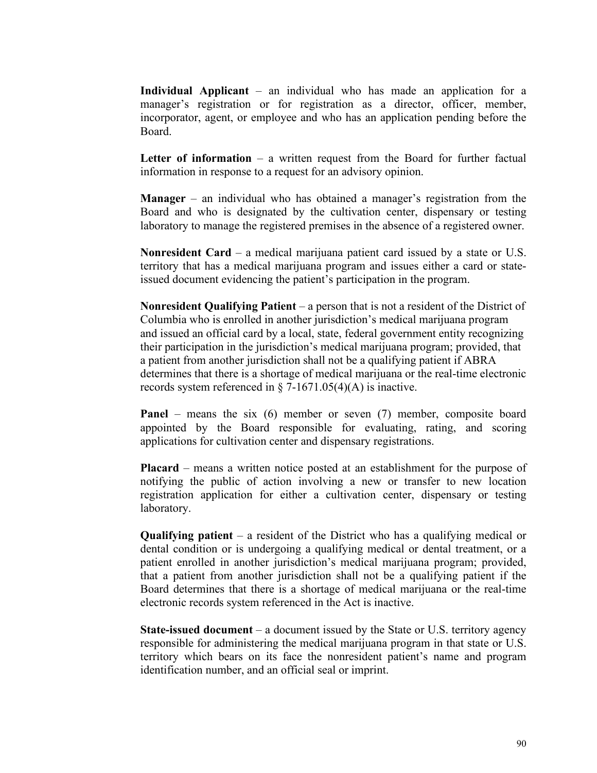**Individual Applicant** – an individual who has made an application for a manager's registration or for registration as a director, officer, member, incorporator, agent, or employee and who has an application pending before the Board.

**Letter of information** – a written request from the Board for further factual information in response to a request for an advisory opinion.

**Manager** – an individual who has obtained a manager's registration from the Board and who is designated by the cultivation center, dispensary or testing laboratory to manage the registered premises in the absence of a registered owner.

**Nonresident Card** – a medical marijuana patient card issued by a state or U.S. territory that has a medical marijuana program and issues either a card or stateissued document evidencing the patient's participation in the program.

**Nonresident Qualifying Patient** – a person that is not a resident of the District of Columbia who is enrolled in another jurisdiction's medical marijuana program and issued an official card by a local, state, federal government entity recognizing their participation in the jurisdiction's medical marijuana program; provided, that a patient from another jurisdiction shall not be a qualifying patient if ABRA determines that there is a shortage of medical marijuana or the real-time electronic records system referenced in  $\S$  7-1671.05(4)(A) is inactive.

**Panel** – means the six (6) member or seven (7) member, composite board appointed by the Board responsible for evaluating, rating, and scoring applications for cultivation center and dispensary registrations.

**Placard** – means a written notice posted at an establishment for the purpose of notifying the public of action involving a new or transfer to new location registration application for either a cultivation center, dispensary or testing laboratory.

**Qualifying patient** – a resident of the District who has a qualifying medical or dental condition or is undergoing a qualifying medical or dental treatment, or a patient enrolled in another jurisdiction's medical marijuana program; provided, that a patient from another jurisdiction shall not be a qualifying patient if the Board determines that there is a shortage of medical marijuana or the real-time electronic records system referenced in the Act is inactive.

**State-issued document** – a document issued by the State or U.S. territory agency responsible for administering the medical marijuana program in that state or U.S. territory which bears on its face the nonresident patient's name and program identification number, and an official seal or imprint.